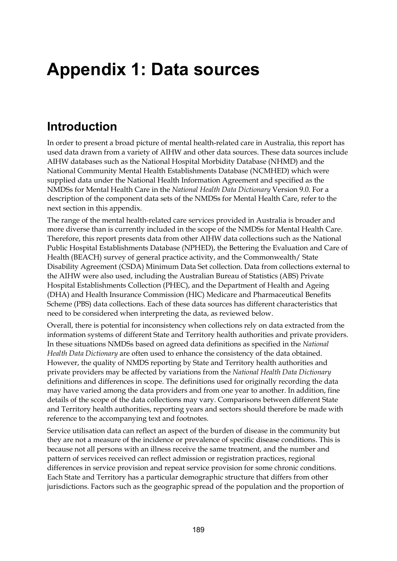# **Appendix 1: Data sources**

## **Introduction**

In order to present a broad picture of mental health-related care in Australia, this report has used data drawn from a variety of AIHW and other data sources. These data sources include AIHW databases such as the National Hospital Morbidity Database (NHMD) and the National Community Mental Health Establishments Database (NCMHED) which were supplied data under the National Health Information Agreement and specified as the NMDSs for Mental Health Care in the *National Health Data Dictionary* Version 9.0. For a description of the component data sets of the NMDSs for Mental Health Care, refer to the next section in this appendix.

The range of the mental health-related care services provided in Australia is broader and more diverse than is currently included in the scope of the NMDSs for Mental Health Care. Therefore, this report presents data from other AIHW data collections such as the National Public Hospital Establishments Database (NPHED), the Bettering the Evaluation and Care of Health (BEACH) survey of general practice activity, and the Commonwealth/ State Disability Agreement (CSDA) Minimum Data Set collection. Data from collections external to the AIHW were also used, including the Australian Bureau of Statistics (ABS) Private Hospital Establishments Collection (PHEC), and the Department of Health and Ageing (DHA) and Health Insurance Commission (HIC) Medicare and Pharmaceutical Benefits Scheme (PBS) data collections. Each of these data sources has different characteristics that need to be considered when interpreting the data, as reviewed below.

Overall, there is potential for inconsistency when collections rely on data extracted from the information systems of different State and Territory health authorities and private providers. In these situations NMDSs based on agreed data definitions as specified in the *National Health Data Dictionary* are often used to enhance the consistency of the data obtained. However, the quality of NMDS reporting by State and Territory health authorities and private providers may be affected by variations from the *National Health Data Dictionary* definitions and differences in scope. The definitions used for originally recording the data may have varied among the data providers and from one year to another. In addition, fine details of the scope of the data collections may vary. Comparisons between different State and Territory health authorities, reporting years and sectors should therefore be made with reference to the accompanying text and footnotes.

Service utilisation data can reflect an aspect of the burden of disease in the community but they are not a measure of the incidence or prevalence of specific disease conditions. This is because not all persons with an illness receive the same treatment, and the number and pattern of services received can reflect admission or registration practices, regional differences in service provision and repeat service provision for some chronic conditions. Each State and Territory has a particular demographic structure that differs from other jurisdictions. Factors such as the geographic spread of the population and the proportion of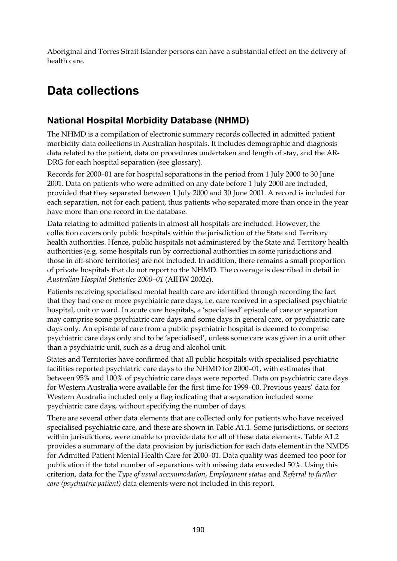Aboriginal and Torres Strait Islander persons can have a substantial effect on the delivery of health care.

## **Data collections**

## **National Hospital Morbidity Database (NHMD)**

The NHMD is a compilation of electronic summary records collected in admitted patient morbidity data collections in Australian hospitals. It includes demographic and diagnosis data related to the patient, data on procedures undertaken and length of stay, and the AR-DRG for each hospital separation (see glossary).

Records for 2000–01 are for hospital separations in the period from 1 July 2000 to 30 June 2001. Data on patients who were admitted on any date before 1 July 2000 are included, provided that they separated between 1 July 2000 and 30 June 2001. A record is included for each separation, not for each patient, thus patients who separated more than once in the year have more than one record in the database.

Data relating to admitted patients in almost all hospitals are included. However, the collection covers only public hospitals within the jurisdiction of the State and Territory health authorities. Hence, public hospitals not administered by the State and Territory health authorities (e.g. some hospitals run by correctional authorities in some jurisdictions and those in off-shore territories) are not included. In addition, there remains a small proportion of private hospitals that do not report to the NHMD. The coverage is described in detail in *Australian Hospital Statistics 2000–01* (AIHW 2002c).

Patients receiving specialised mental health care are identified through recording the fact that they had one or more psychiatric care days, i.e. care received in a specialised psychiatric hospital, unit or ward. In acute care hospitals, a 'specialised' episode of care or separation may comprise some psychiatric care days and some days in general care, or psychiatric care days only. An episode of care from a public psychiatric hospital is deemed to comprise psychiatric care days only and to be 'specialised', unless some care was given in a unit other than a psychiatric unit, such as a drug and alcohol unit.

States and Territories have confirmed that all public hospitals with specialised psychiatric facilities reported psychiatric care days to the NHMD for 2000–01, with estimates that between 95% and 100% of psychiatric care days were reported. Data on psychiatric care days for Western Australia were available for the first time for 1999–00. Previous years' data for Western Australia included only a flag indicating that a separation included some psychiatric care days, without specifying the number of days.

There are several other data elements that are collected only for patients who have received specialised psychiatric care, and these are shown in Table A1.1. Some jurisdictions, or sectors within jurisdictions, were unable to provide data for all of these data elements. Table A1.2 provides a summary of the data provision by jurisdiction for each data element in the NMDS for Admitted Patient Mental Health Care for 2000–01. Data quality was deemed too poor for publication if the total number of separations with missing data exceeded 50%. Using this criterion, data for the *Type of usual accommodation*, *Employment status* and *Referral to further care (psychiatric patient)* data elements were not included in this report.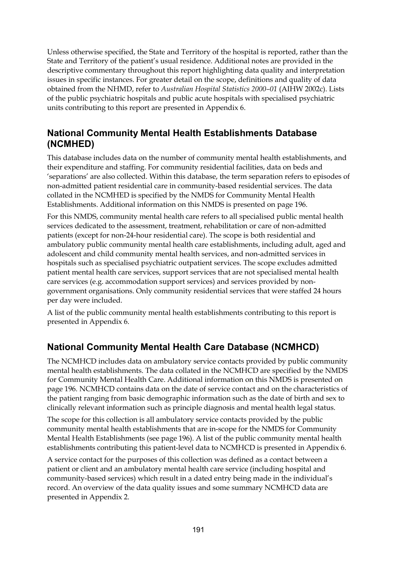Unless otherwise specified, the State and Territory of the hospital is reported, rather than the State and Territory of the patient's usual residence. Additional notes are provided in the descriptive commentary throughout this report highlighting data quality and interpretation issues in specific instances. For greater detail on the scope, definitions and quality of data obtained from the NHMD, refer to *Australian Hospital Statistics 2000–01* (AIHW 2002c). Lists of the public psychiatric hospitals and public acute hospitals with specialised psychiatric units contributing to this report are presented in Appendix 6.

### **National Community Mental Health Establishments Database (NCMHED)**

This database includes data on the number of community mental health establishments, and their expenditure and staffing. For community residential facilities, data on beds and 'separations' are also collected. Within this database, the term separation refers to episodes of non-admitted patient residential care in community-based residential services. The data collated in the NCMHED is specified by the NMDS for Community Mental Health Establishments. Additional information on this NMDS is presented on page 196.

For this NMDS, community mental health care refers to all specialised public mental health services dedicated to the assessment, treatment, rehabilitation or care of non-admitted patients (except for non-24-hour residential care). The scope is both residential and ambulatory public community mental health care establishments, including adult, aged and adolescent and child community mental health services, and non-admitted services in hospitals such as specialised psychiatric outpatient services. The scope excludes admitted patient mental health care services, support services that are not specialised mental health care services (e.g. accommodation support services) and services provided by nongovernment organisations. Only community residential services that were staffed 24 hours per day were included.

A list of the public community mental health establishments contributing to this report is presented in Appendix 6.

### **National Community Mental Health Care Database (NCMHCD)**

The NCMHCD includes data on ambulatory service contacts provided by public community mental health establishments. The data collated in the NCMHCD are specified by the NMDS for Community Mental Health Care. Additional information on this NMDS is presented on page 196. NCMHCD contains data on the date of service contact and on the characteristics of the patient ranging from basic demographic information such as the date of birth and sex to clinically relevant information such as principle diagnosis and mental health legal status.

The scope for this collection is all ambulatory service contacts provided by the public community mental health establishments that are in-scope for the NMDS for Community Mental Health Establishments (see page 196). A list of the public community mental health establishments contributing this patient-level data to NCMHCD is presented in Appendix 6.

A service contact for the purposes of this collection was defined as a contact between a patient or client and an ambulatory mental health care service (including hospital and community-based services) which result in a dated entry being made in the individual's record. An overview of the data quality issues and some summary NCMHCD data are presented in Appendix 2.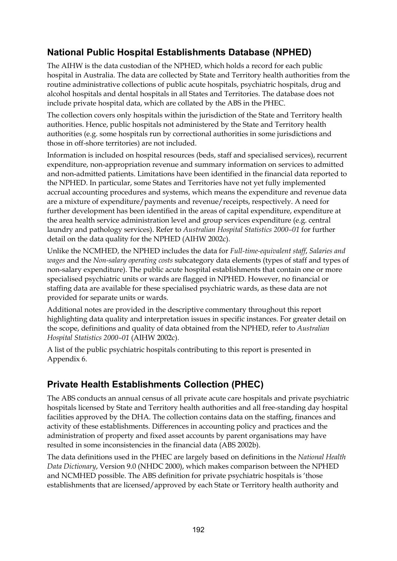## **National Public Hospital Establishments Database (NPHED)**

The AIHW is the data custodian of the NPHED, which holds a record for each public hospital in Australia. The data are collected by State and Territory health authorities from the routine administrative collections of public acute hospitals, psychiatric hospitals, drug and alcohol hospitals and dental hospitals in all States and Territories. The database does not include private hospital data, which are collated by the ABS in the PHEC.

The collection covers only hospitals within the jurisdiction of the State and Territory health authorities. Hence, public hospitals not administered by the State and Territory health authorities (e.g. some hospitals run by correctional authorities in some jurisdictions and those in off-shore territories) are not included.

Information is included on hospital resources (beds, staff and specialised services), recurrent expenditure, non-appropriation revenue and summary information on services to admitted and non-admitted patients. Limitations have been identified in the financial data reported to the NPHED. In particular, some States and Territories have not yet fully implemented accrual accounting procedures and systems, which means the expenditure and revenue data are a mixture of expenditure/payments and revenue/receipts, respectively. A need for further development has been identified in the areas of capital expenditure, expenditure at the area health service administration level and group services expenditure (e.g. central laundry and pathology services). Refer to *Australian Hospital Statistics 2000–01* for further detail on the data quality for the NPHED (AIHW 2002c).

Unlike the NCMHED, the NPHED includes the data for *Full-time-equivalent staff*, *Salaries and wages* and the *Non-salary operating costs* subcategory data elements (types of staff and types of non-salary expenditure). The public acute hospital establishments that contain one or more specialised psychiatric units or wards are flagged in NPHED. However, no financial or staffing data are available for these specialised psychiatric wards, as these data are not provided for separate units or wards.

Additional notes are provided in the descriptive commentary throughout this report highlighting data quality and interpretation issues in specific instances. For greater detail on the scope, definitions and quality of data obtained from the NPHED, refer to *Australian Hospital Statistics 2000–01* (AIHW 2002c).

A list of the public psychiatric hospitals contributing to this report is presented in Appendix 6.

### **Private Health Establishments Collection (PHEC)**

The ABS conducts an annual census of all private acute care hospitals and private psychiatric hospitals licensed by State and Territory health authorities and all free-standing day hospital facilities approved by the DHA. The collection contains data on the staffing, finances and activity of these establishments. Differences in accounting policy and practices and the administration of property and fixed asset accounts by parent organisations may have resulted in some inconsistencies in the financial data (ABS 2002b).

The data definitions used in the PHEC are largely based on definitions in the *National Health Data Dictionary*, Version 9.0 (NHDC 2000), which makes comparison between the NPHED and NCMHED possible. The ABS definition for private psychiatric hospitals is 'those establishments that are licensed/approved by each State or Territory health authority and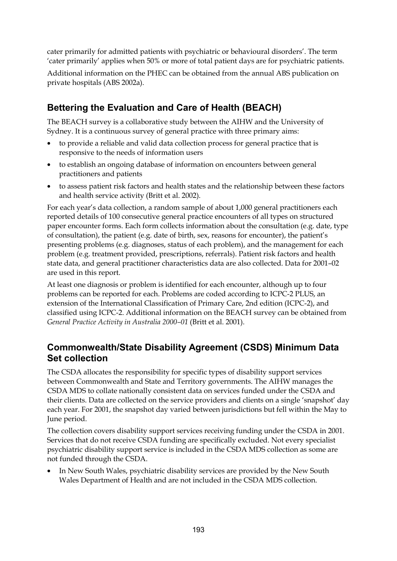cater primarily for admitted patients with psychiatric or behavioural disorders'. The term 'cater primarily' applies when 50% or more of total patient days are for psychiatric patients.

Additional information on the PHEC can be obtained from the annual ABS publication on private hospitals (ABS 2002a).

## **Bettering the Evaluation and Care of Health (BEACH)**

The BEACH survey is a collaborative study between the AIHW and the University of Sydney. It is a continuous survey of general practice with three primary aims:

- to provide a reliable and valid data collection process for general practice that is responsive to the needs of information users
- to establish an ongoing database of information on encounters between general practitioners and patients
- to assess patient risk factors and health states and the relationship between these factors and health service activity (Britt et al. 2002).

For each year's data collection, a random sample of about 1,000 general practitioners each reported details of 100 consecutive general practice encounters of all types on structured paper encounter forms. Each form collects information about the consultation (e.g. date, type of consultation), the patient (e.g. date of birth, sex, reasons for encounter), the patient's presenting problems (e.g. diagnoses, status of each problem), and the management for each problem (e.g. treatment provided, prescriptions, referrals). Patient risk factors and health state data, and general practitioner characteristics data are also collected. Data for 2001–02 are used in this report.

At least one diagnosis or problem is identified for each encounter, although up to four problems can be reported for each. Problems are coded according to ICPC-2 PLUS, an extension of the International Classification of Primary Care, 2nd edition (ICPC-2), and classified using ICPC-2. Additional information on the BEACH survey can be obtained from *General Practice Activity in Australia 2000–01* (Britt et al. 2001).

### **Commonwealth/State Disability Agreement (CSDS) Minimum Data Set collection**

The CSDA allocates the responsibility for specific types of disability support services between Commonwealth and State and Territory governments. The AIHW manages the CSDA MDS to collate nationally consistent data on services funded under the CSDA and their clients. Data are collected on the service providers and clients on a single 'snapshot' day each year. For 2001, the snapshot day varied between jurisdictions but fell within the May to June period.

The collection covers disability support services receiving funding under the CSDA in 2001. Services that do not receive CSDA funding are specifically excluded. Not every specialist psychiatric disability support service is included in the CSDA MDS collection as some are not funded through the CSDA.

• In New South Wales, psychiatric disability services are provided by the New South Wales Department of Health and are not included in the CSDA MDS collection.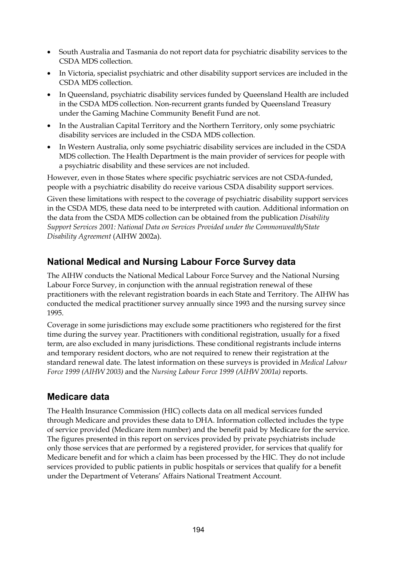- South Australia and Tasmania do not report data for psychiatric disability services to the CSDA MDS collection.
- In Victoria, specialist psychiatric and other disability support services are included in the CSDA MDS collection.
- In Queensland, psychiatric disability services funded by Queensland Health are included in the CSDA MDS collection. Non-recurrent grants funded by Queensland Treasury under the Gaming Machine Community Benefit Fund are not.
- In the Australian Capital Territory and the Northern Territory, only some psychiatric disability services are included in the CSDA MDS collection.
- In Western Australia, only some psychiatric disability services are included in the CSDA MDS collection. The Health Department is the main provider of services for people with a psychiatric disability and these services are not included.

However, even in those States where specific psychiatric services are not CSDA-funded, people with a psychiatric disability do receive various CSDA disability support services.

Given these limitations with respect to the coverage of psychiatric disability support services in the CSDA MDS, these data need to be interpreted with caution. Additional information on the data from the CSDA MDS collection can be obtained from the publication *Disability Support Services 2001: National Data on Services Provided under the Commonwealth/State Disability Agreement* (AIHW 2002a).

### **National Medical and Nursing Labour Force Survey data**

The AIHW conducts the National Medical Labour Force Survey and the National Nursing Labour Force Survey, in conjunction with the annual registration renewal of these practitioners with the relevant registration boards in each State and Territory. The AIHW has conducted the medical practitioner survey annually since 1993 and the nursing survey since 1995.

Coverage in some jurisdictions may exclude some practitioners who registered for the first time during the survey year. Practitioners with conditional registration, usually for a fixed term, are also excluded in many jurisdictions. These conditional registrants include interns and temporary resident doctors, who are not required to renew their registration at the standard renewal date. The latest information on these surveys is provided in *Medical Labour Force 1999 (AIHW 2003)* and the *Nursing Labour Force 1999 (AIHW 2001a)* reports.

### **Medicare data**

The Health Insurance Commission (HIC) collects data on all medical services funded through Medicare and provides these data to DHA. Information collected includes the type of service provided (Medicare item number) and the benefit paid by Medicare for the service. The figures presented in this report on services provided by private psychiatrists include only those services that are performed by a registered provider, for services that qualify for Medicare benefit and for which a claim has been processed by the HIC. They do not include services provided to public patients in public hospitals or services that qualify for a benefit under the Department of Veterans' Affairs National Treatment Account.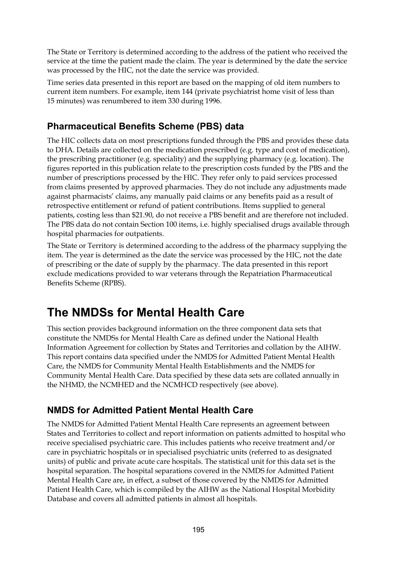The State or Territory is determined according to the address of the patient who received the service at the time the patient made the claim. The year is determined by the date the service was processed by the HIC, not the date the service was provided.

Time series data presented in this report are based on the mapping of old item numbers to current item numbers. For example, item 144 (private psychiatrist home visit of less than 15 minutes) was renumbered to item 330 during 1996.

### **Pharmaceutical Benefits Scheme (PBS) data**

The HIC collects data on most prescriptions funded through the PBS and provides these data to DHA. Details are collected on the medication prescribed (e.g. type and cost of medication), the prescribing practitioner (e.g. speciality) and the supplying pharmacy (e.g. location). The figures reported in this publication relate to the prescription costs funded by the PBS and the number of prescriptions processed by the HIC. They refer only to paid services processed from claims presented by approved pharmacies. They do not include any adjustments made against pharmacists' claims, any manually paid claims or any benefits paid as a result of retrospective entitlement or refund of patient contributions. Items supplied to general patients, costing less than \$21.90, do not receive a PBS benefit and are therefore not included. The PBS data do not contain Section 100 items, i.e. highly specialised drugs available through hospital pharmacies for outpatients.

The State or Territory is determined according to the address of the pharmacy supplying the item. The year is determined as the date the service was processed by the HIC, not the date of prescribing or the date of supply by the pharmacy. The data presented in this report exclude medications provided to war veterans through the Repatriation Pharmaceutical Benefits Scheme (RPBS).

## **The NMDSs for Mental Health Care**

This section provides background information on the three component data sets that constitute the NMDSs for Mental Health Care as defined under the National Health Information Agreement for collection by States and Territories and collation by the AIHW. This report contains data specified under the NMDS for Admitted Patient Mental Health Care, the NMDS for Community Mental Health Establishments and the NMDS for Community Mental Health Care. Data specified by these data sets are collated annually in the NHMD, the NCMHED and the NCMHCD respectively (see above).

### **NMDS for Admitted Patient Mental Health Care**

The NMDS for Admitted Patient Mental Health Care represents an agreement between States and Territories to collect and report information on patients admitted to hospital who receive specialised psychiatric care. This includes patients who receive treatment and/or care in psychiatric hospitals or in specialised psychiatric units (referred to as designated units) of public and private acute care hospitals. The statistical unit for this data set is the hospital separation. The hospital separations covered in the NMDS for Admitted Patient Mental Health Care are, in effect, a subset of those covered by the NMDS for Admitted Patient Health Care, which is compiled by the AIHW as the National Hospital Morbidity Database and covers all admitted patients in almost all hospitals.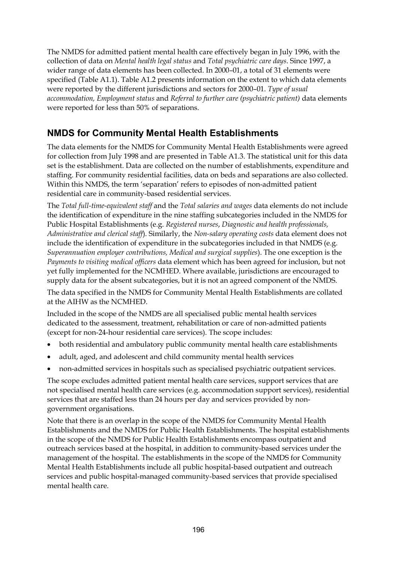The NMDS for admitted patient mental health care effectively began in July 1996, with the collection of data on *Mental health legal status* and *Total psychiatric care days*. Since 1997, a wider range of data elements has been collected. In 2000–01, a total of 31 elements were specified (Table A1.1). Table A1.2 presents information on the extent to which data elements were reported by the different jurisdictions and sectors for 2000–01. *Type of usual accommodation, Employment status* and *Referral to further care (psychiatric patient)* data elements were reported for less than 50% of separations.

### **NMDS for Community Mental Health Establishments**

The data elements for the NMDS for Community Mental Health Establishments were agreed for collection from July 1998 and are presented in Table A1.3. The statistical unit for this data set is the establishment. Data are collected on the number of establishments, expenditure and staffing. For community residential facilities, data on beds and separations are also collected. Within this NMDS, the term 'separation' refers to episodes of non-admitted patient residential care in community-based residential services.

The *Total full-time-equivalent staff* and the *Total salaries and wages* data elements do not include the identification of expenditure in the nine staffing subcategories included in the NMDS for Public Hospital Establishments (e.g. *Registered nurses*, *Diagnostic and health professionals, Administrative and clerical staff*). Similarly, the *Non-salary operating costs* data element does not include the identification of expenditure in the subcategories included in that NMDS (e.g. *Superannuation employer contributions, Medical and surgical supplies*). The one exception is the *Payments to visiting medical officers* data element which has been agreed for inclusion, but not yet fully implemented for the NCMHED. Where available, jurisdictions are encouraged to supply data for the absent subcategories, but it is not an agreed component of the NMDS.

The data specified in the NMDS for Community Mental Health Establishments are collated at the AIHW as the NCMHED.

Included in the scope of the NMDS are all specialised public mental health services dedicated to the assessment, treatment, rehabilitation or care of non-admitted patients (except for non-24-hour residential care services). The scope includes:

- both residential and ambulatory public community mental health care establishments
- adult, aged, and adolescent and child community mental health services
- non-admitted services in hospitals such as specialised psychiatric outpatient services.

The scope excludes admitted patient mental health care services, support services that are not specialised mental health care services (e.g. accommodation support services), residential services that are staffed less than 24 hours per day and services provided by nongovernment organisations.

Note that there is an overlap in the scope of the NMDS for Community Mental Health Establishments and the NMDS for Public Health Establishments. The hospital establishments in the scope of the NMDS for Public Health Establishments encompass outpatient and outreach services based at the hospital, in addition to community-based services under the management of the hospital. The establishments in the scope of the NMDS for Community Mental Health Establishments include all public hospital-based outpatient and outreach services and public hospital-managed community-based services that provide specialised mental health care.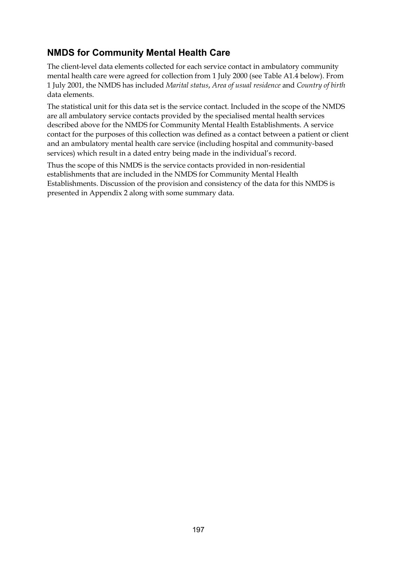### **NMDS for Community Mental Health Care**

The client-level data elements collected for each service contact in ambulatory community mental health care were agreed for collection from 1 July 2000 (see Table A1.4 below). From 1 July 2001, the NMDS has included *Marital status*, *Area of usual residence* and *Country of birth* data elements.

The statistical unit for this data set is the service contact. Included in the scope of the NMDS are all ambulatory service contacts provided by the specialised mental health services described above for the NMDS for Community Mental Health Establishments. A service contact for the purposes of this collection was defined as a contact between a patient or client and an ambulatory mental health care service (including hospital and community-based services) which result in a dated entry being made in the individual's record.

Thus the scope of this NMDS is the service contacts provided in non-residential establishments that are included in the NMDS for Community Mental Health Establishments. Discussion of the provision and consistency of the data for this NMDS is presented in Appendix 2 along with some summary data.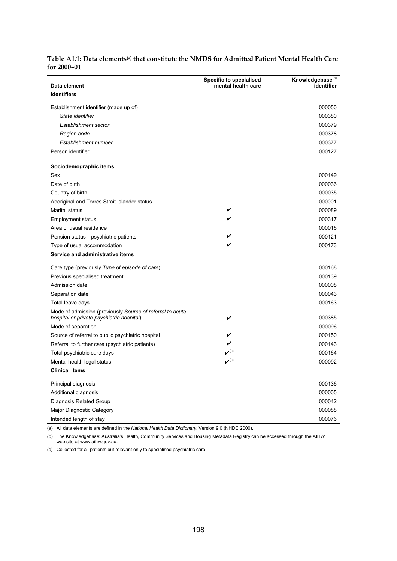| Data element                                                                                           | <b>Specific to specialised</b><br>mental health care | Knowledgebase <sup>(b)</sup><br>identifier |
|--------------------------------------------------------------------------------------------------------|------------------------------------------------------|--------------------------------------------|
| <b>Identifiers</b>                                                                                     |                                                      |                                            |
| Establishment identifier (made up of)                                                                  |                                                      | 000050                                     |
| State identifier                                                                                       |                                                      | 000380                                     |
| Establishment sector                                                                                   |                                                      | 000379                                     |
| Region code                                                                                            |                                                      | 000378                                     |
| Establishment number                                                                                   |                                                      | 000377                                     |
| Person identifier                                                                                      |                                                      | 000127                                     |
| Sociodemographic items                                                                                 |                                                      |                                            |
| Sex                                                                                                    |                                                      | 000149                                     |
| Date of birth                                                                                          |                                                      | 000036                                     |
| Country of birth                                                                                       |                                                      | 000035                                     |
| Aboriginal and Torres Strait Islander status                                                           |                                                      | 000001                                     |
| <b>Marital status</b>                                                                                  | V                                                    | 000089                                     |
| <b>Employment status</b>                                                                               | V                                                    | 000317                                     |
| Area of usual residence                                                                                |                                                      | 000016                                     |
| Pension status-psychiatric patients                                                                    |                                                      | 000121                                     |
| Type of usual accommodation                                                                            | V                                                    | 000173                                     |
| Service and administrative items                                                                       |                                                      |                                            |
| Care type (previously Type of episode of care)                                                         |                                                      | 000168                                     |
| Previous specialised treatment                                                                         |                                                      | 000139                                     |
| Admission date                                                                                         |                                                      | 000008                                     |
| Separation date                                                                                        |                                                      | 000043                                     |
| Total leave days                                                                                       |                                                      | 000163                                     |
| Mode of admission (previously Source of referral to acute<br>hospital or private psychiatric hospital) | V                                                    | 000385                                     |
| Mode of separation                                                                                     |                                                      | 000096                                     |
| Source of referral to public psychiatric hospital                                                      | V                                                    | 000150                                     |
| Referral to further care (psychiatric patients)                                                        | V                                                    | 000143                                     |
| Total psychiatric care days                                                                            | $\boldsymbol{\nu}^{\rm (c)}$                         | 000164                                     |
| Mental health legal status                                                                             | $\boldsymbol{\nu}^{\text{(c)}}$                      | 000092                                     |
| Clinical items                                                                                         |                                                      |                                            |
| Principal diagnosis                                                                                    |                                                      | 000136                                     |
| Additional diagnosis                                                                                   |                                                      | 000005                                     |
| Diagnosis Related Group                                                                                |                                                      | 000042                                     |
| Major Diagnostic Category                                                                              |                                                      | 000088                                     |
| Intended length of stay                                                                                |                                                      | 000076                                     |

#### **Table A1.1: Data elements(a) that constitute the NMDS for Admitted Patient Mental Health Care for 2000–01**

(a) All data elements are defined in the *National Health Data Dictionary*, Version 9.0 (NHDC 2000).

(b) The Knowledgebase: Australia's Health, Community Services and Housing Metadata Registry can be accessed through the AIHW web site at [www.aihw.gov.au.](http://www.aihw.gov.au/)

(c) Collected for all patients but relevant only to specialised psychiatric care.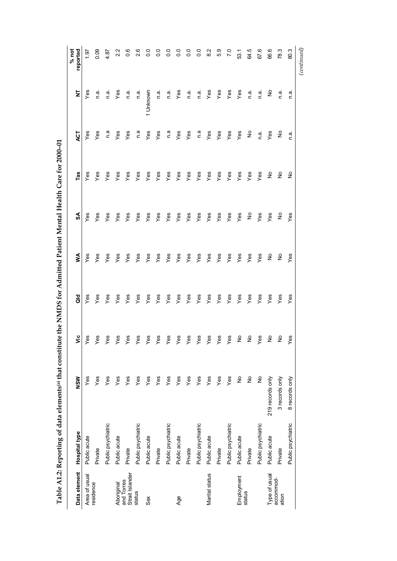| <br> <br> <br>ا<br>ا                                                                                                  |
|-----------------------------------------------------------------------------------------------------------------------|
|                                                                                                                       |
|                                                                                                                       |
|                                                                                                                       |
|                                                                                                                       |
|                                                                                                                       |
|                                                                                                                       |
|                                                                                                                       |
|                                                                                                                       |
|                                                                                                                       |
| $\overline{a}$                                                                                                        |
|                                                                                                                       |
|                                                                                                                       |
|                                                                                                                       |
|                                                                                                                       |
|                                                                                                                       |
| ֧֧֧֚֚֚֚֚֚֚֚֚֚֚֚֚֚֚֚֚֚֚֚֚֚֚֬֡֡֡֡֝֓                                                                                     |
|                                                                                                                       |
|                                                                                                                       |
|                                                                                                                       |
|                                                                                                                       |
|                                                                                                                       |
|                                                                                                                       |
|                                                                                                                       |
|                                                                                                                       |
|                                                                                                                       |
|                                                                                                                       |
|                                                                                                                       |
|                                                                                                                       |
|                                                                                                                       |
|                                                                                                                       |
|                                                                                                                       |
|                                                                                                                       |
|                                                                                                                       |
|                                                                                                                       |
|                                                                                                                       |
| ļ                                                                                                                     |
|                                                                                                                       |
|                                                                                                                       |
|                                                                                                                       |
|                                                                                                                       |
|                                                                                                                       |
|                                                                                                                       |
|                                                                                                                       |
|                                                                                                                       |
|                                                                                                                       |
|                                                                                                                       |
|                                                                                                                       |
|                                                                                                                       |
| ,<br>,<br>,<br>,<br>,<br>,<br>,<br>,                                                                                  |
|                                                                                                                       |
|                                                                                                                       |
|                                                                                                                       |
|                                                                                                                       |
|                                                                                                                       |
|                                                                                                                       |
|                                                                                                                       |
|                                                                                                                       |
|                                                                                                                       |
|                                                                                                                       |
|                                                                                                                       |
|                                                                                                                       |
| $\vdots$                                                                                                              |
|                                                                                                                       |
|                                                                                                                       |
|                                                                                                                       |
|                                                                                                                       |
|                                                                                                                       |
|                                                                                                                       |
|                                                                                                                       |
|                                                                                                                       |
| .<br>t                                                                                                                |
| ١                                                                                                                     |
|                                                                                                                       |
| ֡֡֡֡֡֡֡֡<br>י                                                                                                         |
| i                                                                                                                     |
|                                                                                                                       |
| l                                                                                                                     |
|                                                                                                                       |
| ļ<br>֕                                                                                                                |
|                                                                                                                       |
| ֖֖֪֪ׅ֪֪֪֪֪֪֪֪ׅ֚֚֚֚֚֚֚֚֚֚֚֚֚֚֚֚֚֚֚֚֚֚֚֚֡֝֝֝֝֝֝֝֝֝֝֝֬֝֬֝֬֝֝֬֝֝֝֬                                                        |
| ֖֖ׅ֖ׅ֖֖ׅ֚֚֚֚֚֚֚֚֚֚֚֚֚֚֚֚֚֚֚֚֚֡֡֡֡֡֡֡֡֡֡֬֝                                                                             |
| and the state of the state of the state of the state of the state of the state of the state of the state of th<br>ׇ֘֒ |
|                                                                                                                       |
|                                                                                                                       |
| í                                                                                                                     |
| ł<br>and the state of the state of the state of the state of the state of the state of the state of the state of th   |

| Data element                  | <b>Hospital type</b> | NSW              | $\ddot{\bar{z}}$     | aio | Š                           | SA                   | Tas           | ACT           | ż         | reported<br>$%$ not |
|-------------------------------|----------------------|------------------|----------------------|-----|-----------------------------|----------------------|---------------|---------------|-----------|---------------------|
| Area of usual                 | Public acute         | Yes              | δ9                   | Yes | Yes                         | Yes                  | Yes           | Yes           | Yes       | 1.97                |
| residence                     | Private              | Yes              | es                   | Yes | Yes                         | Yes                  | Yes           | Yes           | n a       | 0.09                |
|                               | Public psychiatric   | Yes              | ĝ,                   | Yes | Yes                         | Yes                  | Yes           | n.a           | n.a.      | 4.87                |
| Aboriginal                    | Public acute         | Yes              | es                   | Yes | Yes                         | Yes                  | Yes           | Yes           | Yes       | 2.2                 |
| Strait Islander<br>and Torres | Private              | Yes              | es)                  | Yes | Yes                         | Yes                  | Yes           | Yes           | n.a       | $0.\overline{6}$    |
| status                        | Public psychiatric   | Yes              | δĝ                   | Yes | Yes                         | Yes                  | $\frac{8}{3}$ | n a           | n a       | 2.6                 |
| Sex                           | Public acute         | Yes              | es)                  | Yes | Yes                         | Yes                  | Yes           | Yes           | 1 Unknown | $\overline{0}$      |
|                               | Private              | Yes              | es)                  | Yes | Yes                         | Yes                  | Yes           | Yes           | n a       | 0.0                 |
|                               | Public psychiatric   | Yes              | es)                  | Yes | Yes                         | Yes                  | $Y$ es        | e u           | n.a       | $\frac{0}{0}$       |
| Age                           | Public acute         | Yes              | ês                   | Yes | Yes                         | Yes                  | Yes           | Yes           | Yes       | $\overline{0}$      |
|                               | Private              | Yes              | es)                  | Yes | Yes                         | Yes                  | Yes           | Yes           | n.a       | $\frac{0}{0}$       |
|                               | Public psychiatric   | Yes              | es)                  | Yes | Yes                         | Yes                  | Yes           | n.a           | n.a.      | $\frac{0}{0}$       |
| Marital status                | Public acute         | Yes              | es)                  | Yes | Yes                         | Yes                  | Yes           | Yes           | Yes       | 2.3                 |
|                               | Private              | Yes              | Yes                  | Yes | Yes                         | Yes                  | $\vee$ es     | Yes           | Yes       | 5.9                 |
|                               | Public psychiatric   | Yes              | Yes                  | Yes | Yes                         | Yes                  | Yes           | Yes           | Yes       | $\overline{7}$ .0   |
| Employment                    | Public acute         | ş                | $\tilde{\mathsf{z}}$ | Yes | Yes                         | Yes                  | Yes           | Yes           | Yes       | 53.1                |
| status                        | Private              | $\frac{1}{2}$    | ş                    | Yes | Yes                         | $\tilde{z}$          | Yes           | $\frac{1}{2}$ | n a.      | 64.5                |
|                               | Public psychiatric   | $\frac{1}{2}$    | Yes                  | Yes | Yes                         | Yes                  | Yes           | n a           | n a.      | 67.6                |
| Type of usual                 | Public acute         | 219 records only | ş                    | Yes | $\stackrel{\circ}{\succeq}$ | Yes                  | $\tilde{z}$   | Yes           | ş         | 66.6                |
| accommod-<br>ation            | Private              | 3 records only   | $\frac{1}{2}$        | Yes | $\epsilon$                  | $\tilde{\mathsf{z}}$ | $\frac{1}{2}$ | ş             | n a       | 78.3                |
|                               | Public psychiatric   | 8 records only   | 89                   | Yes | Yes                         | Yes                  | ş             | n.a           | n.ai      | 80.3                |
|                               |                      |                  |                      |     |                             |                      |               |               |           | $_{(continued)}$    |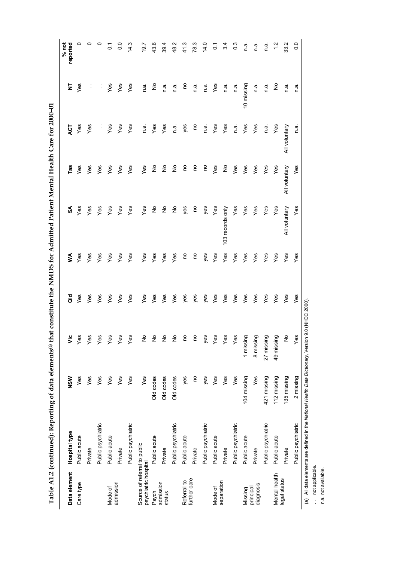| ;                                                                                                                                    |
|--------------------------------------------------------------------------------------------------------------------------------------|
| I<br>$\mathcal{L}^{\text{max}}_{\text{max}}$ and $\mathcal{L}^{\text{max}}_{\text{max}}$ and $\mathcal{L}^{\text{max}}_{\text{max}}$ |
|                                                                                                                                      |
|                                                                                                                                      |
|                                                                                                                                      |
|                                                                                                                                      |
|                                                                                                                                      |
|                                                                                                                                      |
|                                                                                                                                      |
| i                                                                                                                                    |
|                                                                                                                                      |
|                                                                                                                                      |
| ו<br>ו                                                                                                                               |
|                                                                                                                                      |
|                                                                                                                                      |
|                                                                                                                                      |
|                                                                                                                                      |
|                                                                                                                                      |
|                                                                                                                                      |
|                                                                                                                                      |
|                                                                                                                                      |
|                                                                                                                                      |
|                                                                                                                                      |
|                                                                                                                                      |
|                                                                                                                                      |
|                                                                                                                                      |
| ֖֖֧֧֧֧ׅ֧֚֚֚֚֚֚֚֚֚֚֚֚֚֚֚֚֚֚֚֚֚֚֚֚֚֚֚֚֚֚֬֝֓֝֓֝֓֜֓                                                                                      |
|                                                                                                                                      |
|                                                                                                                                      |
|                                                                                                                                      |
| ֚֘֝                                                                                                                                  |
| i<br>I                                                                                                                               |
|                                                                                                                                      |
| i                                                                                                                                    |
|                                                                                                                                      |
|                                                                                                                                      |
|                                                                                                                                      |
|                                                                                                                                      |
| i                                                                                                                                    |
|                                                                                                                                      |
|                                                                                                                                      |
|                                                                                                                                      |
| $\frac{1}{2}$                                                                                                                        |
|                                                                                                                                      |
|                                                                                                                                      |
|                                                                                                                                      |
|                                                                                                                                      |
|                                                                                                                                      |
|                                                                                                                                      |
|                                                                                                                                      |
| į                                                                                                                                    |
| Ĭ<br>ļ                                                                                                                               |
|                                                                                                                                      |
| ١<br>ׇ֘֝֬֕                                                                                                                           |
| i                                                                                                                                    |
| i                                                                                                                                    |
| l                                                                                                                                    |
|                                                                                                                                      |
| ſ<br>֕                                                                                                                               |
|                                                                                                                                      |
|                                                                                                                                      |
|                                                                                                                                      |
|                                                                                                                                      |
|                                                                                                                                      |
|                                                                                                                                      |
| ֦                                                                                                                                    |
| i                                                                                                                                    |
| and the state of the state of the state of the state of the state of the state of the state of the state of th<br>i                  |
| י                                                                                                                                    |
|                                                                                                                                      |
| ֠                                                                                                                                    |
|                                                                                                                                      |

| Data element                                         | Hospital type      | <b>NSW</b>  | νiς           | <b>Jo</b> | ⋚         | SA               | Tas           | <b>ACT</b>    | $\overline{\mathsf{z}}$ | $%$ not<br>reported  |
|------------------------------------------------------|--------------------|-------------|---------------|-----------|-----------|------------------|---------------|---------------|-------------------------|----------------------|
| Care type                                            | Public acute       | Yes         | Yes           | yes       | Yes       | Yes              | yes           | Yes           | Yes                     | 0                    |
|                                                      | Private            | Yes         | Yes           | Yes       | Yes       | Yes              | Yes           | Yes           | $\vdots$                | 0                    |
|                                                      | Public psychiatric | Yes         | Yes           | Yes       | Yes       | Yes              | Yes           | $\vdots$      | Į.                      | 0                    |
| Mode of                                              | Public acute       | Yes         | Yes           | Yes       | Yes       | Yes              | Yes           | Yes           | Yes                     | $\overline{\Omega}$  |
| admission                                            | Private            | Yes         | Yes           | Yes       | Yes       | Yes              | Yes           | Yes           | Yes                     | $\frac{0}{0}$        |
|                                                      | Public psychiatric | Yes         | Yes           | Yes       | Yes       | Yes              | Yes           | Yes           | Yes                     | 14.3                 |
| Source of referral to public<br>psychiatric hospital |                    | Yes         | $\frac{1}{2}$ | Yes       | Yes       | Yes              | Yes           | n.a           | n a                     | 7.61                 |
| Psych                                                | Public acute       | Old codes   | $\frac{1}{2}$ | Yes       | Yes       | ş                | ş             | Yes           | ş                       | 43.6                 |
| admission<br>status                                  | Private            | Old codes   | $\frac{1}{2}$ | Yes       | Yes       | ş                | ş             | Yes           | n.ai                    | 39.4                 |
|                                                      | Public psychiatric | Old codes   | $\frac{1}{2}$ | Yes       | Yes       | ş                | ş             | n.ä           | n.a                     | 48.2                 |
| Referral to                                          | Public acute       | yes         | <b>PO</b>     | yes       | <b>PO</b> | yes              | 9             | yes           | 9ū                      | 41.3                 |
| further care                                         | Private            | <b>S</b>    | 9             | yes       | 0u        | S                | S             | So            | n.a                     | 78.3                 |
|                                                      | Public psychiatric | yes         | yes           | yes       | yes       | yes              | S             | n.ai          | e.⊓                     | 14.0                 |
| Mode of                                              | Public acute       | Yes         | Yes           | Yes       | Yes       | Yes              | Yes           | Yes           | Yes                     | ្ត                   |
| separation                                           | Private            | Yes         | Yes           | Yes       | Yes       | 103 records only | ş             | Yes           | n.a                     | 34                   |
|                                                      | Public psychiatric | Yes         | Yes           | Yes       | Yes       | Yes              | Yes           | n.ai          | n.a                     | 3                    |
| Missing                                              | Public acute       | 104 missing | 1 missing     | Yes       | Yes       | Yes              | Yes           | Yes           | 10 missing              | e<br>U               |
| diagnosis<br>principal                               | Private            | Yes         | 8 missing     | Yes       | Yes       | Yes              | Yes           | Yes           | e.⊓                     | n.a                  |
|                                                      | Public psychiatric | 421 missing | 27 missing    | Yes       | Yes       | Yes              | Yes           | n.ai          | n.ai                    | n a                  |
| Mental health                                        | Public acute       | 112 missing | 49 missing    | Yes       | Yes       | $Y$ es           | Yes           | Yes           | ş                       | $\frac{1}{\sqrt{2}}$ |
| legal status                                         | Private            | 135 missing | $\frac{1}{2}$ | Yes       | Yes       | All voluntary    | All voluntary | All voluntary | n a                     | 33.2                 |
|                                                      | Public psychiatric | 2 missing   | Yes           | Yes       | Yes       | Yes              | Yes           | n.a           | n.a                     | $\frac{0}{0}$        |

(a) All data elements are defined in the *National Health Data Dictionary,* Version 9.0 (NHDC 2000).<br>. . not applicable.<br>n.a. not available. (a) All data elements are defined in the *National Health Data Dictionary*, Version 9.0 (NHDC 2000).

.. not applicable. n.a. not available.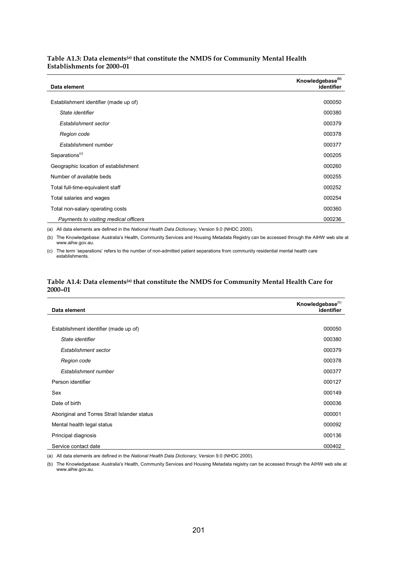#### Table A1.3: Data elements<sup>(a)</sup> that constitute the NMDS for Community Mental Health **Establishments for 2000–01**

| Data element                          | Knowledgebase <sup>(b)</sup><br>identifier |
|---------------------------------------|--------------------------------------------|
|                                       |                                            |
| Establishment identifier (made up of) | 000050                                     |
| State identifier                      | 000380                                     |
| Establishment sector                  | 000379                                     |
| Region code                           | 000378                                     |
| Establishment number                  | 000377                                     |
| Separations <sup>(c)</sup>            | 000205                                     |
| Geographic location of establishment  | 000260                                     |
| Number of available beds              | 000255                                     |
| Total full-time-equivalent staff      | 000252                                     |
| Total salaries and wages              | 000254                                     |
| Total non-salary operating costs      | 000360                                     |
| Payments to visiting medical officers | 000236                                     |

(a) All data elements are defined in the *National Health Data Dictionary*, Version 9.0 (NHDC 2000).

(b) The Knowledgebase: Australia's Health, Community Services and Housing Metadata Registry can be accessed through the AIHW web site at [www.aihw.gov.au](http://www.aihw.gov.au/).

(c) The term 'separations' refers to the number of non-admitted patient separations from community residential mental health care establishments.

#### Table A1.4: Data elements<sup>(a)</sup> that constitute the NMDS for Community Mental Health Care for **2000–01**

| Data element                                 | Knowledgebase <sup>(b)</sup><br>identifier |
|----------------------------------------------|--------------------------------------------|
|                                              |                                            |
| Establishment identifier (made up of)        | 000050                                     |
| State identifier                             | 000380                                     |
| Establishment sector                         | 000379                                     |
| Region code                                  | 000378                                     |
| Establishment number                         | 000377                                     |
| Person identifier                            | 000127                                     |
| Sex                                          | 000149                                     |
| Date of birth                                | 000036                                     |
| Aboriginal and Torres Strait Islander status | 000001                                     |
| Mental health legal status                   | 000092                                     |
| Principal diagnosis                          | 000136                                     |
| Service contact date                         | 000402                                     |

(a) All data elements are defined in the *National Health Data Dictionary*, Version 9.0 (NHDC 2000).

(b) The Knowledgebase: Australia's Health, Community Services and Housing Metadata registry can be accessed through the AIHW web site at [www.aihw.gov.au](http://www.aihw.gov.au/).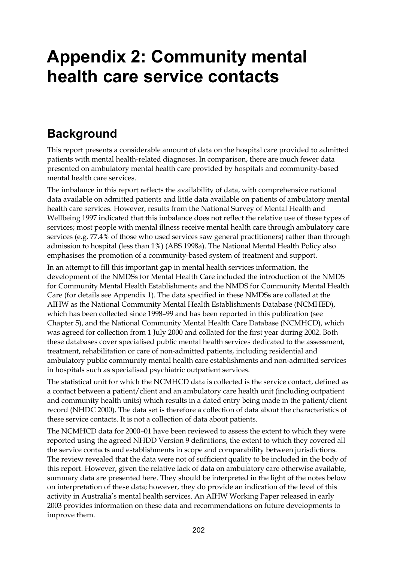## **Appendix 2: Community mental health care service contacts**

## **Background**

This report presents a considerable amount of data on the hospital care provided to admitted patients with mental health-related diagnoses. In comparison, there are much fewer data presented on ambulatory mental health care provided by hospitals and community-based mental health care services.

The imbalance in this report reflects the availability of data, with comprehensive national data available on admitted patients and little data available on patients of ambulatory mental health care services. However, results from the National Survey of Mental Health and Wellbeing 1997 indicated that this imbalance does not reflect the relative use of these types of services; most people with mental illness receive mental health care through ambulatory care services (e.g. 77.4% of those who used services saw general practitioners) rather than through admission to hospital (less than 1%) (ABS 1998a). The National Mental Health Policy also emphasises the promotion of a community-based system of treatment and support.

In an attempt to fill this important gap in mental health services information, the development of the NMDSs for Mental Health Care included the introduction of the NMDS for Community Mental Health Establishments and the NMDS for Community Mental Health Care (for details see Appendix 1). The data specified in these NMDSs are collated at the AIHW as the National Community Mental Health Establishments Database (NCMHED), which has been collected since 1998–99 and has been reported in this publication (see Chapter 5), and the National Community Mental Health Care Database (NCMHCD), which was agreed for collection from 1 July 2000 and collated for the first year during 2002. Both these databases cover specialised public mental health services dedicated to the assessment, treatment, rehabilitation or care of non-admitted patients, including residential and ambulatory public community mental health care establishments and non-admitted services in hospitals such as specialised psychiatric outpatient services.

The statistical unit for which the NCMHCD data is collected is the service contact, defined as a contact between a patient/client and an ambulatory care health unit (including outpatient and community health units) which results in a dated entry being made in the patient/client record (NHDC 2000). The data set is therefore a collection of data about the characteristics of these service contacts. It is not a collection of data about patients.

The NCMHCD data for 2000–01 have been reviewed to assess the extent to which they were reported using the agreed NHDD Version 9 definitions, the extent to which they covered all the service contacts and establishments in scope and comparability between jurisdictions. The review revealed that the data were not of sufficient quality to be included in the body of this report. However, given the relative lack of data on ambulatory care otherwise available, summary data are presented here. They should be interpreted in the light of the notes below on interpretation of these data; however, they do provide an indication of the level of this activity in Australia's mental health services. An AIHW Working Paper released in early 2003 provides information on these data and recommendations on future developments to improve them.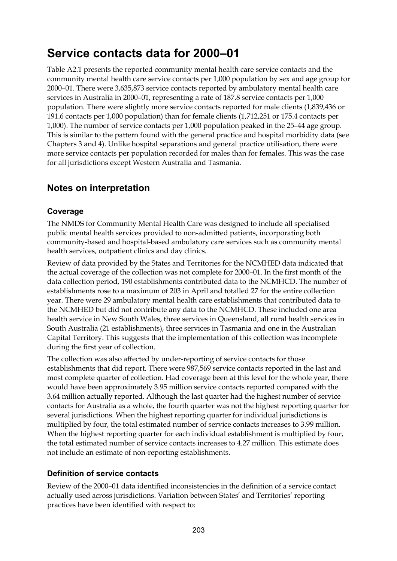## **Service contacts data for 2000–01**

Table A2.1 presents the reported community mental health care service contacts and the community mental health care service contacts per 1,000 population by sex and age group for 2000–01. There were 3,635,873 service contacts reported by ambulatory mental health care services in Australia in 2000–01, representing a rate of 187.8 service contacts per 1,000 population. There were slightly more service contacts reported for male clients (1,839,436 or 191.6 contacts per 1,000 population) than for female clients (1,712,251 or 175.4 contacts per 1,000). The number of service contacts per 1,000 population peaked in the 25–44 age group. This is similar to the pattern found with the general practice and hospital morbidity data (see Chapters 3 and 4). Unlike hospital separations and general practice utilisation, there were more service contacts per population recorded for males than for females. This was the case for all jurisdictions except Western Australia and Tasmania.

### **Notes on interpretation**

### **Coverage**

The NMDS for Community Mental Health Care was designed to include all specialised public mental health services provided to non-admitted patients, incorporating both community-based and hospital-based ambulatory care services such as community mental health services, outpatient clinics and day clinics.

Review of data provided by the States and Territories for the NCMHED data indicated that the actual coverage of the collection was not complete for 2000–01. In the first month of the data collection period, 190 establishments contributed data to the NCMHCD. The number of establishments rose to a maximum of 203 in April and totalled 27 for the entire collection year. There were 29 ambulatory mental health care establishments that contributed data to the NCMHED but did not contribute any data to the NCMHCD. These included one area health service in New South Wales, three services in Queensland, all rural health services in South Australia (21 establishments), three services in Tasmania and one in the Australian Capital Territory. This suggests that the implementation of this collection was incomplete during the first year of collection.

The collection was also affected by under-reporting of service contacts for those establishments that did report. There were 987,569 service contacts reported in the last and most complete quarter of collection. Had coverage been at this level for the whole year, there would have been approximately 3.95 million service contacts reported compared with the 3.64 million actually reported. Although the last quarter had the highest number of service contacts for Australia as a whole, the fourth quarter was not the highest reporting quarter for several jurisdictions. When the highest reporting quarter for individual jurisdictions is multiplied by four, the total estimated number of service contacts increases to 3.99 million. When the highest reporting quarter for each individual establishment is multiplied by four, the total estimated number of service contacts increases to 4.27 million. This estimate does not include an estimate of non-reporting establishments.

### **Definition of service contacts**

Review of the 2000–01 data identified inconsistencies in the definition of a service contact actually used across jurisdictions. Variation between States' and Territories' reporting practices have been identified with respect to: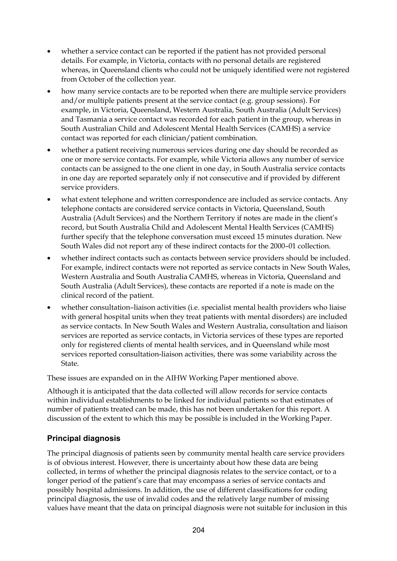- whether a service contact can be reported if the patient has not provided personal details. For example, in Victoria, contacts with no personal details are registered whereas, in Queensland clients who could not be uniquely identified were not registered from October of the collection year.
- how many service contacts are to be reported when there are multiple service providers and/or multiple patients present at the service contact (e.g. group sessions). For example, in Victoria, Queensland, Western Australia, South Australia (Adult Services) and Tasmania a service contact was recorded for each patient in the group, whereas in South Australian Child and Adolescent Mental Health Services (CAMHS) a service contact was reported for each clinician/patient combination.
- whether a patient receiving numerous services during one day should be recorded as one or more service contacts. For example, while Victoria allows any number of service contacts can be assigned to the one client in one day, in South Australia service contacts in one day are reported separately only if not consecutive and if provided by different service providers.
- what extent telephone and written correspondence are included as service contacts. Any telephone contacts are considered service contacts in Victoria, Queensland, South Australia (Adult Services) and the Northern Territory if notes are made in the client's record, but South Australia Child and Adolescent Mental Health Services (CAMHS) further specify that the telephone conversation must exceed 15 minutes duration. New South Wales did not report any of these indirect contacts for the 2000–01 collection.
- whether indirect contacts such as contacts between service providers should be included. For example, indirect contacts were not reported as service contacts in New South Wales, Western Australia and South Australia CAMHS, whereas in Victoria, Queensland and South Australia (Adult Services), these contacts are reported if a note is made on the clinical record of the patient.
- whether consultation–liaison activities (i.e. specialist mental health providers who liaise with general hospital units when they treat patients with mental disorders) are included as service contacts. In New South Wales and Western Australia, consultation and liaison services are reported as service contacts, in Victoria services of these types are reported only for registered clients of mental health services, and in Queensland while most services reported consultation-liaison activities, there was some variability across the State.

These issues are expanded on in the AIHW Working Paper mentioned above.

Although it is anticipated that the data collected will allow records for service contacts within individual establishments to be linked for individual patients so that estimates of number of patients treated can be made, this has not been undertaken for this report. A discussion of the extent to which this may be possible is included in the Working Paper.

### **Principal diagnosis**

The principal diagnosis of patients seen by community mental health care service providers is of obvious interest. However, there is uncertainty about how these data are being collected, in terms of whether the principal diagnosis relates to the service contact, or to a longer period of the patient's care that may encompass a series of service contacts and possibly hospital admissions. In addition, the use of different classifications for coding principal diagnosis, the use of invalid codes and the relatively large number of missing values have meant that the data on principal diagnosis were not suitable for inclusion in this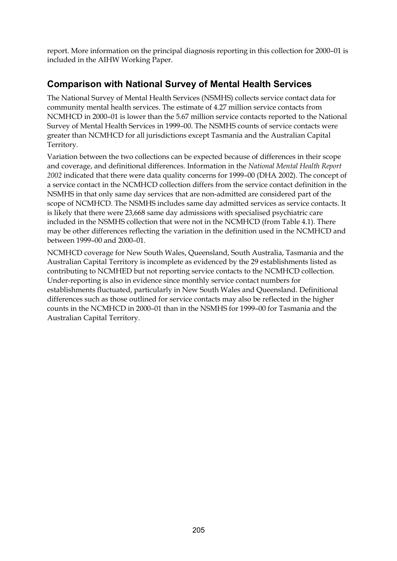report. More information on the principal diagnosis reporting in this collection for 2000–01 is included in the AIHW Working Paper.

### **Comparison with National Survey of Mental Health Services**

The National Survey of Mental Health Services (NSMHS) collects service contact data for community mental health services. The estimate of 4.27 million service contacts from NCMHCD in 2000–01 is lower than the 5.67 million service contacts reported to the National Survey of Mental Health Services in 1999–00. The NSMHS counts of service contacts were greater than NCMHCD for all jurisdictions except Tasmania and the Australian Capital Territory.

Variation between the two collections can be expected because of differences in their scope and coverage, and definitional differences. Information in the *National Mental Health Report 2002* indicated that there were data quality concerns for 1999–00 (DHA 2002). The concept of a service contact in the NCMHCD collection differs from the service contact definition in the NSMHS in that only same day services that are non-admitted are considered part of the scope of NCMHCD. The NSMHS includes same day admitted services as service contacts. It is likely that there were 23,668 same day admissions with specialised psychiatric care included in the NSMHS collection that were not in the NCMHCD (from Table 4.1). There may be other differences reflecting the variation in the definition used in the NCMHCD and between 1999–00 and 2000–01.

NCMHCD coverage for New South Wales, Queensland, South Australia, Tasmania and the Australian Capital Territory is incomplete as evidenced by the 29 establishments listed as contributing to NCMHED but not reporting service contacts to the NCMHCD collection. Under-reporting is also in evidence since monthly service contact numbers for establishments fluctuated, particularly in New South Wales and Queensland. Definitional differences such as those outlined for service contacts may also be reflected in the higher counts in the NCMHCD in 2000–01 than in the NSMHS for 1999–00 for Tasmania and the Australian Capital Territory.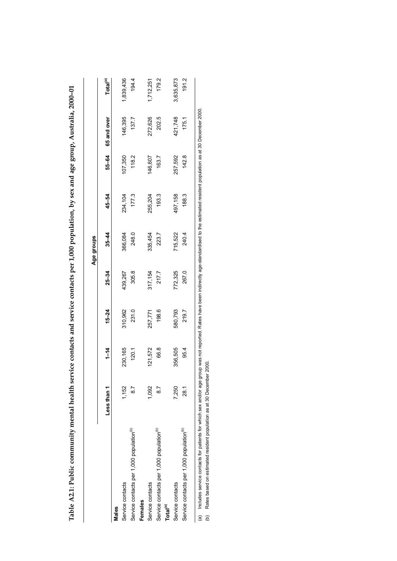|                                                                                                                                                                                                    |               |          |           |           | Age groups |         |         |             |                      |
|----------------------------------------------------------------------------------------------------------------------------------------------------------------------------------------------------|---------------|----------|-----------|-----------|------------|---------|---------|-------------|----------------------|
|                                                                                                                                                                                                    | Less than 1   | $1 - 14$ | $15 - 24$ | $25 - 34$ | $35 - 44$  | 45–54   | 55-64   | 65 and over | Total <sup>(a)</sup> |
| Males                                                                                                                                                                                              |               |          |           |           |            |         |         |             |                      |
| Service contacts                                                                                                                                                                                   | 1,152         | 230,165  | 310,962   | 439,267   | 366,084    | 234,104 | 107,350 | 146,395     | ,839,436             |
| Service contacts per 1,000 population <sup>(b)</sup>                                                                                                                                               | $\approx$     | 120.1    | 231.0     | 305.8     | 248.0      | 177.3   | 118.2   | 137.7       | 194.4                |
| Females                                                                                                                                                                                            |               |          |           |           |            |         |         |             |                      |
| Service contacts                                                                                                                                                                                   | 1,092         | 121,572  | 257,771   | 317,154   | 335,454    | 255,204 | 146,607 | 272,626     | 1,712,251            |
| Service contacts per 1,000 population <sup>(b)</sup>                                                                                                                                               | $\frac{1}{8}$ | 66.8     | 198.6     | 217.7     | 223.7      | 193.3   | 163.7   | 202.5       | 179.2                |
| Total <sup>(a)</sup>                                                                                                                                                                               |               |          |           |           |            |         |         |             |                      |
| Service contacts                                                                                                                                                                                   | 7,250         | 356,505  | 580,793   | 772,325   | 715,522    | 497,158 | 257,592 | 421,748     | 3,635,873            |
| Service contacts per 1,000 population <sup>(b)</sup>                                                                                                                                               | 28.1          | 95.4     | 219.7     | 267.0     | 240.4      | 188.3   | 142.8   | 175.1       | 191.2                |
| a) Includes service contacts for patients for which sex and/or age group was not reported. Rates have been indirectly age-standardised to the estimated resident population as at 30 December 2000 |               |          |           |           |            |         |         |             |                      |
| Rates based on estimated resident population as at 30 December 2000.<br>e)                                                                                                                         |               |          |           |           |            |         |         |             |                      |

Table A2.1: Public community mental health service contacts and service contacts per 1,000 population, by sex and age group, Australia, 2000-01 **Table A2.1: Public community mental health service contacts and service contacts per 1,000 population, by sex and age group, Australia, 2000–01**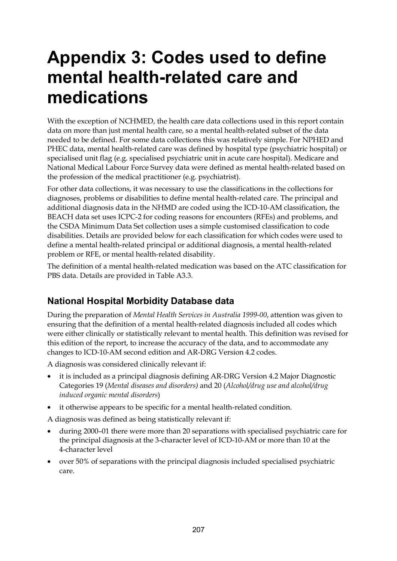# **Appendix 3: Codes used to define mental health-related care and medications**

With the exception of NCHMED, the health care data collections used in this report contain data on more than just mental health care, so a mental health-related subset of the data needed to be defined. For some data collections this was relatively simple. For NPHED and PHEC data, mental health-related care was defined by hospital type (psychiatric hospital) or specialised unit flag (e.g. specialised psychiatric unit in acute care hospital). Medicare and National Medical Labour Force Survey data were defined as mental health-related based on the profession of the medical practitioner (e.g. psychiatrist).

For other data collections, it was necessary to use the classifications in the collections for diagnoses, problems or disabilities to define mental health-related care. The principal and additional diagnosis data in the NHMD are coded using the ICD-10-AM classification, the BEACH data set uses ICPC-2 for coding reasons for encounters (RFEs) and problems, and the CSDA Minimum Data Set collection uses a simple customised classification to code disabilities. Details are provided below for each classification for which codes were used to define a mental health-related principal or additional diagnosis, a mental health-related problem or RFE, or mental health-related disability.

The definition of a mental health-related medication was based on the ATC classification for PBS data. Details are provided in Table A3.3.

### **National Hospital Morbidity Database data**

During the preparation of *Mental Health Services in Australia 1999-00*, attention was given to ensuring that the definition of a mental health-related diagnosis included all codes which were either clinically or statistically relevant to mental health. This definition was revised for this edition of the report, to increase the accuracy of the data, and to accommodate any changes to ICD-10-AM second edition and AR-DRG Version 4.2 codes.

A diagnosis was considered clinically relevant if:

- it is included as a principal diagnosis defining AR-DRG Version 4.2 Major Diagnostic Categories 19 (*Mental diseases and disorders)* and 20 (*Alcohol/drug use and alcohol/drug induced organic mental disorders*)
- it otherwise appears to be specific for a mental health-related condition.

A diagnosis was defined as being statistically relevant if:

- during 2000–01 there were more than 20 separations with specialised psychiatric care for the principal diagnosis at the 3-character level of ICD-10-AM or more than 10 at the 4-character level
- over 50% of separations with the principal diagnosis included specialised psychiatric care.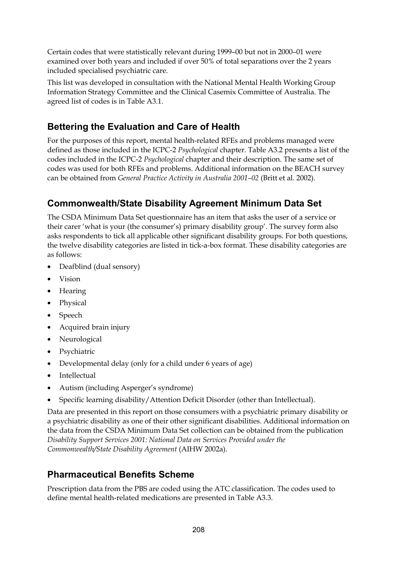Certain codes that were statistically relevant during 1999–00 but not in 2000–01 were examined over both years and included if over 50% of total separations over the 2 years included specialised psychiatric care.

This list was developed in consultation with the National Mental Health Working Group Information Strategy Committee and the Clinical Casemix Committee of Australia. The agreed list of codes is in Table A3.1.

### **Bettering the Evaluation and Care of Health**

For the purposes of this report, mental health-related RFEs and problems managed were defined as those included in the ICPC-2 *Psychological* chapter. Table A3.2 presents a list of the codes included in the ICPC-2 *Psychological* chapter and their description. The same set of codes was used for both RFEs and problems. Additional information on the BEACH survey can be obtained from *General Practice Activity in Australia 2001–02* (Britt et al. 2002).

### **Commonwealth/State Disability Agreement Minimum Data Set**

The CSDA Minimum Data Set questionnaire has an item that asks the user of a service or their carer 'what is your (the consumer's) primary disability group'. The survey form also asks respondents to tick all applicable other significant disability groups. For both questions, the twelve disability categories are listed in tick-a-box format. These disability categories are as follows:

- Deafblind (dual sensory)
- Vision
- Hearing
- Physical
- Speech
- Acquired brain injury
- Neurological
- Psychiatric
- Developmental delay (only for a child under 6 years of age)
- Intellectual
- Autism (including Asperger's syndrome)
- Specific learning disability/Attention Deficit Disorder (other than Intellectual).

Data are presented in this report on those consumers with a psychiatric primary disability or a psychiatric disability as one of their other significant disabilities. Additional information on the data from the CSDA Minimum Data Set collection can be obtained from the publication *Disability Support Services 2001: National Data on Services Provided under the Commonwealth/State Disability Agreement* (AIHW 2002a).

### **Pharmaceutical Benefits Scheme**

Prescription data from the PBS are coded using the ATC classification. The codes used to define mental health-related medications are presented in Table A3.3.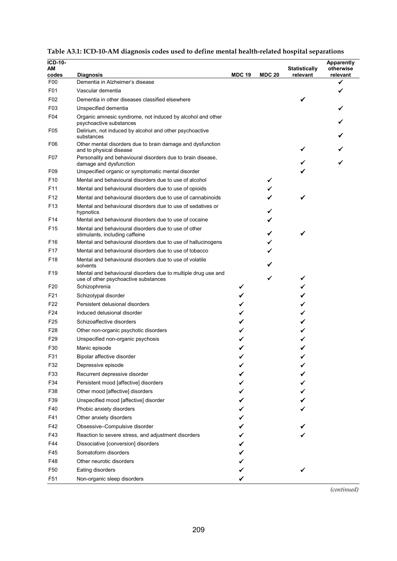| <b>ICD-10-</b><br>АM<br>codes | <b>Diagnosis</b>                                                                                      | <b>MDC 19</b> | <b>MDC 20</b> | <b>Statistically</b><br>relevant | <b>Apparently</b><br>otherwise<br>relevant |
|-------------------------------|-------------------------------------------------------------------------------------------------------|---------------|---------------|----------------------------------|--------------------------------------------|
| F00                           | Dementia in Alzheimer's disease                                                                       |               |               |                                  | ✔                                          |
| F01                           | Vascular dementia                                                                                     |               |               |                                  |                                            |
| F <sub>02</sub>               | Dementia in other diseases classified elsewhere                                                       |               |               |                                  |                                            |
| F <sub>03</sub>               | Unspecified dementia                                                                                  |               |               |                                  |                                            |
| F04                           | Organic amnesic syndrome, not induced by alcohol and other<br>psychoactive substances                 |               |               |                                  |                                            |
| F <sub>05</sub>               | Delirium, not induced by alcohol and other psychoactive<br>substances                                 |               |               |                                  |                                            |
| F06                           | Other mental disorders due to brain damage and dysfunction<br>and to physical disease                 |               |               |                                  |                                            |
| F07                           | Personality and behavioural disorders due to brain disease,<br>damage and dysfunction                 |               |               |                                  |                                            |
| F <sub>09</sub>               | Unspecified organic or symptomatic mental disorder                                                    |               |               |                                  |                                            |
| F <sub>10</sub>               | Mental and behavioural disorders due to use of alcohol                                                |               |               |                                  |                                            |
| F <sub>11</sub>               | Mental and behavioural disorders due to use of opioids                                                |               |               |                                  |                                            |
| F <sub>12</sub>               | Mental and behavioural disorders due to use of cannabinoids                                           |               |               |                                  |                                            |
| F <sub>13</sub>               | Mental and behavioural disorders due to use of sedatives or<br>hypnotics                              |               |               |                                  |                                            |
| F <sub>14</sub>               | Mental and behavioural disorders due to use of cocaine                                                |               |               |                                  |                                            |
| F <sub>15</sub>               | Mental and behavioural disorders due to use of other<br>stimulants, including caffeine                |               |               | ✓                                |                                            |
| F16                           | Mental and behavioural disorders due to use of hallucinogens                                          |               |               |                                  |                                            |
| F <sub>17</sub>               | Mental and behavioural disorders due to use of tobacco                                                |               |               |                                  |                                            |
| F <sub>18</sub>               | Mental and behavioural disorders due to use of volatile<br>solvents                                   |               |               |                                  |                                            |
| F <sub>19</sub>               | Mental and behavioural disorders due to multiple drug use and<br>use of other psychoactive substances |               |               |                                  |                                            |
| F <sub>20</sub>               | Schizophrenia                                                                                         | ✔             |               |                                  |                                            |
| F21                           | Schizotypal disorder                                                                                  |               |               |                                  |                                            |
| F <sub>22</sub>               | Persistent delusional disorders                                                                       |               |               |                                  |                                            |
| F <sub>24</sub>               | Induced delusional disorder                                                                           |               |               |                                  |                                            |
| F <sub>25</sub>               | Schizoaffective disorders                                                                             |               |               |                                  |                                            |
| F <sub>28</sub>               | Other non-organic psychotic disorders                                                                 |               |               |                                  |                                            |
| F <sub>29</sub>               | Unspecified non-organic psychosis                                                                     |               |               |                                  |                                            |
| F30                           | Manic episode                                                                                         |               |               |                                  |                                            |
| F31                           | Bipolar affective disorder                                                                            |               |               |                                  |                                            |
| F32                           | Depressive episode                                                                                    |               |               |                                  |                                            |
| F33                           | Recurrent depressive disorder                                                                         |               |               |                                  |                                            |
| F34                           | Persistent mood [affective] disorders                                                                 |               |               |                                  |                                            |
| F38                           | Other mood [affective] disorders                                                                      |               |               |                                  |                                            |
| F39                           | Unspecified mood [affective] disorder                                                                 |               |               |                                  |                                            |
| F40                           | Phobic anxiety disorders                                                                              |               |               |                                  |                                            |
| F41                           | Other anxiety disorders                                                                               |               |               |                                  |                                            |
| F42                           | Obsessive-Compulsive disorder                                                                         |               |               |                                  |                                            |
| F43                           | Reaction to severe stress, and adjustment disorders                                                   |               |               |                                  |                                            |
| F44                           | Dissociative [conversion] disorders                                                                   |               |               |                                  |                                            |
| F45                           | Somatoform disorders                                                                                  |               |               |                                  |                                            |
| F48                           | Other neurotic disorders                                                                              |               |               |                                  |                                            |
| F <sub>50</sub>               | Eating disorders                                                                                      |               |               |                                  |                                            |
| F <sub>51</sub>               | Non-organic sleep disorders                                                                           |               |               |                                  |                                            |

| Table A3.1: ICD-10-AM diagnosis codes used to define mental health-related hospital separations |  |  |
|-------------------------------------------------------------------------------------------------|--|--|
|                                                                                                 |  |  |

*(continued)*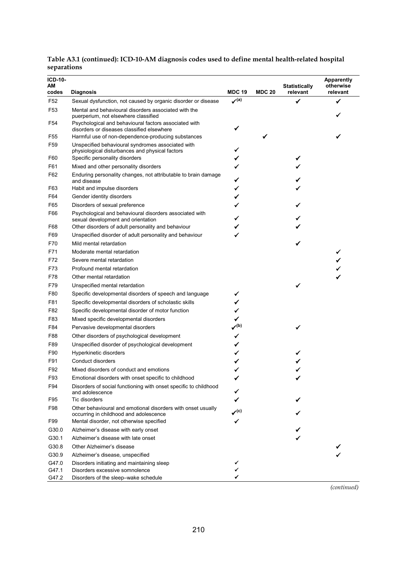| <b>ICD-10-</b><br>AМ<br>codes | <b>Diagnosis</b>                                                                                                                            | <b>MDC 19</b>                             | <b>MDC 20</b> | <b>Statistically</b><br>relevant | <b>Apparently</b><br>otherwise<br>relevant |
|-------------------------------|---------------------------------------------------------------------------------------------------------------------------------------------|-------------------------------------------|---------------|----------------------------------|--------------------------------------------|
| F <sub>52</sub>               | Sexual dysfunction, not caused by organic disorder or disease                                                                               | $\mathcal{I}^{(a)}$                       |               |                                  |                                            |
| F <sub>53</sub>               | Mental and behavioural disorders associated with the                                                                                        |                                           |               |                                  |                                            |
| F54                           | puerperium, not elsewhere classified<br>Psychological and behavioural factors associated with<br>disorders or diseases classified elsewhere | ✔                                         |               |                                  |                                            |
| F55                           | Harmful use of non-dependence-producing substances                                                                                          |                                           | ✓             |                                  |                                            |
| F <sub>59</sub>               | Unspecified behavioural syndromes associated with<br>physiological disturbances and physical factors                                        |                                           |               |                                  |                                            |
| F60                           | Specific personality disorders                                                                                                              |                                           |               |                                  |                                            |
| F61                           | Mixed and other personality disorders                                                                                                       | ✓                                         |               |                                  |                                            |
| F62                           | Enduring personality changes, not attributable to brain damage<br>and disease                                                               | ✓                                         |               |                                  |                                            |
| F63                           | Habit and impulse disorders                                                                                                                 | ✓                                         |               |                                  |                                            |
| F64                           | Gender identity disorders                                                                                                                   | ✓                                         |               |                                  |                                            |
| F65                           | Disorders of sexual preference                                                                                                              |                                           |               |                                  |                                            |
| F66                           | Psychological and behavioural disorders associated with                                                                                     |                                           |               |                                  |                                            |
|                               | sexual development and orientation                                                                                                          |                                           |               |                                  |                                            |
| F68                           | Other disorders of adult personality and behaviour                                                                                          |                                           |               |                                  |                                            |
| F69                           | Unspecified disorder of adult personality and behaviour                                                                                     |                                           |               |                                  |                                            |
| F70                           | Mild mental retardation                                                                                                                     |                                           |               |                                  |                                            |
| F71                           | Moderate mental retardation                                                                                                                 |                                           |               |                                  |                                            |
| F72                           | Severe mental retardation                                                                                                                   |                                           |               |                                  |                                            |
| F73                           | Profound mental retardation                                                                                                                 |                                           |               |                                  |                                            |
| F78                           | Other mental retardation                                                                                                                    |                                           |               |                                  |                                            |
| F79                           | Unspecified mental retardation                                                                                                              |                                           |               |                                  |                                            |
| F80                           | Specific developmental disorders of speech and language                                                                                     |                                           |               |                                  |                                            |
| F81                           | Specific developmental disorders of scholastic skills                                                                                       | ✓                                         |               |                                  |                                            |
| F82                           | Specific developmental disorder of motor function                                                                                           | ✓                                         |               |                                  |                                            |
| F83                           | Mixed specific developmental disorders                                                                                                      | ✓                                         |               |                                  |                                            |
| F84                           | Pervasive developmental disorders                                                                                                           | $\boldsymbol{\mathcal{p}}^{(\mathsf{b})}$ |               |                                  |                                            |
| F88                           | Other disorders of psychological development                                                                                                | ✔                                         |               |                                  |                                            |
| F89                           | Unspecified disorder of psychological development                                                                                           | ✓                                         |               |                                  |                                            |
| F90                           | Hyperkinetic disorders                                                                                                                      |                                           |               |                                  |                                            |
| F91                           | Conduct disorders                                                                                                                           |                                           |               |                                  |                                            |
| F92                           | Mixed disorders of conduct and emotions                                                                                                     |                                           |               |                                  |                                            |
| F93                           | Emotional disorders with onset specific to childhood                                                                                        |                                           |               |                                  |                                            |
| F94                           | Disorders of social functioning with onset specific to childhood<br>and adolescence                                                         |                                           |               |                                  |                                            |
| F95                           | Tic disorders                                                                                                                               |                                           |               |                                  |                                            |
| F98                           | Other behavioural and emotional disorders with onset usually<br>occurring in childhood and adolescence                                      | $\chi^{(c)}$                              |               |                                  |                                            |
| F99                           | Mental disorder, not otherwise specified                                                                                                    |                                           |               |                                  |                                            |
| G30.0                         | Alzheimer's disease with early onset                                                                                                        |                                           |               |                                  |                                            |
| G30.1                         | Alzheimer's disease with late onset                                                                                                         |                                           |               |                                  |                                            |
| G30.8                         | Other Alzheimer's disease                                                                                                                   |                                           |               |                                  |                                            |
| G30.9                         | Alzheimer's disease, unspecified                                                                                                            |                                           |               |                                  |                                            |
| G47.0                         | Disorders initiating and maintaining sleep                                                                                                  |                                           |               |                                  |                                            |
| G47.1<br>G47.2                | Disorders excessive somnolence<br>Disorders of the sleep-wake schedule                                                                      |                                           |               |                                  |                                            |

**Table A3.1 (continued): ICD-10-AM diagnosis codes used to define mental health-related hospital separations**

*(continued)*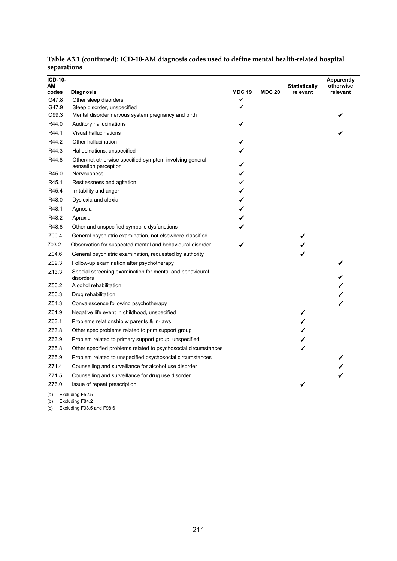| $ICD-10-$<br>АM   |                                                                                 |                    |               | <b>Statistically</b> | <b>Apparently</b><br>otherwise |
|-------------------|---------------------------------------------------------------------------------|--------------------|---------------|----------------------|--------------------------------|
| codes<br>G47.8    | <b>Diagnosis</b>                                                                | <b>MDC 19</b><br>✓ | <b>MDC 20</b> | relevant             | relevant                       |
| G47.9             | Other sleep disorders<br>Sleep disorder, unspecified                            | ✔                  |               |                      |                                |
| O99.3             | Mental disorder nervous system pregnancy and birth                              |                    |               |                      |                                |
| R44.0             | Auditory hallucinations                                                         | ✔                  |               |                      |                                |
| R44.1             | Visual hallucinations                                                           |                    |               |                      |                                |
| R44.2             | Other hallucination                                                             | ✔                  |               |                      |                                |
| R44.3             | Hallucinations, unspecified                                                     |                    |               |                      |                                |
| R44.8             | Other/not otherwise specified symptom involving general<br>sensation perception |                    |               |                      |                                |
| R45.0             | <b>Nervousness</b>                                                              |                    |               |                      |                                |
| R45.1             | Restlessness and agitation                                                      |                    |               |                      |                                |
| R45.4             | Irritability and anger                                                          | ✔                  |               |                      |                                |
| R48.0             | Dyslexia and alexia                                                             |                    |               |                      |                                |
| R48.1             | Agnosia                                                                         |                    |               |                      |                                |
| R48.2             | Apraxia                                                                         |                    |               |                      |                                |
| R48.8             | Other and unspecified symbolic dysfunctions                                     |                    |               |                      |                                |
| Z00.4             | General psychiatric examination, not elsewhere classified                       |                    |               | ✔                    |                                |
| Z03.2             | Observation for suspected mental and behavioural disorder                       |                    |               |                      |                                |
| Z04.6             | General psychiatric examination, requested by authority                         |                    |               | ✓                    |                                |
| Z09.3             | Follow-up examination after psychotherapy                                       |                    |               |                      |                                |
| Z <sub>13.3</sub> | Special screening examination for mental and behavioural<br>disorders           |                    |               |                      |                                |
| Z50.2             | Alcohol rehabilitation                                                          |                    |               |                      |                                |
| Z <sub>50.3</sub> | Drug rehabilitation                                                             |                    |               |                      |                                |
| Z54.3             | Convalescence following psychotherapy                                           |                    |               |                      |                                |
| Z61.9             | Negative life event in childhood, unspecified                                   |                    |               | ✔                    |                                |
| Z63.1             | Problems relationship w parents & in-laws                                       |                    |               |                      |                                |
| Z63.8             | Other spec problems related to prim support group                               |                    |               |                      |                                |
| Z63.9             | Problem related to primary support group, unspecified                           |                    |               |                      |                                |
| Z65.8             | Other specified problems related to psychosocial circumstances                  |                    |               |                      |                                |
| Z65.9             | Problem related to unspecified psychosocial circumstances                       |                    |               |                      |                                |
| Z71.4             | Counselling and surveillance for alcohol use disorder                           |                    |               |                      |                                |
| Z71.5             | Counselling and surveillance for drug use disorder                              |                    |               |                      |                                |
| Z76.0             | Issue of repeat prescription                                                    |                    |               | ✓                    |                                |

**Table A3.1 (continued): ICD-10-AM diagnosis codes used to define mental health-related hospital separations**

(a) Excluding F52.5

(b) Excluding F84.2

(c) Excluding F98.5 and F98.6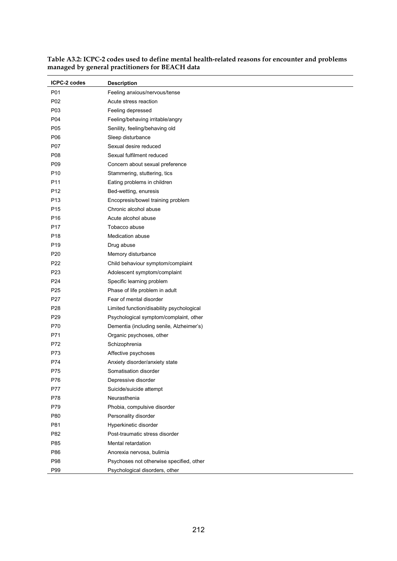| ICPC-2 codes    | <b>Description</b>                        |
|-----------------|-------------------------------------------|
| P01             | Feeling anxious/nervous/tense             |
| P02             | Acute stress reaction                     |
| P03             | Feeling depressed                         |
| P04             | Feeling/behaving irritable/angry          |
| P05             | Senility, feeling/behaving old            |
| P06             | Sleep disturbance                         |
| P07             | Sexual desire reduced                     |
| P08             | Sexual fulfilment reduced                 |
| P09             | Concern about sexual preference           |
| P <sub>10</sub> | Stammering, stuttering, tics              |
| P <sub>11</sub> | Eating problems in children               |
| P <sub>12</sub> | Bed-wetting, enuresis                     |
| P <sub>13</sub> | Encopresis/bowel training problem         |
| P <sub>15</sub> | Chronic alcohol abuse                     |
| P <sub>16</sub> | Acute alcohol abuse                       |
| P17             | Tobacco abuse                             |
| P18             | Medication abuse                          |
| P <sub>19</sub> | Drug abuse                                |
| P <sub>20</sub> | Memory disturbance                        |
| P22             | Child behaviour symptom/complaint         |
| P <sub>23</sub> | Adolescent symptom/complaint              |
| P24             | Specific learning problem                 |
| P <sub>25</sub> | Phase of life problem in adult            |
| P27             | Fear of mental disorder                   |
| P28             | Limited function/disability psychological |
| P <sub>29</sub> | Psychological symptom/complaint, other    |
| P70             | Dementia (including senile, Alzheimer's)  |
| P71             | Organic psychoses, other                  |
| P72             | Schizophrenia                             |
| P73             | Affective psychoses                       |
| P74             | Anxiety disorder/anxiety state            |
| P75             | Somatisation disorder                     |
| P76             | Depressive disorder                       |
| P77             | Suicide/suicide attempt                   |
| P78             | Neurasthenia                              |
| P79             | Phobia, compulsive disorder               |
| P80             | Personality disorder                      |
| P81             | Hyperkinetic disorder                     |
| P82             | Post-traumatic stress disorder            |
| P85             | Mental retardation                        |
| P86             | Anorexia nervosa, bulimia                 |
| P98             | Psychoses not otherwise specified, other  |
| P99             | Psychological disorders, other            |

**Table A3.2: ICPC-2 codes used to define mental health-related reasons for encounter and problems managed by general practitioners for BEACH data**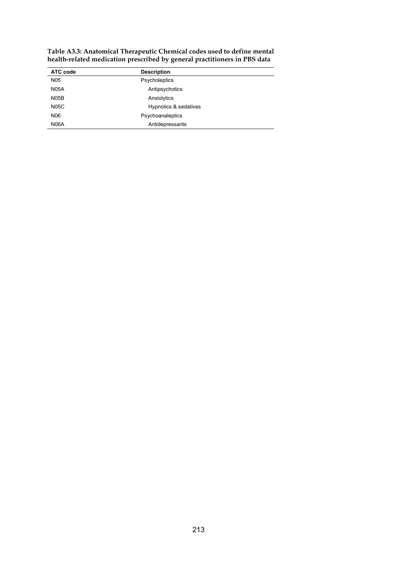| ATC code          | <b>Description</b>    |  |
|-------------------|-----------------------|--|
| N <sub>05</sub>   | Psycholeptics         |  |
| <b>N05A</b>       | Antipsychotics        |  |
| N <sub>05</sub> B | Anxiolytics           |  |
| <b>N05C</b>       | Hypnotics & sedatives |  |
| N06               | Psychoanaleptics      |  |
| N <sub>06</sub> A | Antidepressants       |  |

**Table A3.3: Anatomical Therapeutic Chemical codes used to define mental health-related medication prescribed by general practitioners in PBS data**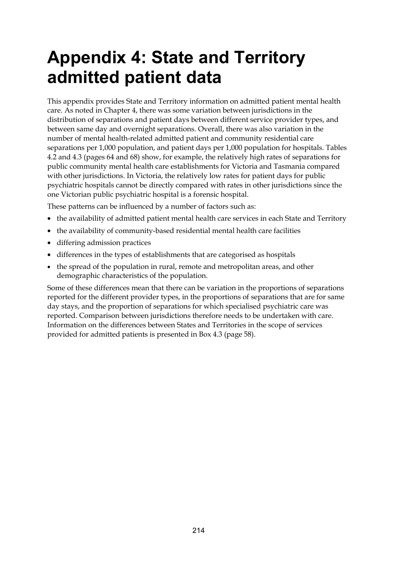# **Appendix 4: State and Territory admitted patient data**

This appendix provides State and Territory information on admitted patient mental health care. As noted in Chapter 4, there was some variation between jurisdictions in the distribution of separations and patient days between different service provider types, and between same day and overnight separations. Overall, there was also variation in the number of mental health-related admitted patient and community residential care separations per 1,000 population, and patient days per 1,000 population for hospitals. Tables 4.2 and 4.3 (pages 64 and 68) show, for example, the relatively high rates of separations for public community mental health care establishments for Victoria and Tasmania compared with other jurisdictions. In Victoria, the relatively low rates for patient days for public psychiatric hospitals cannot be directly compared with rates in other jurisdictions since the one Victorian public psychiatric hospital is a forensic hospital.

These patterns can be influenced by a number of factors such as:

- the availability of admitted patient mental health care services in each State and Territory
- the availability of community-based residential mental health care facilities
- differing admission practices
- differences in the types of establishments that are categorised as hospitals
- the spread of the population in rural, remote and metropolitan areas, and other demographic characteristics of the population.

Some of these differences mean that there can be variation in the proportions of separations reported for the different provider types, in the proportions of separations that are for same day stays, and the proportion of separations for which specialised psychiatric care was reported. Comparison between jurisdictions therefore needs to be undertaken with care. Information on the differences between States and Territories in the scope of services provided for admitted patients is presented in Box 4.3 (page 58).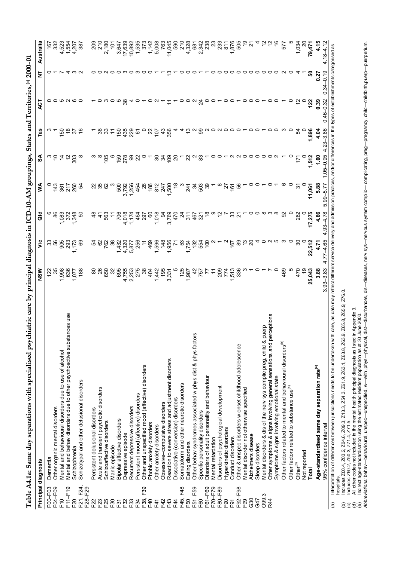|                   | Principal diagnosis                                                                                                                                                                                                            | NSW              | ≝                  | ខី                     | ≸                         | న్                                                      | Tas                    | ACT               | ₹                | Australia                 |
|-------------------|--------------------------------------------------------------------------------------------------------------------------------------------------------------------------------------------------------------------------------|------------------|--------------------|------------------------|---------------------------|---------------------------------------------------------|------------------------|-------------------|------------------|---------------------------|
|                   |                                                                                                                                                                                                                                |                  |                    |                        |                           |                                                         |                        |                   |                  |                           |
| F00-F03           | Dementia                                                                                                                                                                                                                       | 123              | సి ది              |                        |                           | ာ ခ                                                     |                        |                   |                  | 167                       |
| F04-F09           | Other organic mental disorders                                                                                                                                                                                                 |                  |                    | 86                     | 143                       |                                                         |                        |                   |                  | 332                       |
| $\overline{F}$ 10 | Mental and behavioural disorders due to use of alcohol                                                                                                                                                                         | .998             | 905                | 083                    | $\widetilde{\mathcal{S}}$ |                                                         | 150                    |                   |                  | 4,523                     |
| F11-F19           | tances use<br>Mental and behav disorders due to other psychoactive subst                                                                                                                                                       | 636              | 293                | 372                    | 217                       |                                                         |                        |                   |                  | 1,554                     |
| F <sub>20</sub>   | Schizophrenia                                                                                                                                                                                                                  | 1,077            | 1,173              | .348                   | 260                       | 303                                                     | 76                     | 00 00 00          |                  | 4,207                     |
| F21, F24,         | Schizotypal and other delusional disorders                                                                                                                                                                                     | 188              | 69                 |                        | Ŗ                         |                                                         |                        |                   |                  | 387                       |
| F28-F29           |                                                                                                                                                                                                                                |                  |                    |                        |                           |                                                         |                        |                   |                  |                           |
| F22               | Persistent delusional disorders                                                                                                                                                                                                | 80               |                    |                        |                           |                                                         |                        |                   |                  | 200<br>210                |
| F23               | Acute and transient psychotic disorders                                                                                                                                                                                        | 26               | 8                  | $\boldsymbol{\dot{A}}$ |                           |                                                         |                        |                   |                  |                           |
| F25               | Schizoaffective disorders                                                                                                                                                                                                      | 650              | 762                | 563                    |                           | 105                                                     |                        |                   |                  | 2,180                     |
| F30               | Manic episode                                                                                                                                                                                                                  | 32               | 38                 | Ξ                      |                           |                                                         |                        |                   |                  | ģ                         |
| F31               | Bipolar affective disorders                                                                                                                                                                                                    | 695              | 1,432              | $\frac{8}{2}$          | 500                       |                                                         | 150                    |                   | $\circ$          |                           |
| F32               | Depressive episode                                                                                                                                                                                                             | 4,755            | 4,320              | 4,018                  | 3,792                     | $159$<br>$278$                                          | 435                    |                   |                  |                           |
| F33               | Recurrent depressive disorders                                                                                                                                                                                                 | 2,253            | 5,877              | 1,174                  | 1,256                     | 8                                                       | 229                    |                   | っ                | 3,647<br>17,639<br>10,892 |
| F34               | Persistent mood (affective) disorders                                                                                                                                                                                          | 275              | 256                | $\frac{4}{3}$          | 454                       | 22                                                      | 6                      |                   |                  | 1,535                     |
| F39<br>F38,       | Other and unspecified mood (affective) disorders                                                                                                                                                                               | 38               | Ξ                  | 297                    | $^{26}$                   |                                                         |                        |                   |                  | 373                       |
| F40               | Phobic anxiety disorders                                                                                                                                                                                                       | 404              | 469                | 8                      | 186                       |                                                         | 2                      |                   |                  | 1,142                     |
| F4                | Other anxiety disorders                                                                                                                                                                                                        | 1,442            | 1,596              | 1,018                  |                           |                                                         |                        | $\sim$            |                  | 5,008                     |
| F42               | Obsessive-compulsive disorders                                                                                                                                                                                                 | 195              | 148                | æ                      |                           | 94                                                      | $107$<br>43            |                   |                  | 763                       |
| F43               | Reaction to severe stress and adjustment disorders                                                                                                                                                                             | 3,331            | 1,956              | 3,769                  | 817<br>847<br>847<br>88   |                                                         | 356                    |                   |                  | 11,045                    |
| E4                | Dissociative (conversion) disorders                                                                                                                                                                                            |                  |                    | 470                    |                           | $\frac{20}{20}$                                         |                        |                   |                  | 590                       |
| F48<br>F45,       | Somatoform and other neurotic disorders                                                                                                                                                                                        | 125              | 53                 | g                      |                           |                                                         |                        |                   |                  | 210                       |
| F50               |                                                                                                                                                                                                                                | 1,987            | 1,754              | 311                    | 241                       | 22                                                      |                        | $\circ$           |                  | 4,328                     |
|                   | Eating disorders                                                                                                                                                                                                               |                  | 132                |                        |                           |                                                         |                        | $\sim$            |                  |                           |
| F51-F59           | Other behav syndromes associated w phys dist & phys factors                                                                                                                                                                    | 42               |                    | $rac{1}{321}$          | 38                        |                                                         |                        |                   |                  | ġ                         |
| F60               | Specific personality disorders                                                                                                                                                                                                 | 157<br>727       | 554                |                        |                           |                                                         | 8                      | $\overline{2}$    |                  | 2,342                     |
| F61-F69           | Disorders of adult personality and behaviour                                                                                                                                                                                   | $\tilde{t}$      | $\frac{8}{2}$      | $\frac{8}{1}$          | ္ကာ                       |                                                         |                        | $\circ$           |                  | 238                       |
| F70-F79           | Mental retardation                                                                                                                                                                                                             |                  |                    |                        |                           |                                                         |                        |                   |                  | 23                        |
| F80-F89           | Disorders of psychological development                                                                                                                                                                                         | 200<br>774       |                    |                        |                           |                                                         |                        |                   |                  | 233                       |
| $E_{00}$          | Hyperkinetic disorders                                                                                                                                                                                                         |                  |                    |                        | 22                        |                                                         |                        |                   |                  | 811                       |
| $\overline{5}$    | Conduct disorders                                                                                                                                                                                                              | 513<br>336       | 167                | ్ల                     | é                         |                                                         |                        |                   |                  | 1,876                     |
| F92-F98           | Other & unspec disorders w onset childhood adolescence                                                                                                                                                                         |                  | 89                 | 21                     | 58                        |                                                         |                        |                   |                  | 505                       |
| F99               | Mental disorder not otherwise specified                                                                                                                                                                                        |                  |                    |                        |                           |                                                         |                        |                   |                  | စ္                        |
| G30               | Alzheimers disease                                                                                                                                                                                                             |                  |                    |                        |                           |                                                         |                        |                   |                  |                           |
| G47               | Sleep disorders                                                                                                                                                                                                                |                  |                    |                        |                           |                                                         |                        |                   |                  | 4                         |
| O99.3             | puerp<br>Mental disorders & dis of the nerv sys complic preg, child &                                                                                                                                                          |                  |                    |                        |                           |                                                         |                        |                   |                  | $\tilde{c}$               |
| R44               | erceptions<br>Other symptoms & signs involving general sensations and p                                                                                                                                                        |                  |                    |                        |                           |                                                         |                        |                   |                  | $\tilde{c}$               |
|                   | Symptoms & signs involving emotional state                                                                                                                                                                                     |                  |                    |                        |                           | $ \land \land \circ \circ \circ \circ \circ \land \neg$ |                        |                   | 00000000 N       | $\overset{\circ}{\cdot}$  |
|                   | Other factors related to mental and behavioural disorders <sup>(b)</sup>                                                                                                                                                       | 469              |                    |                        |                           |                                                         |                        |                   |                  | 577                       |
|                   | Other factors related to substance use <sup>(c)</sup>                                                                                                                                                                          |                  |                    | $\circ$                |                           | 0                                                       | 0                      | $\circ$           |                  |                           |
|                   | Other <sup>(d)</sup>                                                                                                                                                                                                           | 470              | 30                 | 262                    |                           | 171                                                     | 54                     |                   |                  | 1,034                     |
|                   | Not reported                                                                                                                                                                                                                   |                  |                    |                        |                           |                                                         |                        |                   |                  |                           |
|                   | Total                                                                                                                                                                                                                          | 25,043           | 22,512             | 17,275                 | 11,061                    | 1,512                                                   | 1,896                  | 122               | ន                | 79,471                    |
|                   | Age-standardised same day separation rate <sup>(e)</sup>                                                                                                                                                                       | 3.88             | 4.71               | 4.86                   | 5.88                      | 1.00                                                    | 4.04                   | 0.39              | 0.27             | 4.15                      |
|                   | 95% confidence interval                                                                                                                                                                                                        | $93 - 3.83$<br>ო | $-4.65$<br>77<br>4 | 4.78<br>တ္တဲ<br>4      | $99 - 5.77$<br>ιó         | $1.05 - 0.95$                                           | $-3.86$<br>$23 -$<br>4 | $-46 - 0.32$<br>ö | $34 - 0.19$<br>ö | $.18 - 4.12$<br>4         |
| $\widehat{a}$     | Interpretation of differences between jurisdictions needs to be undertaken with care, as data may reflect different service delivery and admission practices, and/or differences in the types of establishments categorised as |                  |                    |                        |                           |                                                         |                        |                   |                  |                           |

(b) Includes Z00.4, Z03.2, Z04.6, Z09.3, Z13.3, Z54.3, Z61.9, Z63.1, Z63.8, Z63.9, Z65.8, Z65.9, Z76.0.

(c) Includes Z50.2, Z50.3, Z71.4, Z71.5.

(d) All other codes not included in the mental health principal diagnosis as listed in Appendix 3.

(e) Indirect age-standardisation using the estimated resident population as at 30 June 2000.

hospitals.<br>(b) Indudes 2004, 203, 2704, 6, 209, 3, 213, 3, 254, 3, 261,9, 263,1, 263,8, 265,8, 265,9, 276.0.<br>(c) Indudes 250,2, 250,3, 271,4, 271,5.<br>(e) All other codes not included in the mental health principal diagnosis *Abbreviations:* behav—behavioural, unspec—unspecified, w—with, phys—physical, dist—disturbances, dis—diseases, nerv sys—nervous system complic— complicating, preg—pregnancy, child—childbirth,puerp—puerperium.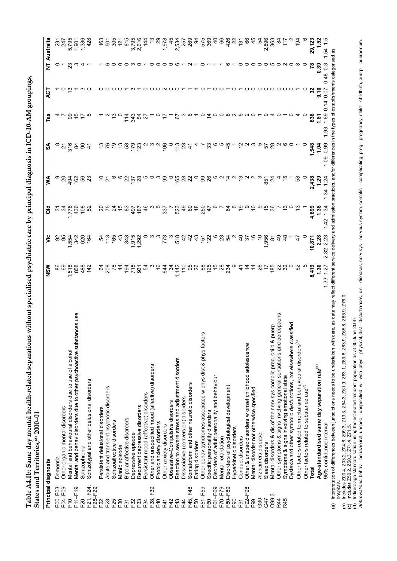Table A4.1b: Same day mental health-related separations without specialised psychiatric care by principal diagnosis in ICD-10-AM groupings, **Table A4.1b: Same day mental health-related separations without specialised psychiatric care by principal diagnosis in ICD-10-AM groupings,** States and Territories,<sup>(a)</sup> 2000-01 **States and Territories,(a) 2000–01**

|                     | Digits ally required to the signal distribution of the signal distribution of the signal distribution of the signal distribution of the signal distribution of the signal distribution of the signal distribution of the signa<br>Principal diagnosis | NSW                                       | ≝                     | ă               | ⋚              | న్            | Tas            | ACT        | ₹                          | Australia            |
|---------------------|-------------------------------------------------------------------------------------------------------------------------------------------------------------------------------------------------------------------------------------------------------|-------------------------------------------|-----------------------|-----------------|----------------|---------------|----------------|------------|----------------------------|----------------------|
|                     |                                                                                                                                                                                                                                                       |                                           |                       |                 |                |               |                |            |                            |                      |
| F00-F03             | Dementia                                                                                                                                                                                                                                              | 89                                        |                       |                 | ာ ၃            |               |                |            |                            |                      |
| F04-F09             | Other organic mental disorders                                                                                                                                                                                                                        |                                           | 99                    | $\mathcal{L}$   |                |               |                |            |                            | 247                  |
| $E$ <sup>0</sup>    | Mental and behavioural disorders due to use of alcohol                                                                                                                                                                                                | 518                                       | 554                   |                 | $\frac{4}{9}$  | $\frac{6}{3}$ |                |            |                            | 5,795                |
| F11-F19             | nces use<br>Mental and behav disorders due to other psychoactive substar                                                                                                                                                                              | 858                                       | 342                   |                 | $\frac{2}{3}$  | æ             |                |            |                            | 1,901                |
| F20                 | Schizophrenia                                                                                                                                                                                                                                         | 488                                       | 620                   | ុខ              |                | 8             |                |            |                            | ,386                 |
| F21, F24,           | Schizotypal and other delusional disorders                                                                                                                                                                                                            | $\frac{42}{5}$                            | 164                   |                 | 8 ಜ            | $\frac{4}{3}$ |                |            |                            | 428                  |
| F28-F29             |                                                                                                                                                                                                                                                       |                                           |                       |                 |                |               |                |            |                            |                      |
| F22                 | Persistent delusional disorders                                                                                                                                                                                                                       |                                           |                       |                 |                |               |                |            |                            |                      |
|                     |                                                                                                                                                                                                                                                       |                                           |                       |                 |                |               |                |            |                            | $\frac{25}{6}$       |
| F23                 | Acute and transient psychotic disorders                                                                                                                                                                                                               |                                           |                       |                 |                |               |                |            |                            |                      |
| F25                 | Schizoaffective disorders                                                                                                                                                                                                                             |                                           | 165                   |                 |                |               |                |            |                            | 305                  |
| F30                 | Manic episode                                                                                                                                                                                                                                         |                                           |                       |                 |                |               |                |            |                            | $\frac{5}{2}$        |
| F31                 | Bipolar affective disorders                                                                                                                                                                                                                           |                                           | 343                   | ಙ               | ଧ୍ୟ            | 3             |                |            |                            | 815                  |
| F32                 | Depressive episode                                                                                                                                                                                                                                    |                                           |                       |                 | 137            |               | 두 유            |            |                            | 3,795                |
| F33                 | Recurrent depressive disorders                                                                                                                                                                                                                        | <u>g 8 s 4 g 5 g g</u>                    | <b>Sig</b><br>915     | $rac{181}{167}$ | $\frac{8}{2}$  | 58            | Ŗ              |            |                            | 2,616                |
| F34                 | Persistent mood (affective) disorders                                                                                                                                                                                                                 |                                           |                       |                 |                |               |                |            |                            |                      |
| F39<br>F38,         | Other and unspecified mood (affective) disorders                                                                                                                                                                                                      |                                           |                       |                 |                |               |                |            |                            |                      |
| E40                 | Phobic anxiety disorders                                                                                                                                                                                                                              | $\hat{e}$                                 |                       |                 |                |               |                |            |                            |                      |
| F41                 |                                                                                                                                                                                                                                                       | <b>644</b>                                | 773                   |                 | 8              | $\frac{6}{2}$ |                |            |                            |                      |
|                     | Other anxiety disorders                                                                                                                                                                                                                               |                                           |                       |                 |                |               |                |            |                            | 1,978                |
| F42                 | Obsessive-Compulsive disorders                                                                                                                                                                                                                        | ž                                         |                       |                 |                |               |                |            |                            |                      |
| F43                 | Reaction to severe stress and adjustment disorders                                                                                                                                                                                                    | $\frac{4}{5}$ $\frac{5}{5}$ $\frac{8}{5}$ | 518                   | <b>22</b> 08 08 | 168            | $\frac{3}{1}$ | 6              |            |                            | 2.52<br>2.52<br>2.63 |
| F44                 | Dissociative (conversion) disorders                                                                                                                                                                                                                   |                                           | $\frac{5}{4}$         |                 |                | ಔ             |                |            |                            |                      |
| F48<br>F45,         | Somatoform and other neurotic disorders                                                                                                                                                                                                               |                                           | $\frac{2}{3}$         |                 |                |               |                |            |                            |                      |
| F50                 | Eating disorders                                                                                                                                                                                                                                      |                                           | $\frac{3}{4}$         | $\frac{8}{3}$   |                |               |                |            |                            | $\alpha$             |
| F51-F59             | Other behav syndromes associated w phys dist & phys factors                                                                                                                                                                                           |                                           |                       | 250             |                |               | o              |            |                            |                      |
| F60                 | Specific personality disorders                                                                                                                                                                                                                        | 88<br>125                                 | <u>៍ ក្នុង</u>        |                 | ೫ ಜ            |               | $\overline{4}$ |            |                            | 575<br>369           |
| F61-F69             | Disorders of adult personality and behaviour                                                                                                                                                                                                          |                                           |                       |                 |                |               | 0              |            |                            |                      |
| F70 <sub>-F79</sub> | Mental retardation                                                                                                                                                                                                                                    | $\frac{58}{28}$                           |                       |                 |                |               | $\circ$        |            |                            |                      |
| F80-F89             | Disorders of psychological development                                                                                                                                                                                                                |                                           |                       |                 |                |               | $\infty$       |            |                            | $\frac{26}{5}$       |
| E90                 | Hyperkinetic disorders                                                                                                                                                                                                                                |                                           |                       |                 |                |               |                |            |                            |                      |
| F <sub>91</sub>     | Conduct disorders                                                                                                                                                                                                                                     |                                           | ទ                     |                 |                |               | ယ              |            |                            | $\frac{5}{2}$        |
| F92-F98             | Other & unspec disorders w onset childhood adolescence                                                                                                                                                                                                |                                           | 57                    |                 |                |               |                |            |                            |                      |
|                     |                                                                                                                                                                                                                                                       |                                           |                       |                 |                |               |                | ⊂          |                            |                      |
| F99                 | Mental disorder not otherwise specified                                                                                                                                                                                                               |                                           |                       |                 |                |               |                | っ          |                            | 45                   |
| G30                 | Alzheimers disease                                                                                                                                                                                                                                    | $\frac{8}{2}$                             |                       |                 |                |               |                | っ          |                            | 54                   |
| G47                 | Sleep disorders                                                                                                                                                                                                                                       |                                           | 956                   |                 | $\overline{8}$ |               |                | っ          |                            | 2,896                |
| O99.3               | Mental disorders & dis of the nerv sys complic preg, child & puerp                                                                                                                                                                                    | 185                                       | ౚ                     |                 |                | $^{28}$       |                | $\circ$    |                            | 363                  |
| R44                 | ceptions<br>Other symptoms & signs involving general sensations and per                                                                                                                                                                               |                                           |                       |                 |                |               |                |            |                            | $\mathfrak{A}$       |
| R45                 | Symptoms & signs involving emotional state                                                                                                                                                                                                            | 32                                        |                       |                 |                |               |                |            |                            | Ξ                    |
|                     | Dyslexia and other symbolic dysfunctions, not elsewhere classified                                                                                                                                                                                    |                                           |                       |                 |                |               |                |            |                            |                      |
|                     | Other factors related to mental and behavioural disorders <sup>(b)</sup>                                                                                                                                                                              | 8                                         |                       | ္               | 8              |               |                |            |                            | $\frac{5}{9}$        |
|                     | Other factors related to substance use <sup>(c)</sup>                                                                                                                                                                                                 |                                           |                       |                 |                |               |                |            |                            |                      |
|                     | Total                                                                                                                                                                                                                                                 | 8,419                                     | 10,871                | 4,899           | 2,438          | 1,548         | 838            |            |                            | 29,123               |
|                     | Age-standardised same day separation rate <sup>(d)</sup>                                                                                                                                                                                              | 1.30                                      | 2.28                  | 1.38            |                | <u>द</u>      | $rac{2}{2}$    | 0.10       | 0.39                       |                      |
|                     | 95% confidence interval                                                                                                                                                                                                                               | 27<br>$1.33 - 1$                          | $32 - 2.23$<br>$\sim$ | $42 - 1.34$     | $34 - 1.24$    | $0.9 - 0.99$  | ලි<br>$-53$    | o<br>-0.07 | $-48 - 3$                  | rq                   |
| $\widehat{a}$       | Interpretation of differences between jurisdictions needs to be undertaken with care, as data may reflect different service delivery and admission practices, and/or differences in the types of                                                      |                                           |                       |                 |                |               |                |            | establishments categorised | æ                    |
| hospitals.          |                                                                                                                                                                                                                                                       |                                           |                       |                 |                |               |                |            |                            |                      |

<sup>(</sup>b) Includes Z00.4, Z03.2, Z04.6, Z09.3, Z13.3, Z54.3, Z61.9, Z63.1, Z63.8, Z63.9, Z65.8, Z65.9, Z76.0.

<sup>(</sup>c) Includes Z50.2, Z50.3, Z71.4, Z71.5. (d) Indirect age-standardisation using the estimated resident population as at 30 June 2000.

<sup>(</sup>b) Includes Z00.4, Z03.2, Z04.6, Z09.3, Z13.3, Z54.3, Z61.9, Z63.1, Z63.8, Z65.8, Z76.0.<br>(c) Includes Z50.2, Z50.3, Z71.4, Z71.5.<br>(d) Indirect age-standardisation using the estimated resident population as at 30 June 2000 *Abbreviations:* behav—behavioural, unspec—unspecified, w—with, phys—physical, dist—disturbances, dis—diseases, nerv sys—nervous system, complic— complicating, preg—pregnancy, child—childbirth, puerp—puerperium.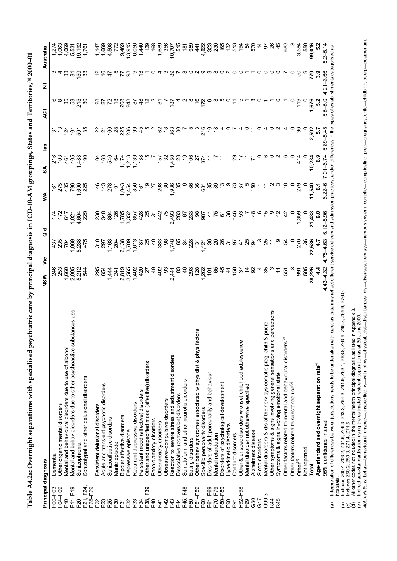| $\frac{2}{3}$<br>ις κα            |
|-----------------------------------|
|                                   |
|                                   |
|                                   |
|                                   |
| j                                 |
| ì                                 |
|                                   |
|                                   |
|                                   |
|                                   |
| ו<br>ו                            |
|                                   |
|                                   |
|                                   |
| ĺ                                 |
|                                   |
|                                   |
|                                   |
|                                   |
| ידים<br>הידים                     |
|                                   |
|                                   |
|                                   |
|                                   |
|                                   |
|                                   |
| -----------                       |
|                                   |
|                                   |
|                                   |
|                                   |
| <br> <br> <br> <br>$\blacksquare$ |
|                                   |
|                                   |
|                                   |
|                                   |
|                                   |
|                                   |
| <br> <br> <br>                    |
|                                   |
|                                   |
|                                   |
|                                   |
|                                   |
| ת<br>:<br>:                       |
|                                   |
|                                   |
|                                   |
|                                   |
|                                   |
| l                                 |
|                                   |
|                                   |
|                                   |
|                                   |
|                                   |
|                                   |
|                                   |
|                                   |
|                                   |
|                                   |
|                                   |
|                                   |
| $\overline{c}$<br>ׇ֚֘֝֬           |
|                                   |
|                                   |
|                                   |
|                                   |
|                                   |
|                                   |
| י                                 |
|                                   |
|                                   |
|                                   |
|                                   |
|                                   |
|                                   |
|                                   |
|                                   |
|                                   |
|                                   |
| י                                 |
|                                   |
|                                   |
|                                   |
|                                   |
|                                   |
|                                   |
|                                   |
|                                   |
|                                   |
|                                   |
|                                   |
|                                   |
|                                   |
|                                   |
|                                   |
|                                   |
|                                   |
|                                   |

| F21, F24,<br>F04-F09<br>$F11-F19$<br>F00-F03<br>F20<br>$\overline{F}$ 10 | Dementia                                                                 | 246<br>253     | 437             |                     |                | $\frac{6}{2}$   |                |                |                     |                    |
|--------------------------------------------------------------------------|--------------------------------------------------------------------------|----------------|-----------------|---------------------|----------------|-----------------|----------------|----------------|---------------------|--------------------|
|                                                                          |                                                                          |                |                 |                     |                |                 |                |                |                     | ನ                  |
|                                                                          | Other organic mental disorders                                           |                |                 |                     |                | ဒ္ဌ             |                |                |                     | 063                |
|                                                                          | Mental and behavioural disorders due to use of alcohol                   | 1,660          | 235<br>704      | 617                 | 435            | 461             | $\bar{z}$      | 35             | ္က                  | 4,069              |
|                                                                          | Mental and behav disorders due to other psychoactive substances use      | 2,005          | 1,069           | $\overline{2}$      | 796            | 405             | $\overline{5}$ | ္မ             | $\overline{\infty}$ | 5,531              |
|                                                                          | Schizophrenia                                                            | 5,212          | 5,238           | 604                 | 690            | 483             | $\overline{5}$ | 215            | င္ပ                 | 19,192             |
|                                                                          | Schizotypal and other delusional disorders                               | 544            | 475             | 229                 |                | $\frac{6}{2}$   |                | న్             | ္က                  | 1,76               |
| F28-F29                                                                  |                                                                          |                |                 |                     |                |                 |                |                |                     |                    |
|                                                                          | Persistent delusional disorders                                          | 295            | $\frac{310}{2}$ | 23<br>34            | $\frac{4}{5}$  | $\tilde{z}$     |                |                |                     |                    |
| 523                                                                      | Acute and transient psychotic disorders                                  | 654            | 297             |                     |                | 163             |                |                |                     | 1,669              |
| $-25$                                                                    | Schizoaffective disorders                                                | 44             | 1,163           | 864                 | 278            | 540             | $\overline{5}$ |                |                     | 4,508              |
| $-30$                                                                    | Manic episode                                                            |                | 204             | 126                 | ଚ              | 2               | $\approx$      |                |                     |                    |
| ှို                                                                      | Bipolar affective disorders                                              | $\frac{8}{3}$  | 2,138           | 1,785               | 1,043          | 174             | 25             | 208            |                     | 9,469              |
| 32                                                                       | Depressive episode                                                       | 3,565          | 3,709           | 3,352               | $-454$         | $\frac{213}{2}$ | 286            | $\frac{3}{2}$  | ္တ                  | 13,915             |
| 33                                                                       | Recurrent depressive disorders                                           | 1,402          | 1,613           | 857                 | 850            | ,139            | 8              | 5              |                     | 6,05               |
| 34                                                                       | Persistent mood (affective) disorders                                    | 420            | $\frac{1}{2}$   | 428                 | $\tilde{e}$    | $\frac{8}{3}$   |                |                |                     |                    |
| F39<br>38,                                                               | Other and unspecified mood (affective) disorders                         |                |                 | 25                  |                |                 |                |                |                     |                    |
| $-40$                                                                    | Phobic anxiety disorders                                                 | ခု             | ဒု              | <u>ল</u>            |                |                 |                |                |                     | 168                |
| $-41$                                                                    | Other anxiety disorders                                                  | 402            | 383             | 442                 | 208            | $\frac{15}{2}$  | 8              | 9              |                     | 1,689              |
| $-42$                                                                    | Obsessive-compulsive disorders                                           | င္တ            | 8               | 75                  | వె             | 8               |                |                |                     | 35                 |
| $-43$                                                                    | Reaction to severe stress and adjustment disorders                       | 2,441          | 1,748           | 2,493               | 1,936          | 1,450           | 363            | $\frac{18}{2}$ |                     | 10,707             |
| $\frac{4}{4}$                                                            | Dissociative (conversion) disorders                                      | జ              | 89              | 263                 |                |                 |                |                |                     | $\frac{5}{15}$     |
| F48<br>$-45,$                                                            | Somatoform and other neurotic disorders                                  | $\frac{4}{3}$  | 24              | 67                  |                |                 |                |                |                     | $\frac{1}{\infty}$ |
| -50                                                                      | Eating disorders                                                         | 293            | 228             | 233                 | 8              | $\frac{8}{10}$  |                |                |                     | 959                |
|                                                                          |                                                                          |                |                 |                     |                |                 |                |                |                     |                    |
| $-51 - F59$                                                              | <b>SJO</b><br>Other behav syndromes associated w phys dist & phys fact   | 128            | 131             | 8                   | 36             | $\overline{a}$  |                |                |                     | 44                 |
| <b>GO</b>                                                                | Specific personality disorders                                           | ,262           | 1,121           | 987                 | 681            | 374             | 216            | 172            |                     | 4,822              |
| F61-F69                                                                  | Disorders of adult personality and behaviour                             | ć              | 86              |                     | 85             |                 |                |                |                     | $\tilde{3}$        |
| F70-F79                                                                  | Mental retardation                                                       | 65             | ຊ               |                     |                |                 |                |                |                     |                    |
| $-80 - F89$                                                              | Disorders of psychological development                                   |                |                 | <u>်</u>            |                |                 |                |                |                     |                    |
| $E_{00}$                                                                 | Hyperkinetic disorders                                                   | 4              | ᠷ               |                     |                |                 |                |                |                     | <u>នីតូដូដ</u>     |
| F91                                                                      | Conduct disorders                                                        | $\frac{60}{2}$ | 5               | $\frac{46}{5}$      |                |                 |                |                |                     |                    |
| F92-F98                                                                  | Other & unspec disorders w onset childhood adolescence                   | 55             | $\tilde{t}$     |                     | 5              |                 |                |                |                     | $\tilde{g}$        |
| F99                                                                      | Mental disorder not otherwise specified                                  |                | 25              |                     |                |                 |                |                |                     | ż                  |
| 630                                                                      | Alzheimers disease                                                       |                | 194             |                     | $\frac{60}{2}$ |                 |                |                |                     | 57                 |
| 547                                                                      | Sleep disorders                                                          |                |                 |                     |                |                 |                |                |                     |                    |
| O99.3                                                                    | puerp<br>Mental disorders & dis of the nerv sys complic preg, child &    |                |                 |                     |                |                 |                |                |                     | ခြ                 |
| R44                                                                      | perceptions<br>Other symptoms & signs involving general sensations and   |                |                 |                     |                |                 |                |                |                     |                    |
| R45                                                                      | Symptoms & signs involving emotional state                               | Ξ              |                 |                     |                |                 |                |                |                     |                    |
|                                                                          | Other factors related to mental and behavioural disorders <sup>(b)</sup> | 551            |                 | $\frac{2}{3}$       |                |                 |                |                |                     | 683                |
|                                                                          | Other factors related to substance use <sup>(c)</sup>                    |                |                 |                     |                |                 |                |                |                     |                    |
|                                                                          | Other <sup>(d)</sup>                                                     | 991            | 276             | 1,359               | 279            | 414             | န္တ            | $\frac{9}{1}$  | ន                   | 3,584              |
|                                                                          | Not reported                                                             | 505            |                 |                     |                |                 |                |                |                     | 550                |
|                                                                          | Total                                                                    | 28,226         | 22,536          | 21,433              | 11,540         | 10,234          | 2,592          | 1,676          |                     | 99,016             |
|                                                                          | Age-standardised overnight separation rate <sup>(e)</sup>                | 4.4            | 47              | $\overline{6}$ .0   | -<br>ق         | <u>့်</u>       | ္ဟ             | 5.2            | 3.9                 |                    |
|                                                                          | 95% confidence interval                                                  | $4.43 - 4.32$  | $4.75 - 4.63$   | $-5.96$<br>$6.12 -$ | $6.22 - 6$     | $7.01 - 6.74$   | $5.89 - 5.45$  | $5.5 - 5.0$    | $21 - 3.66$<br>4    | $5.2 - 5.14$       |

 $\widehat{\mathfrak{G}}$ 

(b) Includes Z00.4, Z03.2, Z04.6, Z09.3, Z13.3, Z54.3, Z61.9, Z63.1, Z63.8, Z63.9, Z65.8, Z65.9, Z76.0.

(c) Includes Z50.2, Z50.3, Z71.4, Z71.5.

(d) All other codes not included in the mental health principal diagnosis as listed in Appendix 3.

(e) Indirect age-standardisation using the estimated resident population as at 30 June 2000.

(b) Includes 200.4, 203.2, 204.6, 209.3, 213.3, 254.3, 261.9, 263.1, 263.8, 263.9, 276.30.<br>(c) Includes 250.2, 250.3, 271.4, 271.5.<br>(d) All other codes not included in the mental health principal diagnosis as listed in Ap *Abbreviations:* behav—behavioural, unspec—unspecified, w—with, phys—physical, dist—disturbances, dis—diseases, nerv sys—nervous system, complic— complicating, preg—pregnancy, child—childbirth, puerp—puerperium.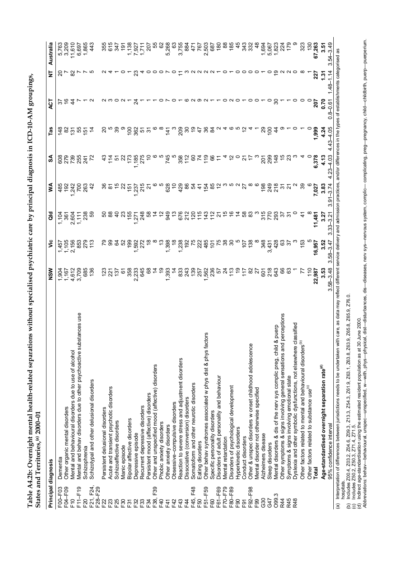Table A4.2b: Overnight mental health-related separations without specialised psychiatric care by principal diagnosis in ICD-10-AM groupings, **Table A4.2b: Overnight mental health-related separations without specialised psychiatric care by principal diagnosis in ICD-10-AM groupings,** States and Territories,<sup>(a)</sup> 2000-01 **States and Territories,(a) 2000–01**

| Dementia<br>F21, F24,<br>F04-F09<br>F28-F29<br>F11-F19<br>F00-F03<br>$E$ <sup>0</sup><br>F20<br>F22<br>F23<br>F25 |                                                                          |                  |                       |                      |                                         |                 |                |              |                 |                           |
|-------------------------------------------------------------------------------------------------------------------|--------------------------------------------------------------------------|------------------|-----------------------|----------------------|-----------------------------------------|-----------------|----------------|--------------|-----------------|---------------------------|
|                                                                                                                   |                                                                          | 904              | 45                    | $\frac{5}{2}$        | 485                                     | 608             |                |              |                 |                           |
|                                                                                                                   | Other organic mental disorders                                           | 167              |                       | $\ddot{\mathcal{S}}$ | $\frac{2}{3}$                           |                 |                |              |                 | 5,763<br>3,209            |
|                                                                                                                   | Mental and behavioural disorders due to use of alcohol                   | 4,612            | $\frac{1,105}{2,156}$ | 2,604                |                                         |                 | $\overline{3}$ |              |                 | 11,610                    |
|                                                                                                                   | Mental and behav disorders due to other psychoactive substances use      | 3,709            | 853                   | 1, 111               | $242$<br>700                            | 285<br>285      | 55             |              |                 | 6,697                     |
|                                                                                                                   | Schizophrenia                                                            | 685              | 279                   | 238                  | 263                                     |                 | $\overline{5}$ |              |                 | 1,865                     |
|                                                                                                                   | Schizotypal and other delusional disorders                               | 136              | $\frac{3}{1}$         | င္ပ                  | $\boldsymbol{\hat{\tau}}$               |                 |                |              |                 | 43                        |
|                                                                                                                   |                                                                          |                  |                       |                      |                                         |                 |                |              |                 |                           |
|                                                                                                                   | Persistent delusional disorders                                          |                  |                       | ន                    | 8                                       |                 |                |              |                 | 355                       |
|                                                                                                                   | Acute and transient psychotic disorders                                  |                  | ၜ                     |                      |                                         | $\frac{4}{1}$   |                |              |                 | 615                       |
|                                                                                                                   | Schizoaffective disorders                                                | 137              | 3                     | $\frac{1}{4}$        |                                         |                 | ၷ              |              |                 |                           |
| F30                                                                                                               | Manic episode                                                            | 6                | S <sub>2</sub>        | 23                   | ଅ                                       |                 |                |              |                 | $\frac{161}{x}$           |
| F31                                                                                                               | Bipolar affective disorders                                              | 358              | 199                   | 155                  | ្ម<br>វិប្ដុង<br>វិប្ដុ                 | 173             |                |              |                 | 1,138<br>7,927            |
| F32                                                                                                               | Depressive episode                                                       | 2,233            | 1,592                 | 1,271                |                                         | 1,185           |                |              |                 |                           |
| F33                                                                                                               | Recurrent depressive disorders                                           | 645              |                       | 248                  |                                         |                 | ទីឌីក្ខុង      |              |                 | $\frac{1}{7}$             |
| F34                                                                                                               | Persistent mood (affective) disorders                                    |                  |                       | 3                    | $\sim$                                  |                 |                |              |                 | ່ຊົ                       |
| F39<br>F38,                                                                                                       | Other and unspecified mood (affective) disorders                         |                  |                       |                      |                                         |                 |                |              |                 | 55                        |
| F40                                                                                                               | Phobic anxiety disorders                                                 | $\frac{6}{5}$    |                       |                      |                                         |                 |                |              |                 | 8                         |
| F41                                                                                                               | Other anxiety disorders                                                  | 1,393            | 1,398                 | 949                  | 628                                     | 745             | 141            |              |                 | 5,268                     |
| F42                                                                                                               | Obsessive-compulsive disorders                                           |                  | $\frac{8}{1}$         |                      | $\tilde{a}$                             |                 |                |              |                 | යි                        |
| F43                                                                                                               | Reaction to severe stress and adjustment disorders                       |                  |                       |                      | 429                                     |                 | 209            |              |                 | 3,755                     |
| E44                                                                                                               | Dissociative (conversion) disorders                                      | 833<br>243       | 1238<br>1921<br>1922  | 676<br>212           | 86                                      | $358$<br>112    | ္က             |              |                 | 884                       |
| F48<br>F45,                                                                                                       |                                                                          | 139              |                       | $\frac{5}{2}$        | 54                                      | 8               |                |              |                 | $\dot{4}$                 |
|                                                                                                                   | Somatoform and other neurotic disorders                                  |                  |                       |                      |                                         |                 |                |              |                 |                           |
| F50                                                                                                               | Eating disorders                                                         | 257              |                       | $\frac{5}{1}$        | $rac{1}{2}$ $\frac{6}{4}$ $\frac{6}{8}$ |                 | 47             |              |                 | 767                       |
| F51-F59                                                                                                           | Other behav syndromes associated w phys dist & phys factors              | 562<br>236       | $rac{485}{101}$       | 143                  |                                         | 119             | ని             |              |                 | 2,503<br>687              |
| F60                                                                                                               | Specific personality disorders                                           |                  |                       | $\frac{2}{1}$        |                                         | 8               | $\mathfrak{A}$ |              | $N N - 0 - 000$ |                           |
| F61-F69                                                                                                           | Disorders of adult personality and behaviour                             | 57               | 75                    | Ń                    | $\tilde{c}$                             |                 |                |              |                 | 180                       |
| F70-F79                                                                                                           | Mental retardation                                                       | $\frac{5}{4}$    | 38                    |                      |                                         |                 |                |              |                 | 88                        |
| F80-F89                                                                                                           | Disorders of psychological development                                   |                  | $\mathcal{S}^{\circ}$ |                      |                                         |                 |                |              |                 | 185                       |
| E90                                                                                                               | Hyperkinetic disorders                                                   |                  |                       |                      |                                         |                 |                |              |                 | 45                        |
| F91                                                                                                               | Conduct disorders                                                        | ξŢ               | 107                   | <b>583</b>           | 2                                       |                 |                |              |                 | સ્ર                       |
| F92-F98                                                                                                           | Other & unspec disorders w onset childhood adolescence                   | 8                | 138                   |                      |                                         |                 |                |              |                 | 332                       |
| F <sub>99</sub>                                                                                                   | Mental disorder not otherwise specified                                  | 27               |                       |                      |                                         |                 |                |              |                 | $\frac{8}{4}$             |
| G30                                                                                                               | Alzheimers disease                                                       | 601              | 348                   | 315                  | 198                                     | $\overline{20}$ | ನಿ             |              |                 | 1,694                     |
| G47                                                                                                               | Sleep disorders                                                          | 218              | 3,431                 | 770                  | 249                                     | 299             | $\frac{5}{2}$  |              |                 | 5,067                     |
| O99.3                                                                                                             | erp<br>Mental disorders & dis of the nerv sys complic preg, child & pu   | 643              | 428                   | 293                  | 218                                     | $rac{48}{1}$    |                |              |                 |                           |
| R44                                                                                                               | ceptions<br>Other symptoms & signs involving general sensations and per  |                  | ගී                    | ৯ ৯                  | ᢛ                                       |                 |                |              |                 |                           |
| R45                                                                                                               | Symptoms & signs involving emotional state                               |                  | 55                    |                      |                                         |                 |                |              |                 | $1,823$<br>$724$<br>$179$ |
| R48                                                                                                               | ified<br>Dyslexia and other symbolic dysfunctions, not elsewhere class   |                  |                       |                      |                                         |                 |                |              |                 |                           |
|                                                                                                                   | Other factors related to mental and behavioural disorders <sup>(b)</sup> |                  | $\frac{63}{5}$        |                      | ၷ                                       |                 |                |              |                 | 323                       |
|                                                                                                                   | Other factors related to substance use <sup>(c)</sup>                    | $\frac{10}{10}$  |                       |                      |                                         |                 |                |              |                 | 130                       |
| Total                                                                                                             |                                                                          | 22,987           | 16,957                | 11,481               | 7,027                                   | 6,378           | 1,999          | 207          | 227             | 67,263                    |
|                                                                                                                   | Age-standardised overnight separation rate $^{\text{\tiny{(d)}}}$        | 3.53             | 3.52                  | 3.2                  | 3.83                                    | 4.13            | 4.24           | ი<br>ა       | <u>بو</u>       | 3.51                      |
|                                                                                                                   | 95% confidence interval                                                  | $58 - 3.48$<br>က | $-3.47$<br>$58-$<br>3 | $33 - 3.2$           | $91 - 3.74$                             | 4.03            | 4.05<br>43     | $0.8 - 0.61$ | 48              | 3.49<br>24<br>6           |

<sup>(</sup>b) Includes Z00.4, Z03.2, Z04.6, Z09.3, Z13.3, Z54.3, Z61.9, Z63.1, Z63.8, Z63.9, Z65.8, Z65.9, Z76.0.

<sup>(</sup>c) Includes Z50.2, Z50.3, Z71.4, Z71.5.

<sup>(</sup>d) Indirect age-standardisation using the estimated resident population as at 30 June 2000.

<sup>(</sup>b) Includes Z00.4, Z03.2, Z04.6, Z09.3, Z13.3, Z54.3, Z63.1, Z63.8, Z63.9, Z65.8, Z76.0.<br>(c) Includes Z50.2, Z50.3, Z71.4, Z71.5.<br>(d) Indirect age-standardisation using the estimated resident population as at 30 June 200 *Abbreviations:* behav—behavioural, unspec—unspecified, w—with, phys—physical, dist—disturbances, dis—diseases, nerv sys—nervous system, complic— complicating, preg—pregnancy, child—childbirth, puerp—puerperium.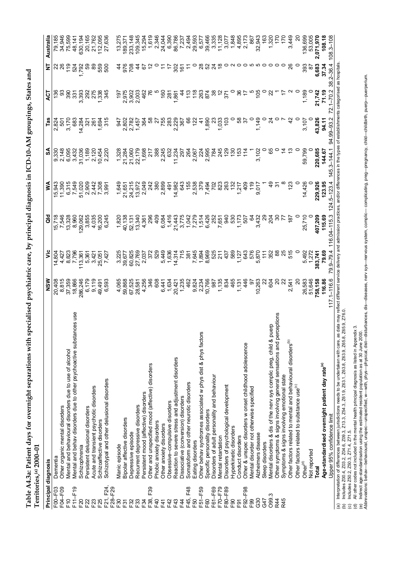|                                                    | Principal diagnosis                                                                                                                                                                                                                                                                                                                                                                                                                                                               | NSM              | $\breve{\tilde{\mathbf{z}}}$ | る                | ⋚                        | న                       | Tas           | ঢ়ৄ             | Ξ                 | Australia                          |
|----------------------------------------------------|-----------------------------------------------------------------------------------------------------------------------------------------------------------------------------------------------------------------------------------------------------------------------------------------------------------------------------------------------------------------------------------------------------------------------------------------------------------------------------------|------------------|------------------------------|------------------|--------------------------|-------------------------|---------------|-----------------|-------------------|------------------------------------|
| F00-F03                                            | Dementia                                                                                                                                                                                                                                                                                                                                                                                                                                                                          | 20,408           | 14,804                       | 15,718           | 15,943                   |                         |               | 136             | ສ                 | 79,185                             |
| F04-F09                                            | Other organic mental disorders                                                                                                                                                                                                                                                                                                                                                                                                                                                    | 8,815            | 4,427                        | 7,546            | 11,390                   |                         | 2,824<br>501  | 3               | $\frac{8}{2}$     |                                    |
| F10                                                | Mental and behavioural disorders due to use of alcohol                                                                                                                                                                                                                                                                                                                                                                                                                            |                  | 8,823                        | 13,328           | 6,315                    | 9,330<br>2,148<br>6,095 | 3,170         | 390             | 119               | 34,946<br>75,599                   |
| $F11-F19$                                          | Mental and behav disorders due to other psychoactive substances use                                                                                                                                                                                                                                                                                                                                                                                                               | 37,359<br>18,866 | 7,796                        | 8,960            | 7,549                    | 3,432                   | 683           | 331             | 524               | 48, 141                            |
| F20                                                | Schizophrenia                                                                                                                                                                                                                                                                                                                                                                                                                                                                     | 286,246          | 113,361                      | 129,062          | 51,020                   | 31,036                  | 14,284        | 3,393           | 1,792             | 630,194                            |
| F22                                                | Persistent delusional disorders                                                                                                                                                                                                                                                                                                                                                                                                                                                   | 6,179            | 5,361                        | 3,855            | 2,909                    | 1,189                   | $\approx$     | 292             | S9                | 20,165                             |
| F <sub>23</sub>                                    | Acute and transient psychotic disorders                                                                                                                                                                                                                                                                                                                                                                                                                                           | 9,119            | 3,421                        | 4,035            |                          | 2,120                   | 261           | 275             | 89                | 21,762                             |
| F25                                                | Schizoaffective disorders                                                                                                                                                                                                                                                                                                                                                                                                                                                         | 49,491           |                              | 16,200           | 2,442<br>7,3991<br>2,991 |                         | 1,694         | 1,338           | 559               | 112,095                            |
| F21, F24,                                          | Schizotypal and other delusional disorders                                                                                                                                                                                                                                                                                                                                                                                                                                        | 6,593            | 25,051<br>7,427              | 6,245            |                          | 10,454<br>2,220         | 315           | 345             | 500               | 27,636                             |
| F28-F29                                            |                                                                                                                                                                                                                                                                                                                                                                                                                                                                                   |                  |                              |                  |                          |                         |               |                 |                   |                                    |
| F30                                                | Manic episode                                                                                                                                                                                                                                                                                                                                                                                                                                                                     | 4,065            | 3,225                        | 1,820            | 1,649                    | 1,328                   | 947           | 101             | 4                 | 13,275                             |
| F31                                                |                                                                                                                                                                                                                                                                                                                                                                                                                                                                                   | 59,868           |                              |                  |                          |                         |               |                 | 976               |                                    |
|                                                    | Bipolar affective disorders                                                                                                                                                                                                                                                                                                                                                                                                                                                       |                  | 39,677                       | 40,138           | 21,651<br>24,215         | 21,284<br>21,060        | 2,802         | 2,975           |                   | 189,371                            |
| F32                                                | Depressive episode                                                                                                                                                                                                                                                                                                                                                                                                                                                                | 67,525           | 60,825                       | 52,131           |                          |                         | 2,782         | 3,902           | 708               | 233,148                            |
| F33                                                | Recurrent depressive disorders                                                                                                                                                                                                                                                                                                                                                                                                                                                    | 28,581           | 27,769                       | 13,340           | 13,972                   | 22,179                  | 1,457         | 2,003           | $\frac{4}{4}$     | 109,345                            |
| F34                                                | Persistent mood (affective) disorders                                                                                                                                                                                                                                                                                                                                                                                                                                             | 4,256            | 2,037                        | 4,361            | 2,049                    | 1,698                   | 364           | 462             | 67                | 15,294                             |
| F39<br>F38,                                        | Other and unspecified mood (affective) disorders                                                                                                                                                                                                                                                                                                                                                                                                                                  | 346              | 372                          | 296              | 242                      | 217                     |               | 76              | $\tilde{c}$       | 1,619                              |
| E40                                                | Phobic anxiety disorders                                                                                                                                                                                                                                                                                                                                                                                                                                                          | 608              | 529                          | $\frac{6}{3}$    | 380                      | 388                     | N             |                 |                   | 2,346                              |
| F41                                                | Other anxiety disorders                                                                                                                                                                                                                                                                                                                                                                                                                                                           | 6,441            | 5,449                        | 6,084            | 2,899                    | 2,245                   | 755           | $\overline{60}$ | Ξ                 | 24,044                             |
| F42                                                | Obsessive-compulsive disorders                                                                                                                                                                                                                                                                                                                                                                                                                                                    | 1,634            | 1,636                        | 1,416            | 491                      | 632                     | 283           | 281             | Ļ                 | 6,390                              |
| F43                                                | Reaction to severe stress and adjustment disorders                                                                                                                                                                                                                                                                                                                                                                                                                                | 20,421           | 14,314                       | 21,443           | 14,982                   | 11,234                  |               | 1,861           | 302               |                                    |
| F44                                                | Dissociative (conversion) disorders                                                                                                                                                                                                                                                                                                                                                                                                                                               | 1,235            | 715                          | 3,775            | 643                      | 297                     | 2,229         | 4               | $\frac{6}{16}$    | 86,786<br>7,237<br>2,494<br>29,593 |
| F48<br>F45,                                        | Somatoform and other neurotic disorders                                                                                                                                                                                                                                                                                                                                                                                                                                           | 462              | 381                          | 1,042            | 155                      | 264                     | 8             | 113             | Ξ                 |                                    |
| F50                                                |                                                                                                                                                                                                                                                                                                                                                                                                                                                                                   | 9,824            |                              | 7,279            | 2,538                    | 2,067                   | 122           | 118             |                   |                                    |
|                                                    | Eating disorders                                                                                                                                                                                                                                                                                                                                                                                                                                                                  |                  | 7,645                        |                  |                          |                         |               |                 |                   |                                    |
| F51-F59                                            | Other behav syndromes associated w phys dist & phys factors                                                                                                                                                                                                                                                                                                                                                                                                                       | 2,234            | 1,894                        | 1,514            | 379                      | 224                     | $\ddot{4}$    | 263<br>874      | $\frac{8}{2}$     | 6,577                              |
| F60                                                | Specific personality disorders                                                                                                                                                                                                                                                                                                                                                                                                                                                    | 10,766           | 8,969                        | 6,426            | 7,494                    | 2,995                   | 1,890         |                 | S2                | 39,466                             |
| F61-F69                                            | Disorders of adult personality and behaviour                                                                                                                                                                                                                                                                                                                                                                                                                                      | 987              | 525                          | 252              | 702                      | 784                     | g             |                 | $\frac{5}{4}$     | 3,335                              |
| F70 <sup>-F79</sup>                                | Mental retardation                                                                                                                                                                                                                                                                                                                                                                                                                                                                | 1,135            | 211                          | 7,651            | 823                      | 245                     | 1,033         |                 | $\frac{8}{1}$     | 11,128                             |
| F80-F89                                            | Disorders of psychological development                                                                                                                                                                                                                                                                                                                                                                                                                                            | 834              | 437                          | 940              | 263                      | 129                     | $\frac{2}{3}$ | 371             | 0                 | 3,077                              |
| $E_{00}$                                           | Hyperkinetic disorders                                                                                                                                                                                                                                                                                                                                                                                                                                                            | 465              | 589                          | 530              | 132                      | $\frac{130}{2}$         |               |                 | $\sim$            | 1,848                              |
| F <sub>91</sub>                                    | Conduct disorders                                                                                                                                                                                                                                                                                                                                                                                                                                                                 | 1,131            | 1,127                        | 1,173            | 1,217                    | 153                     | 3             |                 | 0                 | 4,895                              |
| F92-F98                                            | Other & unspec disorders w onset childhood adolescence                                                                                                                                                                                                                                                                                                                                                                                                                            | 446              | 643                          | 507              | $rac{9}{4}$              |                         | 57            |                 |                   | 2,173                              |
| F99                                                | Mental disorder not otherwise specified                                                                                                                                                                                                                                                                                                                                                                                                                                           | 5                | 576                          | 2                | $\frac{6}{10}$           |                         |               |                 |                   | 867                                |
| G30                                                | Alzheimers disease                                                                                                                                                                                                                                                                                                                                                                                                                                                                | 10,263           | 5.870                        | 3,432            | 9,017                    | 3,102                   | 1,149         | $\frac{50}{5}$  |                   | 32,943                             |
| G47                                                | Sleep disorders                                                                                                                                                                                                                                                                                                                                                                                                                                                                   | S                | $\frac{1}{11}$               | న్ల              |                          |                         | 0             | 0               | $\circ$           | $\frac{2}{3}$                      |
| O99.3                                              | Mental disorders & dis of the nerv sys complic preg, child & puerp                                                                                                                                                                                                                                                                                                                                                                                                                | 604              | 352                          | 204              |                          | မိ                      |               |                 | $\circ$           | 1,320                              |
| R44                                                | rceptions<br>Other symptoms & signs involving general sensations and per                                                                                                                                                                                                                                                                                                                                                                                                          |                  |                              | న్               |                          | 0                       | 0             |                 | $\circ$           | 170                                |
| R45                                                | Symptoms & signs involving emotional state                                                                                                                                                                                                                                                                                                                                                                                                                                        | 22               |                              | 77               |                          |                         |               |                 | $\circ$           | 170                                |
|                                                    | Other factors related to mental and behavioural disorders <sup>(b)</sup>                                                                                                                                                                                                                                                                                                                                                                                                          | 2,541            | 515                          | $\frac{1}{8}$    | 123                      |                         | $\frac{2}{3}$ |                 | 26                | 3,449                              |
|                                                    | Other factors related to substance use <sup>(c)</sup>                                                                                                                                                                                                                                                                                                                                                                                                                             |                  |                              |                  |                          |                         | $\circ$       |                 | $\circ$           |                                    |
|                                                    | Other <sup>(d)</sup>                                                                                                                                                                                                                                                                                                                                                                                                                                                              | 26,583           | 5,492                        | 25,710           | 14,426                   | 59,799                  | 3,107         | 1,189           | 393               | 136,699                            |
|                                                    | Not reported                                                                                                                                                                                                                                                                                                                                                                                                                                                                      | 51,646           | 1,272                        |                  | 0                        |                         | o             |                 | ౚ                 | 53,005                             |
|                                                    | Total                                                                                                                                                                                                                                                                                                                                                                                                                                                                             | 758, 158         | 383,741                      | 407,209          | 229,926                  | 220,685                 | 43,826        | 21,742          | 6,683             | 2,071,970                          |
|                                                    | Age-standardised overnight patient day rate <sup>(e)</sup>                                                                                                                                                                                                                                                                                                                                                                                                                        | 116.86           | 79.69                        | 115.69           | 123.95                   | 144.67                  | 94.11         | 71.19           | 37.34             | 108.18                             |
|                                                    | 117<br>Upper 95% confidence limit                                                                                                                                                                                                                                                                                                                                                                                                                                                 | $-116.6$         | 79.9–79.4                    | $116.04 - 115.3$ | $124.5 - 123.4$          | $145.3 - 144.1$         | 94.99-93.2    | 72.1–70.2       | $2 - 36.4$<br>စ္တ | $108.3 - 108$                      |
| σΘ<br>$\widehat{\omega}$<br>$\widehat{\mathbf{c}}$ | Interpretation of differences between jurisdictions needs to be undertaken with care, as data may reflect different service delivery and admission practices, and/or differences in the types of establishments categorised as<br>265.9, 276.0<br>All other codes not included in the mental health principal diagnosis as listed in Appendix 3.<br>Includes Z00.4, Z03.2, Z04.6, Z09.3, Z13.3, Z54.3, Z61.9, Z63.1, Z63.8, Z63.9, Z65.8,<br>Includes Z50.2, Z50.3, Z71.4, Z71.5. |                  |                              |                  |                          |                         |               |                 |                   |                                    |
|                                                    | (e) Indirect age-standardisation using the estimated resident population as at 30 June 2000.<br>Abbreviations: behav—behavioural, unspec—unspecified, w—with, phys—physical, dist—disturbances, dis—diseases, nerv sys—nervous s                                                                                                                                                                                                                                                  |                  |                              |                  |                          |                         |               |                 |                   |                                    |
|                                                    |                                                                                                                                                                                                                                                                                                                                                                                                                                                                                   |                  |                              |                  |                          |                         |               |                 |                   |                                    |
|                                                    |                                                                                                                                                                                                                                                                                                                                                                                                                                                                                   |                  |                              |                  |                          |                         |               |                 |                   |                                    |

Table A4.3a: Patient days for overnight separations with specialised psychiatric care, by principal diagnosis in ICD-10-AM groupings, States and **Table A4.3a: Patient days for overnight separations with specialised psychiatric care, by principal diagnosis in ICD-10-AM groupings, States and** Territories,<sup>(a)</sup> 2000-01 **Territories,(a) 2000–01**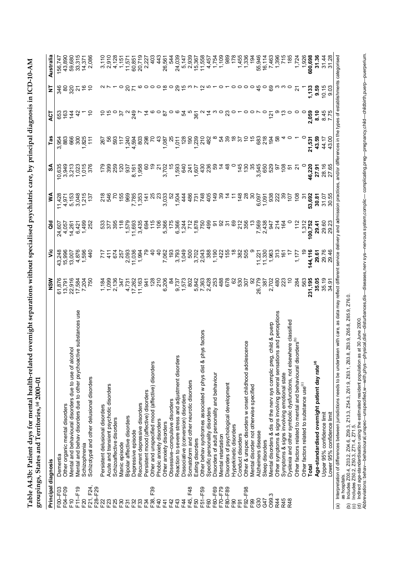| ֧֧ׅ֧֧֧֧֧֪ׅ֧֧֧֪ׅ֧֚֚֚֚֚֚֚֚֚֚֚֚֚֚֚֚֚֚֚֚֚֚֚֡֬֕֓֕֓֝֬֝֝֬֝֬֝֬֝֓֝֬֓֝֬֝֬                      |                         |
|--------------------------------------------------------------------------------------|-------------------------|
| $\sqrt{2}$<br>;<br>) ) !<br>!                                                        |                         |
|                                                                                      |                         |
|                                                                                      |                         |
|                                                                                      |                         |
|                                                                                      |                         |
|                                                                                      |                         |
|                                                                                      |                         |
|                                                                                      |                         |
|                                                                                      |                         |
|                                                                                      |                         |
| )<br>)<br>(                                                                          |                         |
|                                                                                      |                         |
|                                                                                      |                         |
| F C FOC こうていて 一つ クテク なさらく こうこう しょうりつ フェイクアクセータ てつじゅーり アククテータ サイクス サイクリン こうかく こうかくりょう |                         |
|                                                                                      |                         |
| くら せんしゅぎ                                                                             |                         |
|                                                                                      |                         |
|                                                                                      |                         |
|                                                                                      | <b>TN-NN7</b><br>$\sim$ |
| vs for mental h                                                                      |                         |
|                                                                                      |                         |
|                                                                                      | Ĩ                       |
| י<br>ו                                                                               | 5                       |
| ſ                                                                                    |                         |
| $1 - \Lambda \Lambda$                                                                | j<br>J                  |
| ۳<br>ا                                                                               |                         |

| Principal diagnosis |                                                                                                                                                                                                                                    | NSW                       | έ             | ă              | ⋚              | న్                    | Tas                    | ACT            | ₹     | Australia     |
|---------------------|------------------------------------------------------------------------------------------------------------------------------------------------------------------------------------------------------------------------------------|---------------------------|---------------|----------------|----------------|-----------------------|------------------------|----------------|-------|---------------|
| F00-F03             | Dementia                                                                                                                                                                                                                           | 61,876                    | 43,248        | 24,607         | 1,428          | 10,635                | 3,954                  | 653            | 346   | 156,747       |
| F04-F09             | Other organic mental disorders                                                                                                                                                                                                     | 13,791                    | 15,996        | 4,057          | 4,971          | 3,949                 | 883                    | 163            | 8     | 43,890        |
| $E_0$               | Mental and behavioural disorders due to use of alcohol                                                                                                                                                                             |                           | 13,007        | 14,261         | 5,153          | 3,213                 | 666                    | $\frac{44}{3}$ | 320   | 59,680        |
| F11-F19             | substances use<br>Mental and behav disorders due to other psychoactive                                                                                                                                                             |                           | 4,876         | 6,421          | 3,048          | 1,023                 | 300                    | क्             | ন     | 33,315        |
| F <sub>20</sub>     | Schizophrenia                                                                                                                                                                                                                      | 22,916<br>17,584<br>7,204 | 1,596         | 1,499          | 1,215          | 1,015                 | 1,825                  |                |       | 14,371        |
| F21, F24,           | Schizotypal and other delusional disorders                                                                                                                                                                                         | 750                       | $\frac{4}{9}$ | 252            | 137            |                       | $\frac{1}{1}$          |                |       | 2,086         |
| F28-F29             |                                                                                                                                                                                                                                    |                           |               |                |                |                       |                        |                |       |               |
| F22                 | Persistent delusional disorders                                                                                                                                                                                                    | 184                       |               |                | $\frac{8}{2}$  |                       | 267                    |                |       | 3,110         |
|                     |                                                                                                                                                                                                                                    |                           | $\frac{1}{4}$ |                | 546            |                       |                        |                |       |               |
| F23                 | Acute and transient psychotic disorders                                                                                                                                                                                            | <b>099</b>                |               | 377            |                | 399                   | řŏ                     |                |       | 2,910         |
| F25                 | Schizoaffective disorders                                                                                                                                                                                                          | 2,136                     | 674           | 395            |                | 259                   | 593                    |                |       | 4,128         |
| F30                 | Manic episode                                                                                                                                                                                                                      | 347                       | 257           | $\frac{8}{1}$  | 155            | $\frac{5}{2}$         | $\ddot{ }$             | 5              |       | 1,151         |
| F31                 | Bipolar affective disorders                                                                                                                                                                                                        | 4,731                     | 2,093         | 1,579          | 969            | 937                   | $4,594$<br>$4,594$     |                |       | 11,571        |
| F32                 | Depressive episode                                                                                                                                                                                                                 | 17,262                    | 11,036        | 11,693         | 7,785          |                       |                        | 249            |       | 60,851        |
| F33                 | Recurrent depressive disorders                                                                                                                                                                                                     | 11,163                    | 1,994         | 3,435          | 1,353          | 8,161<br>1,958        | $\frac{65}{298}$       |                |       | 20,719        |
| F34                 | Persistent mood (affective) disorders                                                                                                                                                                                              | 941                       |               | 694            | $\frac{4}{4}$  |                       |                        |                |       | 2,227         |
| F39<br>F38,         | Other and unspecified mood (affective) disorders                                                                                                                                                                                   | 128                       |               | $\frac{5}{1}$  | 25             |                       |                        |                |       | ₫<br>4        |
| E40                 | Phobic anxiety disorders                                                                                                                                                                                                           | 210                       |               | $\frac{6}{5}$  | ನಿ             | $\tilde{\bm{\alpha}}$ | 4                      |                |       | 44<br>4       |
| F41                 | Other anxiety disorders                                                                                                                                                                                                            | 6,206                     | 7,062         | 5,366          | 3,033          | 3,702                 | 1,087                  | 8              |       | 26,561        |
| F42                 | Obsessive-compulsive disorders                                                                                                                                                                                                     | æ                         | $\frac{6}{2}$ | 175            | io             |                       |                        |                |       |               |
| F43                 |                                                                                                                                                                                                                                    |                           |               |                |                |                       |                        |                |       |               |
|                     | Reaction to severe stress and adjustment disorders                                                                                                                                                                                 | 9,737                     | 3,793         | 6,366          | 1,504          | 1,593                 | 1,011                  |                |       | 24,039        |
| F44                 | Dissociative (conversion) disorders                                                                                                                                                                                                | 1,573                     | 1,049         | 1,244          | 44             | 640                   |                        | 54             |       | 5,147         |
| F48<br>F45,         | Somatoform and other neurotic disorders                                                                                                                                                                                            | $\frac{2}{8}$             | 500           | 712            | 486            | 241                   |                        |                |       | 2,939         |
| F50                 | Eating disorders                                                                                                                                                                                                                   | 5,842                     | 3,702         | 1,878          | 731            | 1,607                 |                        | 361            |       | 15,367        |
| F51-F59             | factors<br>Other behav syndromes associated w phys dist & phys                                                                                                                                                                     | 7,363                     | 2,043         | 750            | 748            | 430                   | 28082<br>28082<br>2812 |                |       | 11,558        |
| F60                 | Specific personality disorders                                                                                                                                                                                                     | 2,428                     | 388           | 499            | 405            | 236                   | 482                    |                |       | 4,457         |
| F60-F69             | Disorders of adult personality and behaviour                                                                                                                                                                                       | 253                       | 1,190         | ଚ୍ଚ            | $rac{1}{4}$    |                       |                        |                |       | 1,754         |
| F70 <sub>-F79</sub> | Mental retardation                                                                                                                                                                                                                 | 488                       |               |                |                |                       | <u>z</u> 2             |                |       | 1,109         |
| F80-F89             | Disorders of psychological development                                                                                                                                                                                             | 678                       | 155           |                |                |                       |                        |                |       | 989           |
| E90                 | Hyperkinetic disorders                                                                                                                                                                                                             | 8                         |               | စ္မ            |                |                       |                        |                |       | 178           |
| F <sub>91</sub>     | Conduct disorders                                                                                                                                                                                                                  | 530                       | 382           | $\frac{21}{2}$ | $\frac{48}{3}$ | 14<br>14              | 5                      |                |       | 1,455         |
| F92-F98             | Other & unspec disorders w onset childhood adolescence                                                                                                                                                                             | 307                       | 505           | 356            | $\frac{8}{2}$  | $\frac{130}{2}$       |                        |                |       | 1,336         |
| E99                 | Mental disorder not otherwise specified                                                                                                                                                                                            | ္တ                        |               | م.<br>ب        | వ్ల            | 35                    | ÷                      |                |       | $\frac{5}{2}$ |
| G30                 | Alzheimers disease                                                                                                                                                                                                                 | 779<br>26,                | 11,221        | 7,569          | 6,097          | 3,545                 | 683                    |                | 45    | 55,946        |
| G47                 | Sleep disorders                                                                                                                                                                                                                    | 387                       | 11,330        | 2,438          | 1,091          | 650                   | 218                    |                |       | 16, 114       |
| O99.3               | Mental disorders & dis of the nerv sys complic preg, child & puerp                                                                                                                                                                 | 702<br>$\mathcal{L}$      | 1.963         | 947            | 938            | 529                   | $\frac{1}{9}$          | <u>is</u>      |       | 7,463         |
| R44                 | Other symptoms & signs involving general sensations and perceptions                                                                                                                                                                | 480                       | ვ<br>ი        | $\frac{4}{3}$  | 222            | 5                     |                        |                |       | 1,396         |
| R45                 | Symptoms & signs involving emotional state                                                                                                                                                                                         | 223                       | <u>je</u>     | 164            | ္ကာ            | $\frac{8}{2}$         |                        |                |       | 715           |
| R48                 | Dyslexia and other symbolic dysfunctions, not elsewhere classified                                                                                                                                                                 | S                         |               |                | š              | ù٥                    |                        |                | 0     | 185           |
|                     | Other factors related to mental and behavioural disorders <sup>(b)</sup>                                                                                                                                                           | 284                       | 1,177         | 112            | $\frac{8}{2}$  | ಸ                     |                        |                | 24    | 1,724         |
|                     | Other factors related to substance use <sup>(c)</sup>                                                                                                                                                                              | 563                       |               | 1,312          | 7              |                       |                        |                |       | 1,926         |
|                     | <b>Total</b>                                                                                                                                                                                                                       | 231,195                   | 144,116       | 100,752        | 53,692         | 46,220                | 21,531                 | 2,059          | 1,133 | 600,698       |
|                     | Age-standardised overnight patient day rate <sup>(d)</sup>                                                                                                                                                                         | 35.05                     | 29.61         | 29.41          | 30.81          | 27.91                 | 43.59                  | 8.10           | 9.59  | 31.36         |
|                     | Upper 95% confidence limit                                                                                                                                                                                                         | 35.19                     | 29.76         | 29.60          | 31.07          | 28.16                 | 44.17                  | 8.45           | 10.15 | 31.44         |
|                     | Lower 95% confidence limit                                                                                                                                                                                                         | 34.91                     | 29.46         | 29.23          | 30.55          | 27.65                 | 43.00                  | 775            | 9.03  | 31.28         |
|                     | with care, as data may reflect different service delivery and admission practices, and/or differences in the types of establishments categorised<br>(a) Interpretation of differences between jurisdictions needs to be undertaken |                           |               |                |                |                       |                        |                |       |               |

as hospitals.

(b) Includes Z00.4, Z03.2, Z04.6, Z09.3, Z13.3, Z54.3, Z61.9, Z63.1, Z63.8, Z63.9, Z65.8, Z65.9, Z76.0.

(c) Includes Z50.2, Z50.3, Z71.4, Z71.5.

(d) Indirect age-standardisation using the estimated resident population as at 30 June 2000.

`` as hospitals.<br>(b) Includes Z00.4, Z03.2, Z04.6, Z09.3, Z13.3, Z54.3, Z61.9, Z63.1, Z63.8, Z65.9, Z76.0.<br>(c) Includes Z50.2, Z50.3, Z71.4, Z71.5.<br>(d) Indirect age-standardisation using the estimated resident population a Abbreviations: behav—behavioural,unspecified,w—with,phys–disten,theny-physical,dist—disturbances,dise—disturbances,dise-disturbances,dise-disturbances,disen,complic— complicating,preg—pregnancy,childbirth,puerp—puerperium.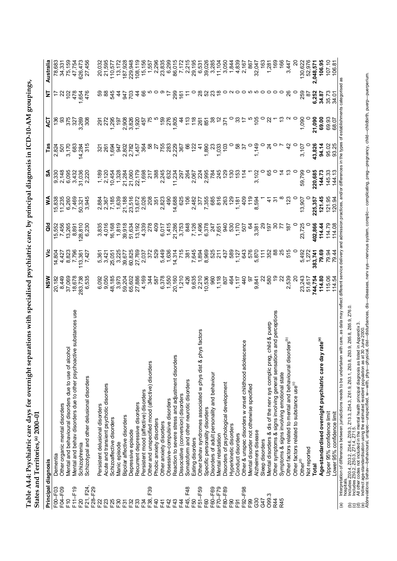| ֧֚֝<br>֧֧֧֦֧֦֧֦֧֦֧֦֧֦֧֦֧֦֧֦֧֦֧֦֧֦֧֦֧֦֧    |   |
|-------------------------------------------|---|
|                                           |   |
|                                           |   |
|                                           |   |
| ֖֖֪ׅׅ֖֖֚֚֚֚֚֚֚֚֚֚֚֚֚֚֚֚֚֬֝֝֝֓֡֡֡֡֝֬֝֬֝֬֝֬ |   |
| $\sim 100$ do and $\sim$                  |   |
| <b>コロン・コロー コン・コン・コン・コン・コロー</b>            |   |
|                                           |   |
|                                           |   |
| ;                                         |   |
|                                           |   |
|                                           |   |
|                                           |   |
|                                           |   |
|                                           |   |
| こうそう こうちょう なきなら こうそうり フラミークティー            |   |
|                                           |   |
|                                           |   |
| ;<br>;<br>;<br>l                          |   |
| י לאירוי בתחרות היא בית המונייה ב         |   |
|                                           |   |
| l                                         |   |
|                                           |   |
|                                           |   |
|                                           |   |
|                                           |   |
| - יחוד כמומים לחמי<br>l                   |   |
|                                           |   |
| ة<br>ما                                   |   |
|                                           |   |
|                                           |   |
|                                           |   |
|                                           |   |
|                                           | í |
| こく くそくく                                   |   |
|                                           |   |
|                                           |   |
| i                                         |   |
|                                           |   |
|                                           |   |
|                                           |   |
|                                           |   |

|                        | 10-NN77<br>bidites allu Territus, "                                                                                                                                                                                                  |                |                |                 |                |                 |                |                 |                           |           |
|------------------------|--------------------------------------------------------------------------------------------------------------------------------------------------------------------------------------------------------------------------------------|----------------|----------------|-----------------|----------------|-----------------|----------------|-----------------|---------------------------|-----------|
| Principal diagnosis    |                                                                                                                                                                                                                                      | NSW            | รั             | <b>aid</b>      | ≸              | SA              | <b>Fas</b>     | 13              | Ξ                         | Australia |
| F00-F03                | Dementia                                                                                                                                                                                                                             | 20,182         | 14,804         | 15,552          | 15,838         | 9,330           | 2,824          | 136             |                           | 78,683    |
| F04-F09                | Other organic mental disorders                                                                                                                                                                                                       | 8,449          | 4,427          | 7,456           | 11,235         | 2,148           | 501            | ွ               | 22                        | 34,331    |
| °⊾                     | Mental and behavioural disorders due to use of alcohol                                                                                                                                                                               | 37,069         | 8,823          |                 | 6,260          | 6,095           | 3,170          |                 | $\frac{2}{3}$             | 75,159    |
| $F11-F19$              | tive substances use<br>Mental and behav disorders due to other psychoact                                                                                                                                                             | 18,678         | 7,796          | 13,265<br>8,891 | 7,469          | 3,432           | 683            | 375<br>327      | 478                       | 47,754    |
| F <sub>20</sub>        | Schizophrenia                                                                                                                                                                                                                        | 283,738        | 113,361        | 128,810         | 50,321         | 31,036          | 14,284         | ,269<br>ຕ໌      | 1,654                     | 626,473   |
| F21, F24,              | Schizotypal and other delusional disorders                                                                                                                                                                                           | 6,535          | 7,427          | 6,230           | 3,945          | 2,220           | 315            | 308             | 476                       | 27,456    |
| F28-F29                |                                                                                                                                                                                                                                      |                |                |                 |                |                 |                |                 |                           |           |
| F <sub>22</sub>        | Persistent delusional disorders                                                                                                                                                                                                      | 6,092          | 5,361          | 3,835           |                | 1,189           |                | $\overline{5}$  |                           | 20,032    |
| F23                    | Acute and transient psychotic disorders                                                                                                                                                                                              | 9,050          | 3,421          | 4,016           | 2,884<br>2,367 | 2,120           | ន្ល ន្ល        | 272             |                           | 21,595    |
|                        |                                                                                                                                                                                                                                      |                |                |                 |                |                 |                |                 |                           |           |
| F25                    | Schizoaffective disorders                                                                                                                                                                                                            | 48,185         | 25,051         | 16,168          | 7,185          | 10,454          | 1,694          | 1,295           | 545                       | 110,577   |
| F30                    | Manic episode                                                                                                                                                                                                                        | 3.973          | 3,225          | 1,819           | 1,639          | 1,328<br>21,284 | 947            | $\frac{1}{9}$   | $\frac{4}{3}$             | 13, 172   |
| F31                    | Bipolar affective disorders                                                                                                                                                                                                          | 59,204         | 39,677         | 39,918          | 21,188         |                 | 2,802          | 2,908           | 247                       | 187,928   |
| F32                    | Depressive episode                                                                                                                                                                                                                   | 65,602         | 60,825         | 51,634          | 23,516         | 21,060          | 2,782          | 3,826           | $\approx$                 | 229,948   |
| F33                    | Recurrent depressive disorders                                                                                                                                                                                                       | 27,886         | 27,769         | 13,192          | 13,672         | 22,179          | 1,457          | 1,920           | $\ddot{4}$                | 108,119   |
| F34                    | Persistent mood (affective) disorders                                                                                                                                                                                                | 4,169          | 2,037          | 4,339           | 2,026          | 1,698           | 364            | 457             | 89                        | 15,156    |
| F39<br>F38,            | Other and unspecified mood (affective) disorders                                                                                                                                                                                     | 344            | 372            | 278             | 208            | 217             | အိ             | 75              |                           | 1,557     |
| F40                    |                                                                                                                                                                                                                                      | 587            | 529            | 409             |                | 388             | 27             |                 |                           |           |
|                        | Phobic anxiety disorders                                                                                                                                                                                                             |                |                |                 | 351            |                 |                |                 |                           | 2,296     |
| F41                    | Other anxiety disorders                                                                                                                                                                                                              | 6,378          | 5,449          | 6,017           | 2,823          | 2,245           | 755<br>283     | 159             |                           | 23,835    |
| F42                    | Obsessive-compulsive disorders                                                                                                                                                                                                       | 1,550          | 1,636          | 1,415           | 490            | 632             |                | 276             | $\overline{z}$            | 6,299     |
| F43                    | Reaction to severe stress and adjustment disorders                                                                                                                                                                                   | 20,160         | 14,314         | 21,286          | 14,688         | 11,234          | 2,229          | 1,805           | 299                       | 86,015    |
| F4                     | Dissociative (conversion) disorders                                                                                                                                                                                                  | 1,210          | 715            | 3,753           | 625            | 297             | 367            | 4               | $\frac{16}{16}$           | 7,172     |
| F48<br>F45,            | Somatoform and other neurotic disorders                                                                                                                                                                                              | 426            | 381            | 848             | 106            | 264             | 8              | $\frac{2}{13}$  | Ξ                         | 2,215     |
| F50                    | Eating disorders                                                                                                                                                                                                                     | 9,635          | 7,645          | 7,126           | 2,482          | 2.067           | 122            | $\frac{8}{18}$  |                           | 29,195    |
| F51-F59                | hys factors<br>Other behav syndromes associated w phys dist & p                                                                                                                                                                      | 2,210          |                | 1,496           | 377            | 224             | $\frac{4}{3}$  |                 | $^{28}$                   | 6,531     |
| F60                    | Specific personality disorders                                                                                                                                                                                                       | 10,536         | 1,894<br>8,969 | 6,378           |                | 2,995           | 1,890          | 851             | 52                        | 39,026    |
| F60-F69                | Disorders of adult personality and behaviour                                                                                                                                                                                         | 960            | 525            | 247             | 7,355<br>685   | 784             | $\mathbb{S}^2$ | 38              | 23                        | 3,285     |
| F70-F79                | Mental retardation                                                                                                                                                                                                                   | 1,118          | 211            | 7,651           | 816            | 245             |                | $\tilde{c}$     | $\overset{\infty}{\cdot}$ | 11,104    |
| F80-F89                | Disorders of psychological development                                                                                                                                                                                               | 807            | 437            | 940             | 263            | 129             | 1,033<br>103   | $\overline{37}$ |                           | 3,050     |
| F <sub>90</sub>        | Hyperkinetic disorders                                                                                                                                                                                                               | 464            | 589            | 530             | 129            | 130             |                |                 |                           | 1,844     |
| F91                    | Conduct disorders                                                                                                                                                                                                                    | 1,117          | 1,127          | 1,170           | 1,181          | 153             | 58             | ౢ               |                           | 4,839     |
| F92-F98                |                                                                                                                                                                                                                                      |                | 643            | 507             | 409            |                 | $\mathcal{E}$  |                 |                           |           |
|                        | cence<br>Other & unspec disorders w onset childhood adoles                                                                                                                                                                           | $\frac{4}{9}$  |                |                 |                | $\frac{4}{1}$   |                |                 |                           | 2,167     |
| F <sub>99</sub>        | Mental disorder not otherwise specified                                                                                                                                                                                              | 5              | 576            | 2               | $\frac{6}{1}$  |                 | $\circ$        |                 |                           | 867       |
| 630                    | Alzheimers disease                                                                                                                                                                                                                   | 9,841          | 5,870          | 3,381           | 8,594          | 3,102           | 1,149          | $\frac{5}{2}$   | ဖာ ဝ                      | 32,047    |
| G47                    | Sleep disorders                                                                                                                                                                                                                      | ಜ              | $\frac{1}{11}$ | ನಿ              |                |                 |                | 0               |                           | 163       |
| O99.3                  | child & puerp<br>Mental disorders & dis of the nerv sys complic preg                                                                                                                                                                 | 580            | 352            | 67              | Ļ              | 89              | $\overline{2}$ |                 | $\circ$                   | 1,281     |
| R44                    | ns and perceptions<br>Other symptoms & signs involving general sensatio                                                                                                                                                              | ဒု             | 88             | వ్ల             | က်             | 0               |                |                 | $\circ$                   | 169       |
| R45                    | Symptoms & signs involving emotional state                                                                                                                                                                                           | ಜ              |                | F               |                |                 |                | చ               | $\circ$                   | 166       |
|                        | Other factors related to mental and behavioural disorders <sup>(b)</sup>                                                                                                                                                             | 2,539          | 515            | $\frac{18}{2}$  | 123            | చ               | $\frac{2}{3}$  |                 | 88                        | 3,447     |
|                        | Other factors related to substance use <sup>(c)</sup>                                                                                                                                                                                | $\overline{c}$ |                |                 |                | o               | $\circ$        |                 |                           | ର         |
|                        | Other <sup>(d)</sup>                                                                                                                                                                                                                 | 23,243         | 5,492          | 23,725          | 13,907         | 59,799          | 3,107          | 1,090           | 259                       | 130,622   |
|                        | Not reported                                                                                                                                                                                                                         | 51,617         | 1,272          |                 | 0              |                 |                |                 | 5                         | 52,976    |
|                        | Total                                                                                                                                                                                                                                | 744,754        | 383,741        | 402,866         | 225,357        | 220,685         | 43,826         | 21,090          | 6,252                     | 2,048,571 |
|                        | ly rate <sup>(e)</sup><br>Age-standardised overnight psychiatric care da                                                                                                                                                             | 114.80         | 79.69          | 114.44          | 121.45         | 144.73          | 94.14          | 69.00           | 34.87                     | 106.95    |
|                        | Upper 95% confidence limit                                                                                                                                                                                                           | 115.06         | 79.94          | 114.79          | 121.95         | 145.33          | 95.02          | 69.93           | 35.73                     | 107.10    |
|                        | Lower 95% confidence limit                                                                                                                                                                                                           | 114.54         | 79.44          | 114.08          | 120.94         | 144.13          | 93.25          | 68.07           | 34.01                     | 106.8     |
| $\widehat{\mathbf{e}}$ | with care, as data may reflect different service delivery and admission practices, and/or differences in the types of establishments categorised<br>Interpretation of differences between jurisdictions needs to be undertaken       |                |                |                 |                |                 |                |                 |                           | as        |
| hospitals              | Q<br>Z76.                                                                                                                                                                                                                            |                |                |                 |                |                 |                |                 |                           |           |
|                        | (b) Includes 2004, 2032, 2046, 2093, 2133, 2543, 2619, 263.1, 2638, 263.9, 265.9, 2619, 2010, 2010, 2010, 2010<br>(c) Includes 2502, 2503, 2714, 2715, 2715, 2715, 2010, 2010, 2010, 2010, 2010, 2010, 2010, 2010, 2010, 2010, 2<br> |                |                |                 |                |                 |                |                 |                           |           |
|                        | ted in Appendix 3.<br>30 June 2000.<br>ical, dist—disturbances, dis—diseases, nerv sys—nervous system, complic— complicating, preg—pregnancy, child—childbirth, puerp—puerperium.                                                    |                |                |                 |                |                 |                |                 |                           |           |
|                        |                                                                                                                                                                                                                                      |                |                |                 |                |                 |                |                 |                           |           |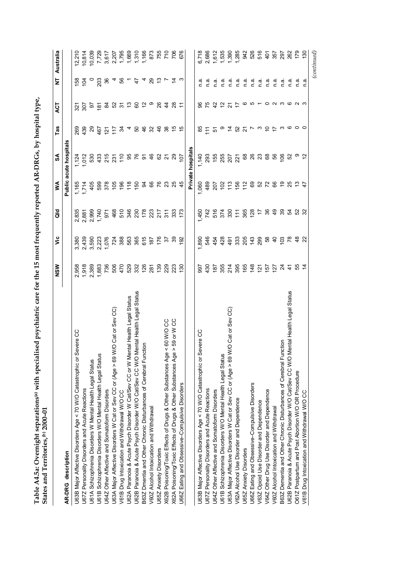| こうちょう ちょうこう                     | 0011<br>$1 \wedge R$ . DR $Ce$ by b<br>י הייט הייט או ב<br>֖֖֧֧֧֧֧֧֧֧֚֚֚֚֚֚֚֚֚֚֚֚֚֚֚֚֚֚֚֚֚֚֚֚֡֬֝֓֡֬֓֡֬֓֓֓֓֝֓֓֓֓֝֬֓֓֝֬֓֓֝֬<br> <br> <br> }<br>֖֧֧֪֧֧֧֧֧֧֪֪֪֪֪֪֪֪֧֚֚֚֚֚֚֚֚֚֚֚֚֚֚֚֚֚֚֚֚֚֚֚֚֡֝֝֓֝֟֓֡֬֝֓֝֓֝֓֝֓֝֬֝֓<br>ı |  |
|---------------------------------|--------------------------------------------------------------------------------------------------------------------------------------------------------------------------------------------------------------------|--|
| .<br>.<br>.<br>٦<br>L<br>ı<br>1 |                                                                                                                                                                                                                    |  |

|                                                                                    | NSW             | $\ddot{\bar{z}}$         | <b>a</b>           | ≸                      | SA                     | Tas            | ACT              | Ż                    | Australia                                 |
|------------------------------------------------------------------------------------|-----------------|--------------------------|--------------------|------------------------|------------------------|----------------|------------------|----------------------|-------------------------------------------|
| AR-DRG description                                                                 |                 |                          |                    |                        | Public acute hospitals |                |                  |                      |                                           |
| U63B Major Affective Disorders Age < 70 W/O Catastrophic or Severe CC              | 958             | 3,380                    | 2,835              | 1,165                  | 1,124                  | 269            | $\dot{\Omega}$   | $\frac{68}{2}$       | 12,210                                    |
| U67Z Personality Disorders and Acute Reactions                                     | 1,918           | 2,439                    | 2,881              | 1,714                  | 1,012                  | 439            | 507              | $\bar{5}$            | 10,814                                    |
| U61A Schizophrenia Disorders W Mental Health Legal Status                          | 2,389           | 3,590                    | 2,999              | 405                    | 530                    | 29             | 5                |                      | 10,039                                    |
| U61B Schizophrenia Disorders W/O Mental Health Legal Status                        | 1,883           | 2,223                    | 1,740              | 599                    | 433                    | 467            |                  | 203                  | 7,729                                     |
| U64Z Other Affective and Somatoform Disorders                                      | 736             | 1,076                    | 971                | 378                    | 258                    | $\overline{2}$ |                  | 36                   | 3,617                                     |
| Cat or Sev CC)<br>U63A Major Affective Disorders W Cat or Sev CC or (Age > 69 W/O  | 506             | 724                      | 468                | $\frac{50}{5}$         |                        | $\frac{1}{2}$  |                  | 4                    |                                           |
| V61B Drug Intoxication and Withdrawal W/O CC                                       | 470             | 388                      | 510                | $196$<br>$79$<br>$150$ |                        | 24             | <b>FR2556598</b> |                      | 2,207<br>1,795<br>1,790<br>1,160<br>1,160 |
| U62A Paranoia & Acute Psych Disorder W Cat/Sev CC or W Mental Health Legal Status  | 529             | 563                      |                    |                        |                        | 4              |                  | $6 - 4$              |                                           |
| U62B Paranoia & Acute Psych Disorder W/O Cat/Sev CC W/O Mental Health Legal Status | 332             |                          | 380 233<br>382 393 |                        | <b>95 &amp;</b>        | 50             |                  |                      |                                           |
| B63Z Dmentia and Other Chronic Disturbances of Cerebral Function                   | 126             | 365<br>615               |                    | $\mathfrak{g}$         |                        | 46             |                  | 4                    |                                           |
| V60Z Alcohol Intoxication and Withdrawal                                           | 281             | 187                      |                    | 66                     | 46                     | $\mathfrak{S}$ |                  | 29                   | 873                                       |
| U65Z Anxiety Disorders                                                             | 139             | 176                      | $\frac{217}{311}$  | 76                     | 62                     | $\frac{4}{5}$  |                  |                      | <b>867</b><br>7708                        |
| 60 W/O CC<br>V<br>X62B Poisoning/Toxic Effects of Drugs & Other Substances Age     | 229             | $\overline{\epsilon}$    |                    | 23                     | 21                     | 38             | $\frac{4}{4}$    | $\frac{10}{2}$ $\mu$ |                                           |
| 59 or W CC<br>X62A Poisoning/Toxic Effects of Drugs & Other Substances Age >       | 223             | 39                       | 333                | 25                     | 29                     | 40             | $^{28}$          | 立 ω                  |                                           |
| U66Z Eating and Obsessive-Compulsive Disorders                                     | 130             | $\overline{92}$          | 173                | $\frac{4}{5}$          | 7o                     | မ္             | Ξ                |                      | 676                                       |
|                                                                                    |                 |                          |                    |                        | Private hospitals      |                |                  |                      |                                           |
| U63B Major Affective Disorders Age < 70 W/O Catastrophic or Severe CC              | 566             | 1,890                    | 1,450              | 1,060                  | 1,140                  | 85             | 96               |                      | 6,718                                     |
| U67Z Personality Disorders and Acute Reactions                                     | 430             | 546                      | 742                | 489                    | 293                    | $\frac{1}{11}$ | 75               | n a                  | 2,686                                     |
| U64Z Other Affective and Somatoform Disorders                                      | 187             | 454                      | 516                | 207                    | 155                    | 5              | $\frac{1}{2}$    | n.a                  | 1,612                                     |
| U61B Schizophrenia Disorders W/O Mental Health Legal Status                        | 355             | 428                      | 374                | $\frac{2}{2}$          |                        |                |                  | n a                  | 1,535                                     |
| Cat or Sev CC)<br>U63A Major Affective Disorders W Cat or Sev CC or (Age > 69 W/O  | 214             | $\frac{49}{1}$           | 330                | $\frac{3}{1}$          | <u>ន</u> ្ល ក្ដី ន ន ន |                | 277              | n.a                  | 1,390                                     |
| V62A Alcohol Use Disorder and Dependence                                           | 395             | 33<br>33 7 39<br>30 7 30 |                    | 156<br>1 2             |                        | はぬれてるわけ        |                  | n.a                  | 1,285                                     |
| U65Z Anxiety Disorders                                                             | 165             |                          |                    |                        |                        |                | ဖ                | n.a                  | 942                                       |
| U66Z Eating and Obsessive-Compulsive Disorders                                     | 148             |                          | 588                | 69                     |                        |                | $R \sim 0.00$    | n.a                  | 526                                       |
| V63Z Opioid Use Disorder and Dependence                                            | $\overline{2}$  |                          |                    |                        |                        |                |                  | n.a                  | 516                                       |
| V64Z Other Drug Use Disorder and Dependence                                        | $\overline{57}$ | 58                       | 26                 | 378                    | 68                     |                |                  | n a                  | 401                                       |
| V60Z Alcohol Intoxication and Withdrawal                                           | 127             | $\frac{1}{4}$            | $\frac{9}{4}$      |                        | 89                     |                |                  | n a.                 | 357                                       |
| B63Z Dementia and Other Chronic Disturbances of Cerebral Function                  | $\overline{24}$ | 103                      | 39                 | e,                     | 106                    | က              |                  | n.a                  | 297                                       |
| U62B Paranoia & Acute Psych Disorder W/O Cat/Sev CC W/O Mental Health Legal Status | $\ddot{t}$      | 78                       | 54                 | 25                     | 52                     | ဖ              | ဖ                | $\frac{a}{2}$        | 262                                       |
| O61Z Postpartum and Post Abortion W/O OR Procedure                                 | 55              | $\frac{8}{3}$            | <b>52</b><br>32    | చ                      | တ                      | 0              | പ ധ              | n.a                  | 179                                       |
| V61B Drug Intoxication and Withdrawal W/O CC                                       |                 | 22                       |                    | $\ddot{t}$             | $\tilde{5}$            |                |                  | n.a                  | $\frac{8}{2}$                             |
|                                                                                    |                 |                          |                    |                        |                        |                |                  |                      | (continued)                               |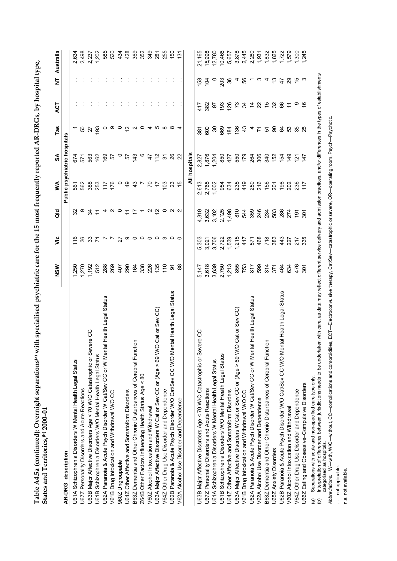|                                                                                                                                                                                                                                                                                                                        | NSW            | ۊ       | <b>aio</b>     | $\leq$                       | SA                    | TaS                                   | ACT            | Ż              | Australia     |
|------------------------------------------------------------------------------------------------------------------------------------------------------------------------------------------------------------------------------------------------------------------------------------------------------------------------|----------------|---------|----------------|------------------------------|-----------------------|---------------------------------------|----------------|----------------|---------------|
| AR-DRG description                                                                                                                                                                                                                                                                                                     |                |         |                | Public psychiatric hospitals |                       |                                       |                |                |               |
| U61A Schizophrenia Disorders W Mental Health Legal Status                                                                                                                                                                                                                                                              | ,250           | 116     |                | 561                          | 674                   |                                       |                |                | 2,634         |
| U67Z Personality Disorders and Acute Reactions                                                                                                                                                                                                                                                                         | 1,270          | 36      | ၜ              | 562                          | 571                   | SO                                    |                |                | 2,498         |
| U63B Major Affective Disorders Age < 70 W/O Catastrophic or Severe CC                                                                                                                                                                                                                                                  | 1,192          | 33      |                | 388                          | 563                   | 27                                    |                |                | 2,237         |
| U61B Schizophrenia Disorders W/O Mental Health Legal Status                                                                                                                                                                                                                                                            | 512            |         |                | 253                          | 162                   | $\overline{93}$                       |                |                | 1,202         |
| U62A Paranoia & Acute Psych Disorder W Cat/Sev CC or W Mental Health Legal Status                                                                                                                                                                                                                                      | 288            | $7 - 7$ |                | $77$<br>76                   | 169                   | $\circ$                               |                |                | 585           |
| V61B Drug Intoxication and Withdrawal W/O CC                                                                                                                                                                                                                                                                           | 269            |         | 25400          |                              | 57                    | $\circ$ $\circ$ $\frac{\circ}{\circ}$ |                |                | 520           |
| 960Z Ungroupable                                                                                                                                                                                                                                                                                                       | 407            | 27      |                | $\circ$                      | $\circ$               |                                       |                |                | 434           |
| U64Z Other Affective and Somatoform Disorders                                                                                                                                                                                                                                                                          | 290            | တ       | $\overline{r}$ | $\frac{6}{3}$                | 5                     |                                       |                |                | 428           |
| B63Z Dementia and Other Chronic Disturbances of Cerebral Function                                                                                                                                                                                                                                                      | 164            | $\circ$ | 4              | $\frac{3}{4}$                | 143                   | $\sim$                                |                |                | 369           |
| Z64B Other Factors Influencing Health Status Age < 80                                                                                                                                                                                                                                                                  | 338            | 000 0   |                | $\overline{a}$               | $\circ$               | $\circ$                               |                |                | 352           |
| V60Z Alcohol Intoxication and Withdrawal                                                                                                                                                                                                                                                                               | 226            |         | $\sim$         | 2                            | 47                    | 4                                     |                |                | 349           |
| U63A Major Affective Disorders W Cat or Sev CC or (Age > 69 W/O Cat or Sev CC)                                                                                                                                                                                                                                         | 135            |         | 2              | 17                           | 112                   | ю                                     |                |                | 281           |
| V64Z Other Drug Use Disorder and Dependence                                                                                                                                                                                                                                                                            | 110            |         | 0              | 103                          | $\tilde{\mathcal{E}}$ | $\infty$                              |                |                | 255           |
| U62B Paranoia & Acute Psych Disorder W/O Cat/Sev CC W/O Mental Health Legal Status                                                                                                                                                                                                                                     | $\overline{5}$ |         |                | 23                           | 26                    | ∞                                     |                |                | 150           |
| V62A Alcohol Use Disorder and Dependence                                                                                                                                                                                                                                                                               | 88             |         |                |                              | ଅ                     |                                       |                |                | $\frac{5}{1}$ |
|                                                                                                                                                                                                                                                                                                                        |                |         |                |                              | All hospitals         |                                       |                |                |               |
| U63B Major Affective Disorders Age < 70 W/O Catastrophic or Severe CC                                                                                                                                                                                                                                                  | 5,147          | 5,303   | 4,319          | 2,613                        | 2,827                 | 381                                   | $\frac{1}{4}$  | 158            | 21,165        |
| U67Z Personality Disorders and Acute Reactions                                                                                                                                                                                                                                                                         | 3,618          | 3,021   | 3,632          | 2,765                        | 1,876                 | 600                                   | 382            | $\overline{5}$ | 15,998        |
| U61A Schizophrenia Disorders W Mental Health Legal Status                                                                                                                                                                                                                                                              | 3,639          | 3,706   | 3,102          | 1,002                        | 1,204                 | 80                                    | 5              |                | 12,780        |
| U61B Schizophrenia Disorders W/O Mental Health Legal Status                                                                                                                                                                                                                                                            | 2,750          | 2,722   | 2,125          | 954                          | 850                   | 669                                   | 193            | 203            | 10,466        |
| U64Z Other Affective and Somatoform Disorders                                                                                                                                                                                                                                                                          | 1,213          | 1,539   | 1,498          | 634                          | 427                   | 184                                   | 126            | 36             | 5,657         |
| U63A Major Affective Disorders W Cat or Sev CC or (Age > 69 W/O Cat or Sev CC)                                                                                                                                                                                                                                         | 855            | 1,215   | 810            | 235                          | 550                   | 136                                   | 73             | 4              | 3,878         |
| V61B Drug Intoxication and Withdrawal W/O CC                                                                                                                                                                                                                                                                           | 753            | 417     | 544            | 419                          | 179                   | $\frac{3}{4}$                         | 34             | 89             | 2,445         |
| U62A Paranoia & Acute Psych Disorder W Cat/Sev CC or W Mental Health Legal Status                                                                                                                                                                                                                                      | 817            | 57      | 359            | 250                          | 264                   | 4                                     | $\frac{4}{4}$  |                | 2,280         |
| V62A Alcohol Use Disorder and Dependence                                                                                                                                                                                                                                                                               | 599            | 468     | 246            | 216                          | 306                   | Σ                                     | $\overline{2}$ | ო              | $-931$        |
| B63Z Dementia and Other Chronic Disturbances of Cerebral Function                                                                                                                                                                                                                                                      | 314            | 718     | 234            | 156                          | 340                   | 5                                     | 40             | 4              | 832           |
| <b>U65Z Anxiety Disorders</b>                                                                                                                                                                                                                                                                                          | 371            | 383     | 583            | $\overline{201}$             | 152                   | 8                                     | 32             | $\frac{3}{2}$  | ,825          |
| U62B Paranoia & Acute Psych Disorder W/O Cat/Sev CC W/O Mental Health Legal Status                                                                                                                                                                                                                                     | 464            | 443     | 286            | 198                          | 154                   | 34                                    | 66             | $\ddot{4}$     | 1,722         |
| V60Z Alcohol Intoxication and Withdrawal                                                                                                                                                                                                                                                                               | 634            | 227     | 274            | 202                          | 49                    | 33                                    | $\tilde{t}$    | 29             | 579           |
| V64Z Other Drug Use Disorder and Dependence                                                                                                                                                                                                                                                                            | 476            | 217     | $\frac{5}{2}$  | 236                          | $\overline{5}$        | 35                                    | ာ ဇ            |                | ,300          |
| U66Z Eating and Obsessive-Compulsive Disorders                                                                                                                                                                                                                                                                         | $\tilde{5}$    | 335     | $\tilde{5}$    | $\frac{1}{2}$                | 147                   | 25                                    |                | က              | ,245          |
| Interpretation of differences between jurisdictions needs to be undertaken with care, as data may reflect different service delivery and admission practices, and/or differences in the types of establishments<br>Separations with acute and non-specified care type only.<br>$\widehat{e}$<br>$\widehat{\mathbf{e}}$ |                |         |                |                              |                       |                                       |                |                |               |

Table A4.5a (continued): Overnight separations<sup>(a)</sup> with specialised psychiatric care for the 15 most frequently reported AR-DRGs, by hospital type, **Table A4.5a (continued): Overnight separations(a) with specialised psychiatric care for the 15 most frequently reported AR-DRGs, by hospital type,**

categorised as hospitals.

categorised as hospitals.<br>Ab*breviations:* W—with, W/O—without, CC—complications and comorbidities, ECT—Electroconvulsive therapy, Cat/Sev—catastrophic or severe, OR—operating room, Psych—Psychotic. *Abbreviations:* W—with, W/O—without, CC—complications and comorbidities, ECT—Electroconvulsive therapy, Cat/Sev—catastrophic or severe, OR—operating room, Psych—Psychotic.

.. not applicable.<br>n.a. not available. . . not applicable.

n.a. not available.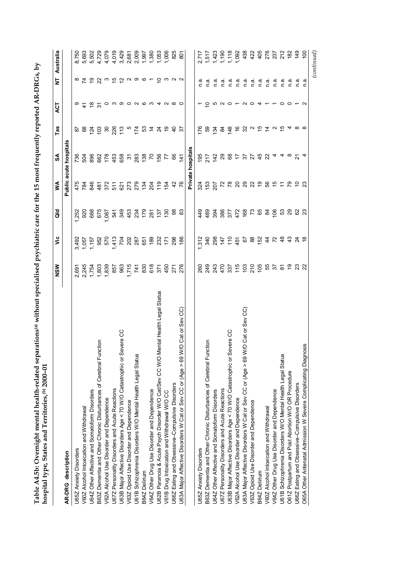|                                                                                    | NSM          | š                                                                                                                                                                                                                  | as<br>G                                                                                                                                                                                                                                                                                                                     | ≸                   | SA               | Tas                                                  | ACT                                                                                                                                                                                                                                                     | Ż              | Australia      |
|------------------------------------------------------------------------------------|--------------|--------------------------------------------------------------------------------------------------------------------------------------------------------------------------------------------------------------------|-----------------------------------------------------------------------------------------------------------------------------------------------------------------------------------------------------------------------------------------------------------------------------------------------------------------------------|---------------------|------------------|------------------------------------------------------|---------------------------------------------------------------------------------------------------------------------------------------------------------------------------------------------------------------------------------------------------------|----------------|----------------|
| AR-DRG description                                                                 |              |                                                                                                                                                                                                                    |                                                                                                                                                                                                                                                                                                                             | Public              | acute hospital   |                                                      |                                                                                                                                                                                                                                                         |                |                |
| U65Z Anxiety Disorders                                                             | 2,691        | 3,492                                                                                                                                                                                                              | ,252                                                                                                                                                                                                                                                                                                                        | 475                 | 736              | ౚ                                                    |                                                                                                                                                                                                                                                         |                | 8,750          |
| V60Z Alcohol Intoxication and Withdrawal                                           | 2,245        | 1,057                                                                                                                                                                                                              | 920                                                                                                                                                                                                                                                                                                                         | 784                 | PS               |                                                      |                                                                                                                                                                                                                                                         |                | 5,693          |
| U64Z Other Affective and Somatoform Disorders                                      | 1,754        | 1,157                                                                                                                                                                                                              | 688                                                                                                                                                                                                                                                                                                                         | 846                 | 896              | 8488826                                              | $\circ$ $\stackrel{\sim}{\sim}$ $\stackrel{\sim}{\sim}$ $\stackrel{\sim}{\sim}$ $\stackrel{\sim}{\sim}$ $\stackrel{\sim}{\sim}$ $\stackrel{\sim}{\sim}$ $\stackrel{\sim}{\sim}$ $\stackrel{\sim}{\sim}$ $\stackrel{\sim}{\sim}$ $\stackrel{\sim}{\sim}$ |                | 5,502          |
| B63Z Dementia and Other Chronic Disturbances of Cerebral Function                  | 1,803        |                                                                                                                                                                                                                    | 675                                                                                                                                                                                                                                                                                                                         | 481                 |                  |                                                      |                                                                                                                                                                                                                                                         |                | 4,729          |
| V62A Alcohol Use Disorder and Dependence                                           | 1,839        | 952<br>570                                                                                                                                                                                                         | 087                                                                                                                                                                                                                                                                                                                         |                     |                  |                                                      |                                                                                                                                                                                                                                                         |                | 4,079          |
| U67Z Personality Disorders and Acute Reactions                                     | 857          |                                                                                                                                                                                                                    |                                                                                                                                                                                                                                                                                                                             |                     | 82<br>178<br>453 |                                                      |                                                                                                                                                                                                                                                         |                |                |
| U63B Major Affective Disorders Age < 70 W/O Catastrophic or Severe CC              | 963          | $\begin{array}{ccccccccc} \vec{r} & \vec{S} & \vec{S} & \vec{S} & \vec{S} & \vec{S} & \vec{S} & \vec{S} \\ \vec{r} & \vec{S} & \vec{S} & \vec{S} & \vec{S} & \vec{S} & \vec{S} & \vec{S} & \vec{S} \\ \end{array}$ | $\begin{array}{cccccc} 7 & 0 & 0 & 4 & 0 & 0 & 0 \\ 4 & 0 & 0 & 4 & 0 & 0 & 0 \\ 0 & 0 & 0 & 0 & 0 & 0 & 0 \\ 0 & 0 & 0 & 0 & 0 & 0 & 0 \\ 0 & 0 & 0 & 0 & 0 & 0 & 0 \\ 0 & 0 & 0 & 0 & 0 & 0 & 0 \\ 0 & 0 & 0 & 0 & 0 & 0 & 0 \\ 0 & 0 & 0 & 0 & 0 & 0 & 0 \\ 0 & 0 & 0 & 0 & 0 & 0 & 0 \\ 0 & 0 & 0 & 0 & 0 & 0 & 0 \\ 0$ |                     |                  |                                                      |                                                                                                                                                                                                                                                         |                | 4,019<br>3,429 |
| V63Z Opioid Use Disorder and Dependence                                            | 1,715        |                                                                                                                                                                                                                    |                                                                                                                                                                                                                                                                                                                             |                     |                  |                                                      |                                                                                                                                                                                                                                                         |                | 2,681          |
| U61B Schizophrenia Disorders W/O Mental Health Legal Status                        | 741          |                                                                                                                                                                                                                    |                                                                                                                                                                                                                                                                                                                             |                     |                  |                                                      |                                                                                                                                                                                                                                                         |                | 2,009          |
| B64Z Delirium                                                                      | 830          |                                                                                                                                                                                                                    |                                                                                                                                                                                                                                                                                                                             |                     |                  |                                                      |                                                                                                                                                                                                                                                         |                | 1,997          |
| V64Z Other Drug Use Disorder and Dependence                                        | 618          |                                                                                                                                                                                                                    |                                                                                                                                                                                                                                                                                                                             |                     |                  | 5 2 2 2 5                                            |                                                                                                                                                                                                                                                         |                | 1,380          |
| U62B Paranoia & Acute Psych Disorder W/O Cat/Sev CC W/O Mental Health Legal Status | $371$<br>450 |                                                                                                                                                                                                                    | 137                                                                                                                                                                                                                                                                                                                         |                     | 156              |                                                      |                                                                                                                                                                                                                                                         |                | 1,053          |
| V61B Drug Intoxication and Withdrawal W/O CC                                       |              |                                                                                                                                                                                                                    | 130                                                                                                                                                                                                                                                                                                                         | 154                 | 77               |                                                      |                                                                                                                                                                                                                                                         |                | 1,006          |
| U66Z Eating and Obsessive-Compulsive Disorders                                     | 271          | 298                                                                                                                                                                                                                | 88                                                                                                                                                                                                                                                                                                                          | 42                  | 8                | $rac{40}{9}$                                         |                                                                                                                                                                                                                                                         |                | 825            |
| U63A Major Affective Disorders W Cat or Sev CC or (Age > 69 W/O Cat or Sev CC)     | 276          | $\frac{86}{5}$                                                                                                                                                                                                     | ္ထ                                                                                                                                                                                                                                                                                                                          |                     | $\frac{1}{4}$    |                                                      |                                                                                                                                                                                                                                                         |                | 801            |
|                                                                                    |              |                                                                                                                                                                                                                    |                                                                                                                                                                                                                                                                                                                             |                     | Private hospital |                                                      |                                                                                                                                                                                                                                                         |                |                |
| U65Z Anxiety Disorders                                                             | 260          | 1,312                                                                                                                                                                                                              | 449                                                                                                                                                                                                                                                                                                                         | 324                 | $\frac{65}{20}$  | 176                                                  |                                                                                                                                                                                                                                                         | n.a            | 2,717          |
| B63Z Dementia and Other Chronic Disturbances of Cerebral Function                  | 249          | 340                                                                                                                                                                                                                | 489                                                                                                                                                                                                                                                                                                                         | 153                 | 217              | 59                                                   |                                                                                                                                                                                                                                                         | n.a            | 1,517          |
| U64Z Other Affective and Somatoform Disorders                                      | 243          | 298                                                                                                                                                                                                                | 394                                                                                                                                                                                                                                                                                                                         | $\frac{207}{72}$    | $\frac{42}{5}$   | $\mathfrak{F}$                                       |                                                                                                                                                                                                                                                         | n a            | 423            |
| U67Z Personality Disorders and Acute Reactions                                     | 470          | 147                                                                                                                                                                                                                | 386                                                                                                                                                                                                                                                                                                                         |                     | ଅ                | $\mathfrak{g}$                                       | $9000 - 00$                                                                                                                                                                                                                                             | $\overline{a}$ | 190            |
| U63B Major Affective Disorders Age < 70 W/O Catastrophic or Severe CC              |              | $\frac{1}{2}$                                                                                                                                                                                                      | $372888$<br>$5288$                                                                                                                                                                                                                                                                                                          | 78                  | 85577774482      | 148                                                  |                                                                                                                                                                                                                                                         | n.a            | 1,118          |
| V62A Alcohol Use Disorder and Dependence                                           |              |                                                                                                                                                                                                                    |                                                                                                                                                                                                                                                                                                                             |                     |                  |                                                      |                                                                                                                                                                                                                                                         | n.a            | 1,092          |
| U63A Major Affective Disorders W Cat or Sev CC or (Age > 69 W/O Cat or Sev CC)     |              | $\frac{4}{5}$ $\frac{6}{5}$ $\frac{8}{5}$ $\frac{5}{4}$ $\frac{4}{5}$ $\frac{4}{5}$ $\frac{4}{5}$                                                                                                                  |                                                                                                                                                                                                                                                                                                                             | <b>222256555655</b> |                  | $68$ $a$ $b$ $\tilde{a}$ $a$ $\tilde{b}$ $a$ $a$ $a$ |                                                                                                                                                                                                                                                         | ີ້.<br>ຕ       | 438            |
| V63Z Opioid Use Disorder and Dependence                                            |              |                                                                                                                                                                                                                    |                                                                                                                                                                                                                                                                                                                             |                     |                  |                                                      |                                                                                                                                                                                                                                                         | n.a            | 422            |
| B64Z Delirium                                                                      |              |                                                                                                                                                                                                                    |                                                                                                                                                                                                                                                                                                                             |                     |                  |                                                      |                                                                                                                                                                                                                                                         | n a            | 405            |
| V60Z Alcohol Intoxication and Withdrawal                                           |              |                                                                                                                                                                                                                    |                                                                                                                                                                                                                                                                                                                             |                     |                  |                                                      |                                                                                                                                                                                                                                                         | n.a            | 276            |
| V64Z Other Drug Use Disorder and Dependence                                        |              |                                                                                                                                                                                                                    | $\frac{1}{2}$                                                                                                                                                                                                                                                                                                               |                     |                  |                                                      |                                                                                                                                                                                                                                                         | n a            | 237            |
| U61B Schizophrenia Disorders W/O Mental Health Legal Status                        | 556282       |                                                                                                                                                                                                                    | <u>ន ខ</u> ខ                                                                                                                                                                                                                                                                                                                |                     |                  |                                                      | $4 - 00 - 4$                                                                                                                                                                                                                                            | $\overline{a}$ | 212            |
| O61Z Postpartum and Post Abortion W/O OR Procedure                                 |              |                                                                                                                                                                                                                    |                                                                                                                                                                                                                                                                                                                             |                     |                  |                                                      |                                                                                                                                                                                                                                                         | n a            | 182            |
| U66Z Eating and Obsessive-Compulsive Disorders                                     |              |                                                                                                                                                                                                                    |                                                                                                                                                                                                                                                                                                                             |                     |                  |                                                      |                                                                                                                                                                                                                                                         | n.a            | 149            |
| Other Antenatal Admission W Severe Complicating Diagnosis<br><b>O65A</b>           |              |                                                                                                                                                                                                                    | ಬಿ                                                                                                                                                                                                                                                                                                                          |                     |                  |                                                      |                                                                                                                                                                                                                                                         | n.a            | 100            |
|                                                                                    |              |                                                                                                                                                                                                                    |                                                                                                                                                                                                                                                                                                                             |                     |                  |                                                      |                                                                                                                                                                                                                                                         |                | (continued)    |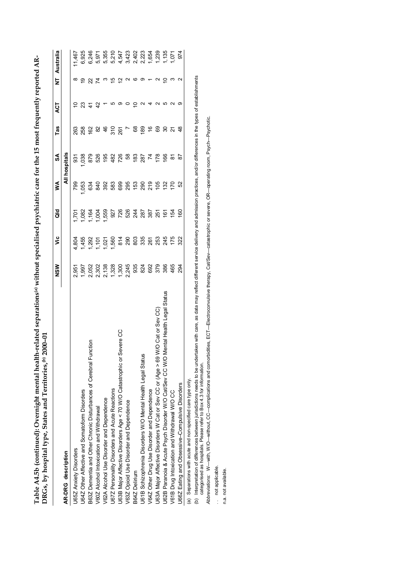|                                                                                    | NSW                                                                                                                                                                                                                                                             | ۊ     | ă               | ≸         | S                     | Tas           | ACT         | Ż                       | Australia       |
|------------------------------------------------------------------------------------|-----------------------------------------------------------------------------------------------------------------------------------------------------------------------------------------------------------------------------------------------------------------|-------|-----------------|-----------|-----------------------|---------------|-------------|-------------------------|-----------------|
| AR-DRG description                                                                 |                                                                                                                                                                                                                                                                 |       |                 |           | All hospitals         |               |             |                         |                 |
| J65Z Anxiety Disorders                                                             | 2,951                                                                                                                                                                                                                                                           | 4,804 | 1,701           | P99       | 931                   | 263           | ö           | $\infty$                | 1.467           |
| J64Z Other Affective and Somatoform Disorders                                      |                                                                                                                                                                                                                                                                 |       |                 | 053       | 038                   |               |             |                         | 6,925           |
| B63Z Dementia and Other Chronic Disturbances of Cerebral Function                  |                                                                                                                                                                                                                                                                 |       |                 |           | 879<br>526            |               | $23 + 3$    | 987                     | 6,246           |
| V60Z Alcohol Intoxication and Withdrawal                                           |                                                                                                                                                                                                                                                                 |       |                 |           |                       |               |             |                         | 5,971           |
| V62A Alcohol Use Disorder and Dependence                                           |                                                                                                                                                                                                                                                                 |       |                 |           | 195                   |               |             | $\boldsymbol{\omega}$   | 5,355           |
| J67Z Personality Disorders and Acute Reactions                                     |                                                                                                                                                                                                                                                                 |       |                 |           |                       |               | ယ           | $\frac{1}{2}$           |                 |
| ere CC<br>J63B Major Affective Disorders Age < 70 W/O Catastrophic or Sev          |                                                                                                                                                                                                                                                                 |       |                 |           | 482<br>726            |               | တ           | $\overline{\mathbf{C}}$ |                 |
| V63Z Opioid Use Disorder and Dependence                                            | $\begin{array}{l} 5.018880948408869 \\ 9.503783634088637869 \\ 1.5037836363637869 \\ 1.5037836366378869 \\ 1.50378366660 \\ 1.50378366660 \\ 1.50378366660 \\ 1.50378366660 \\ 1.50378366660 \\ 1.50378366660 \\ 1.50378366660 \\ 1.50378366660 \\ 1.503783666$ |       |                 |           |                       | 828925788     | $\circ$     |                         |                 |
| B64Z Delirium                                                                      |                                                                                                                                                                                                                                                                 |       |                 |           |                       |               | $\subseteq$ | N O                     |                 |
| U61B Schizophrenia Disorders W/O Mental Health Legal Status                        |                                                                                                                                                                                                                                                                 |       |                 |           | 82<br>282<br>88<br>88 |               | N           | တ                       |                 |
| V64Z Other Drug Use Disorder and Dependence                                        |                                                                                                                                                                                                                                                                 |       |                 |           |                       | $\frac{6}{6}$ | 4           |                         |                 |
| J63A Major Affective Disorders W Cat or Sev CC or (Age > 69 W/O Cat or Sev CC)     |                                                                                                                                                                                                                                                                 |       |                 |           |                       |               | $\sim$      | $\sim$                  |                 |
| J62B Paranoia & Acute Psych Disorder W/O Cat/Sev CC W/O Mental Health Legal Status |                                                                                                                                                                                                                                                                 |       |                 | 132       | 89                    | ္လ            | Ю           | $\subseteq$             |                 |
| V61B Drug Intoxication and Withdrawal W/O CC                                       |                                                                                                                                                                                                                                                                 |       |                 | <u>51</u> | ᇮ                     | $\frac{5}{9}$ | $\sim$      | $\frac{1}{2}$           | $135$<br>$0.71$ |
| J66Z Eating and Obsessive-Compulsive Disorders                                     | 594                                                                                                                                                                                                                                                             |       | $\overline{60}$ | S2        | င္တ                   |               | တ           |                         | 974             |
| (a) Separations with acute and non-specified care type only.                       |                                                                                                                                                                                                                                                                 |       |                 |           |                       |               |             |                         |                 |

Table A4.5b (continued): Overnight mental health-related separations<sup>(a)</sup> without specialised psychiatric care for the 15 most frequently reported AR-**Table A4.5b (continued): Overnight mental health-related separations(a) without specialised psychiatric care for the 15 most frequently reported AR-**DRGs, by hospital type, States and Territories,<sup>(b)</sup> 2000-01 **DRGs, by hospital type, States and Territories,(b) 2000–01**

(b) Interpretation of differences between jurisdictions needs to be undertaken with care, as data may reflect different service delivery and admission practices, and/or differences in the types of establishments<br>categorise (b) Interpretation of differences between jurisdictions needs to be undertaken with care, as data may reflect different service delivery and admission practices, and/or differences in the types of establishments categorised as hospitals. Please refer to Box 4.3 for information.

Abbreviations: W-with, WO-without, CC-complications and comorbidities, ECT-Electroconvulsive therapy, Cat/Sev-catastrophic or severe, OR-operating room, Psych-Psychotic. *Abbreviations:* W—with, W/O—without, CC—complications and comorbidities, ECT—Electroconvulsive therapy, Cat/Sev—catastrophic or severe, OR—operating room, Psych—Psychotic.

.. not applicable. . . not applicable.

n.a. not available. n.a. not available.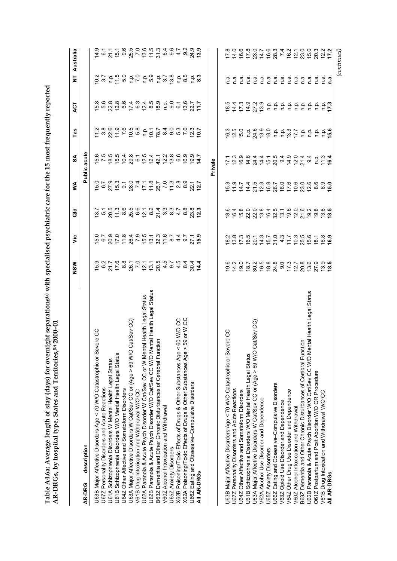| S<br>F                                                   |                                      |
|----------------------------------------------------------|--------------------------------------|
|                                                          |                                      |
|                                                          |                                      |
|                                                          |                                      |
| $\sim$ $\sim$ $\sim$ $\sim$ $\sim$ $\sim$ $\sim$ $\sim$  |                                      |
|                                                          |                                      |
| יינו ביטל לייל לאחר ביטלי לייל היינו ביטל                |                                      |
|                                                          |                                      |
| ֖֧֧ׅ֧֧֧֧֧֧֧֦֧֧֧֛֚֚֚֚֚֚֚֚֚֚֚֚֚֚֚֚֚֚֚֚֚֚֚֚֚֬֝֓֜֓֓֝֓֓֓֓֓֓֓֜ |                                      |
|                                                          |                                      |
|                                                          |                                      |
| ternomype hearlenom dirvies would<br>)<br> <br> <br>     |                                      |
|                                                          |                                      |
|                                                          |                                      |
|                                                          | 2<br>                                |
| $-2$<br>tor overnig.                                     |                                      |
|                                                          |                                      |
|                                                          |                                      |
|                                                          |                                      |
|                                                          |                                      |
|                                                          |                                      |
|                                                          |                                      |
| able A4.6a: Average length of stay (day                  | R-DRGs, by hospital type, States and |
|                                                          |                                      |
|                                                          |                                      |

|                                                                                     | <b>NSW</b>                         | υã                                        | aio                                                                                                                                                                                                                                                                                                                                                                                                                              | ⋚                                                                    | న్                                                                             | Tas                                                                                                                                                                                                                                                                                                                                                                                                                              | ACT                | Ż                                                                                           | Australia        |
|-------------------------------------------------------------------------------------|------------------------------------|-------------------------------------------|----------------------------------------------------------------------------------------------------------------------------------------------------------------------------------------------------------------------------------------------------------------------------------------------------------------------------------------------------------------------------------------------------------------------------------|----------------------------------------------------------------------|--------------------------------------------------------------------------------|----------------------------------------------------------------------------------------------------------------------------------------------------------------------------------------------------------------------------------------------------------------------------------------------------------------------------------------------------------------------------------------------------------------------------------|--------------------|---------------------------------------------------------------------------------------------|------------------|
| description<br>AR-DRG                                                               |                                    |                                           |                                                                                                                                                                                                                                                                                                                                                                                                                                  | Public                                                               | acute                                                                          |                                                                                                                                                                                                                                                                                                                                                                                                                                  |                    |                                                                                             |                  |
| ere CC<br>U63B Major Affective Disorders Age < 70 W/O Catastrophic or Sev           |                                    |                                           |                                                                                                                                                                                                                                                                                                                                                                                                                                  |                                                                      |                                                                                |                                                                                                                                                                                                                                                                                                                                                                                                                                  |                    |                                                                                             |                  |
| U67Z Personality Disorders and Acute Reactions                                      |                                    |                                           |                                                                                                                                                                                                                                                                                                                                                                                                                                  |                                                                      |                                                                                |                                                                                                                                                                                                                                                                                                                                                                                                                                  |                    |                                                                                             |                  |
| U61A Schizophrenia Disorders W Mental Health Legal Status                           |                                    |                                           |                                                                                                                                                                                                                                                                                                                                                                                                                                  |                                                                      |                                                                                |                                                                                                                                                                                                                                                                                                                                                                                                                                  |                    |                                                                                             |                  |
| U61B Schizophrenia Disorders W/O Mental Health Legal Status                         |                                    |                                           |                                                                                                                                                                                                                                                                                                                                                                                                                                  |                                                                      |                                                                                |                                                                                                                                                                                                                                                                                                                                                                                                                                  |                    |                                                                                             |                  |
| U64Z Other Affective and Somatoform Disorders                                       |                                    |                                           |                                                                                                                                                                                                                                                                                                                                                                                                                                  |                                                                      |                                                                                |                                                                                                                                                                                                                                                                                                                                                                                                                                  |                    |                                                                                             |                  |
| at/Sev CC)<br>U63A Major Affective Disorders W Cat/Sev CC or (Age > 69 W/O C        |                                    | ちゅのけれぬてちは 3 れる49 Z 15 のこののほう 4 0 Z 15 0 3 | $\begin{array}{l} \mathbf{5} \ \mathbf{1} \ \mathbf{2} \ \mathbf{3} \ \mathbf{4} \ \mathbf{5} \ \mathbf{6} \ \mathbf{7} \ \mathbf{8} \ \mathbf{9} \ \mathbf{1} \ \mathbf{1} \ \mathbf{2} \ \mathbf{3} \ \mathbf{4} \ \mathbf{5} \ \mathbf{6} \ \mathbf{6} \ \mathbf{7} \ \mathbf{8} \ \mathbf{9} \ \mathbf{1} \ \mathbf{1} \ \mathbf{2} \ \mathbf{3} \ \mathbf{4} \ \mathbf{5} \ \mathbf{6} \ \mathbf{6} \ \mathbf{7} \ \mathbf$ | 5 5 6 7 6 9 7 7 7 8 7 7 9 9 7 7 7<br>0 7 9 9 7 9 7 7 8 9 7 9 9 9 7 7 | ちてはちりの。これないは。そうはありのから。 おおりの。 とうないはない。                                          | $\begin{array}{l} \tau \approx 0 \times 0.5 \times 0.5 \\ \tau \approx 0.7 \times 0.5 \times 0.5 \times 0.5 \times 0.5 \times 0.5 \times 0.5 \times 0.5 \times 0.5 \times 0.5 \times 0.5 \times 0.5 \times 0.5 \times 0.5 \times 0.5 \times 0.5 \times 0.5 \times 0.5 \times 0.5 \times 0.5 \times 0.5 \times 0.5 \times 0.5 \times 0.5 \times 0.5 \times 0.5 \times 0.5 \times 0.5 \times 0.5 \times 0.5 \times 0.5 \times 0.5$ |                    | 0 0 0 0 0 0 0 0 0 0 0 0 0 0 0 0 0<br>0 0 0 0 0 0 0 0 0 0 0 0 0 0 0<br>0 0 0 0 0 0 0 0 0 0 0 |                  |
| V61B Drug Intoxication and Withdrawal W/O CC                                        |                                    |                                           |                                                                                                                                                                                                                                                                                                                                                                                                                                  |                                                                      |                                                                                |                                                                                                                                                                                                                                                                                                                                                                                                                                  |                    |                                                                                             |                  |
| U62A Paranoia & Acute Psych Disorder W Cat/Sev CC or W Mental Health Legal Status   |                                    |                                           |                                                                                                                                                                                                                                                                                                                                                                                                                                  |                                                                      |                                                                                |                                                                                                                                                                                                                                                                                                                                                                                                                                  |                    |                                                                                             |                  |
| U62B Paranoia & Acute Psych Disorder W/O Cat/Sev CC W/O Mental Health Legal Status  |                                    |                                           |                                                                                                                                                                                                                                                                                                                                                                                                                                  |                                                                      |                                                                                |                                                                                                                                                                                                                                                                                                                                                                                                                                  |                    |                                                                                             |                  |
| δ<br>B63Z Dementia and Other Chronic Disturbances of Cerebral Functi                |                                    |                                           |                                                                                                                                                                                                                                                                                                                                                                                                                                  |                                                                      |                                                                                |                                                                                                                                                                                                                                                                                                                                                                                                                                  |                    |                                                                                             |                  |
| V60Z Alcohol Intoxication and Withdrawal                                            |                                    |                                           |                                                                                                                                                                                                                                                                                                                                                                                                                                  |                                                                      |                                                                                |                                                                                                                                                                                                                                                                                                                                                                                                                                  |                    |                                                                                             |                  |
| U65Z Anxiety Disorders                                                              |                                    |                                           |                                                                                                                                                                                                                                                                                                                                                                                                                                  |                                                                      |                                                                                |                                                                                                                                                                                                                                                                                                                                                                                                                                  |                    |                                                                                             |                  |
| ပ္ပ ပ္ပ<br>60 W/O<br>X62B Poisoning/Toxic Effects of Drugs & Other Substances Age < |                                    |                                           |                                                                                                                                                                                                                                                                                                                                                                                                                                  |                                                                      |                                                                                |                                                                                                                                                                                                                                                                                                                                                                                                                                  |                    |                                                                                             |                  |
| 59 or W<br>X62A Poisoning/Toxic Effects of Drugs & Other Substances Age >           |                                    |                                           |                                                                                                                                                                                                                                                                                                                                                                                                                                  |                                                                      |                                                                                |                                                                                                                                                                                                                                                                                                                                                                                                                                  |                    |                                                                                             |                  |
| U66Z Eating and Obsessive-Compulsive Disorders                                      |                                    |                                           |                                                                                                                                                                                                                                                                                                                                                                                                                                  |                                                                      | $\overline{9}$                                                                 |                                                                                                                                                                                                                                                                                                                                                                                                                                  |                    | 8<br>8<br>8<br>8<br>8                                                                       |                  |
| All AR-DRGs                                                                         |                                    |                                           |                                                                                                                                                                                                                                                                                                                                                                                                                                  |                                                                      | 혹                                                                              |                                                                                                                                                                                                                                                                                                                                                                                                                                  |                    |                                                                                             |                  |
|                                                                                     |                                    |                                           |                                                                                                                                                                                                                                                                                                                                                                                                                                  |                                                                      | Private                                                                        |                                                                                                                                                                                                                                                                                                                                                                                                                                  |                    |                                                                                             |                  |
|                                                                                     |                                    |                                           |                                                                                                                                                                                                                                                                                                                                                                                                                                  |                                                                      |                                                                                |                                                                                                                                                                                                                                                                                                                                                                                                                                  |                    |                                                                                             |                  |
| J63B Major Affective Disorders Age < 70 W/O Catastrophic or Severe CC               |                                    |                                           |                                                                                                                                                                                                                                                                                                                                                                                                                                  |                                                                      |                                                                                |                                                                                                                                                                                                                                                                                                                                                                                                                                  |                    | e<br>C                                                                                      |                  |
| U67Z Personality Disorders and Acute Reactions                                      |                                    |                                           |                                                                                                                                                                                                                                                                                                                                                                                                                                  |                                                                      |                                                                                |                                                                                                                                                                                                                                                                                                                                                                                                                                  |                    |                                                                                             |                  |
| U64Z Other Affective and Somatoform Disorders                                       | 0<br>0 1 0 0<br>0 1 0 0<br>0 1 0 0 |                                           |                                                                                                                                                                                                                                                                                                                                                                                                                                  |                                                                      | r co co e 4 4 4 6 9 0 4 6 7 9 9 9 4 7<br>- co co e 4 4 4 6 9 9 4 7 9 9 4 7 9 9 |                                                                                                                                                                                                                                                                                                                                                                                                                                  | 847747855555555555 |                                                                                             |                  |
| U61B Schizophrenia Disorders W/O Mental Health Legal Status                         |                                    |                                           |                                                                                                                                                                                                                                                                                                                                                                                                                                  |                                                                      |                                                                                |                                                                                                                                                                                                                                                                                                                                                                                                                                  |                    |                                                                                             |                  |
| at/Sev CC)<br>U63A Major Affective Disorders W Cat/Sev CC or (Age > 69 W/O C        |                                    |                                           |                                                                                                                                                                                                                                                                                                                                                                                                                                  |                                                                      |                                                                                |                                                                                                                                                                                                                                                                                                                                                                                                                                  |                    |                                                                                             |                  |
| V62A Alcohol Use Disorder and Dependence                                            |                                    |                                           |                                                                                                                                                                                                                                                                                                                                                                                                                                  |                                                                      |                                                                                |                                                                                                                                                                                                                                                                                                                                                                                                                                  |                    |                                                                                             |                  |
| U65Z Anxiety Disorders                                                              |                                    |                                           |                                                                                                                                                                                                                                                                                                                                                                                                                                  |                                                                      |                                                                                |                                                                                                                                                                                                                                                                                                                                                                                                                                  |                    |                                                                                             |                  |
| U66Z Eating and Obsessive-Compulsive Disorders                                      |                                    |                                           |                                                                                                                                                                                                                                                                                                                                                                                                                                  |                                                                      |                                                                                |                                                                                                                                                                                                                                                                                                                                                                                                                                  |                    |                                                                                             |                  |
| V63Z Opioid Use Disorder and Dependence                                             |                                    |                                           |                                                                                                                                                                                                                                                                                                                                                                                                                                  |                                                                      |                                                                                |                                                                                                                                                                                                                                                                                                                                                                                                                                  |                    |                                                                                             |                  |
| V64Z Other Drug Use Disorder and Dependence                                         |                                    |                                           |                                                                                                                                                                                                                                                                                                                                                                                                                                  |                                                                      |                                                                                |                                                                                                                                                                                                                                                                                                                                                                                                                                  |                    |                                                                                             |                  |
| V60Z Alcohol Intoxication and Withdrawal                                            |                                    |                                           |                                                                                                                                                                                                                                                                                                                                                                                                                                  |                                                                      |                                                                                |                                                                                                                                                                                                                                                                                                                                                                                                                                  |                    |                                                                                             |                  |
| B63Z Dementia and Other Chronic Disturbances of Cerebral Function                   |                                    |                                           |                                                                                                                                                                                                                                                                                                                                                                                                                                  |                                                                      |                                                                                |                                                                                                                                                                                                                                                                                                                                                                                                                                  |                    |                                                                                             |                  |
| U62B Paranoia & Acute Psych Disorder W/O Cat/Sev CC W/O Mental Health Legal Status  |                                    |                                           |                                                                                                                                                                                                                                                                                                                                                                                                                                  |                                                                      |                                                                                |                                                                                                                                                                                                                                                                                                                                                                                                                                  |                    |                                                                                             |                  |
| O61Z Postpartum and Post Abortion W/O OR Procedure                                  |                                    |                                           |                                                                                                                                                                                                                                                                                                                                                                                                                                  |                                                                      |                                                                                |                                                                                                                                                                                                                                                                                                                                                                                                                                  |                    |                                                                                             |                  |
| V61B Drug Intoxication and Withdrawal W/O CC                                        |                                    |                                           |                                                                                                                                                                                                                                                                                                                                                                                                                                  |                                                                      |                                                                                |                                                                                                                                                                                                                                                                                                                                                                                                                                  |                    |                                                                                             |                  |
| All AR-DRGs                                                                         |                                    |                                           |                                                                                                                                                                                                                                                                                                                                                                                                                                  |                                                                      |                                                                                |                                                                                                                                                                                                                                                                                                                                                                                                                                  |                    |                                                                                             |                  |
|                                                                                     |                                    |                                           |                                                                                                                                                                                                                                                                                                                                                                                                                                  |                                                                      |                                                                                |                                                                                                                                                                                                                                                                                                                                                                                                                                  |                    |                                                                                             | $_{(continued)}$ |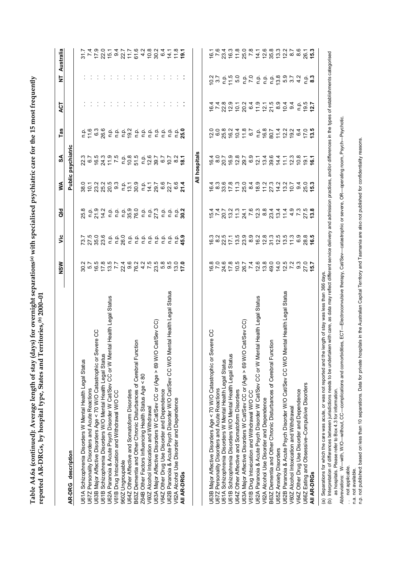Table A4.6a (continued): Average length of stay (days) for overnight separations(a) with specialised psychiatric care for the 15 most frequently<br>reported AR-DRGs, by hospital type, States and Territories,(b) 2000-01 **Table A4.6a (continued): Average length of stay (days) for overnight separations(a) with specialised psychiatric care for the 15 most frequently reported AR-DRGs, by hospital type, States and Territories,(b) 2000–01**

|                                                                                                                                                                                                                                                                                                                                                             | NSM                                                         | $\breve{\mathbf{v}}$                                                                                                                                                                                                                                                                                                                                                                                                                                           | ਰ<br>ਹ                                                                                                                                                                                                                                                                                                                                                                                    | ⋚                                                                                                                                                                                                                                                                                                                                                                                                       | న్                 | Tas                           | ACT                                      | Ż                                                                                                                   | Australia                                              |
|-------------------------------------------------------------------------------------------------------------------------------------------------------------------------------------------------------------------------------------------------------------------------------------------------------------------------------------------------------------|-------------------------------------------------------------|----------------------------------------------------------------------------------------------------------------------------------------------------------------------------------------------------------------------------------------------------------------------------------------------------------------------------------------------------------------------------------------------------------------------------------------------------------------|-------------------------------------------------------------------------------------------------------------------------------------------------------------------------------------------------------------------------------------------------------------------------------------------------------------------------------------------------------------------------------------------|---------------------------------------------------------------------------------------------------------------------------------------------------------------------------------------------------------------------------------------------------------------------------------------------------------------------------------------------------------------------------------------------------------|--------------------|-------------------------------|------------------------------------------|---------------------------------------------------------------------------------------------------------------------|--------------------------------------------------------|
| AR-DRG description                                                                                                                                                                                                                                                                                                                                          |                                                             |                                                                                                                                                                                                                                                                                                                                                                                                                                                                |                                                                                                                                                                                                                                                                                                                                                                                           |                                                                                                                                                                                                                                                                                                                                                                                                         | Public psychiatric |                               |                                          |                                                                                                                     |                                                        |
| U61A Schizophrenia Disorders W Mental Health Legal Status                                                                                                                                                                                                                                                                                                   |                                                             |                                                                                                                                                                                                                                                                                                                                                                                                                                                                |                                                                                                                                                                                                                                                                                                                                                                                           |                                                                                                                                                                                                                                                                                                                                                                                                         |                    |                               |                                          |                                                                                                                     |                                                        |
| U67Z Personality Disorders and Acute Reactions                                                                                                                                                                                                                                                                                                              |                                                             |                                                                                                                                                                                                                                                                                                                                                                                                                                                                |                                                                                                                                                                                                                                                                                                                                                                                           |                                                                                                                                                                                                                                                                                                                                                                                                         |                    |                               |                                          |                                                                                                                     |                                                        |
| ire CC<br>U63B Major Affective Disorders Age < 70 W/O Catastrophic or Seve                                                                                                                                                                                                                                                                                  | ά<br>Θαδρών άρασανώρου σίνους<br>Θαδρών άρασανώρου σί       | 73.5<br>25.98<br>23.99                                                                                                                                                                                                                                                                                                                                                                                                                                         | 요.<br>다음 전                                                                                                                                                                                                                                                                                                                                                                                |                                                                                                                                                                                                                                                                                                                                                                                                         |                    |                               |                                          |                                                                                                                     |                                                        |
| U61B Schizophrenia Disorders W/O Mental Health Legal Status                                                                                                                                                                                                                                                                                                 |                                                             |                                                                                                                                                                                                                                                                                                                                                                                                                                                                |                                                                                                                                                                                                                                                                                                                                                                                           |                                                                                                                                                                                                                                                                                                                                                                                                         |                    |                               |                                          |                                                                                                                     |                                                        |
| Health Legal Status<br>U62A Paranoia & Acute Psych Disorder W Cat/Sev CC or W Mental                                                                                                                                                                                                                                                                        |                                                             |                                                                                                                                                                                                                                                                                                                                                                                                                                                                |                                                                                                                                                                                                                                                                                                                                                                                           |                                                                                                                                                                                                                                                                                                                                                                                                         |                    |                               |                                          |                                                                                                                     |                                                        |
| V61B Drug Intoxication and Withdrawal W/O CC                                                                                                                                                                                                                                                                                                                |                                                             | $\begin{array}{c}\n 2.6 \\  - 5.8\n \end{array}$                                                                                                                                                                                                                                                                                                                                                                                                               |                                                                                                                                                                                                                                                                                                                                                                                           |                                                                                                                                                                                                                                                                                                                                                                                                         |                    |                               |                                          |                                                                                                                     |                                                        |
| 960Z Ungroupable                                                                                                                                                                                                                                                                                                                                            |                                                             |                                                                                                                                                                                                                                                                                                                                                                                                                                                                | $\begin{array}{ccccccccc}\n\dot{a} & \dot{a} & \dot{a} & \dot{a} & \dot{c} & \dot{c} & \dot{c} & \dot{c} & \dot{c} & \dot{c} & \dot{c} & \dot{c} & \dot{c} & \dot{c} & \dot{c} & \dot{c} & \dot{c} & \dot{c} & \dot{c} & \dot{c} & \dot{c} & \dot{c} & \dot{c} & \dot{c} & \dot{c} & \dot{c} & \dot{c} & \dot{c} & \dot{c} & \dot{c} & \dot{c} & \dot{c} & \dot{c} & \dot{c} & \dot{c} &$ |                                                                                                                                                                                                                                                                                                                                                                                                         |                    |                               |                                          |                                                                                                                     |                                                        |
| U64Z Other Affective and Somatoform Disorders                                                                                                                                                                                                                                                                                                               |                                                             |                                                                                                                                                                                                                                                                                                                                                                                                                                                                |                                                                                                                                                                                                                                                                                                                                                                                           |                                                                                                                                                                                                                                                                                                                                                                                                         |                    |                               |                                          |                                                                                                                     |                                                        |
| B63Z Dementia and Other Chronic Disturbances of Cerebral Function                                                                                                                                                                                                                                                                                           |                                                             |                                                                                                                                                                                                                                                                                                                                                                                                                                                                |                                                                                                                                                                                                                                                                                                                                                                                           |                                                                                                                                                                                                                                                                                                                                                                                                         |                    |                               |                                          |                                                                                                                     |                                                        |
| Z64B Other Factors Influencing Health Status Age < 80                                                                                                                                                                                                                                                                                                       |                                                             |                                                                                                                                                                                                                                                                                                                                                                                                                                                                |                                                                                                                                                                                                                                                                                                                                                                                           |                                                                                                                                                                                                                                                                                                                                                                                                         |                    |                               |                                          |                                                                                                                     |                                                        |
| V60Z Alcohol Intoxication and Withdrawal                                                                                                                                                                                                                                                                                                                    |                                                             |                                                                                                                                                                                                                                                                                                                                                                                                                                                                |                                                                                                                                                                                                                                                                                                                                                                                           |                                                                                                                                                                                                                                                                                                                                                                                                         |                    |                               |                                          |                                                                                                                     |                                                        |
| U63A Major Affective Disorders W Cat/Sev CC or (Age > 69 W/O Cat/Sev CC)                                                                                                                                                                                                                                                                                    |                                                             |                                                                                                                                                                                                                                                                                                                                                                                                                                                                |                                                                                                                                                                                                                                                                                                                                                                                           |                                                                                                                                                                                                                                                                                                                                                                                                         |                    |                               |                                          |                                                                                                                     |                                                        |
| V64Z Other Drug Use Disorder and Dependence                                                                                                                                                                                                                                                                                                                 |                                                             |                                                                                                                                                                                                                                                                                                                                                                                                                                                                |                                                                                                                                                                                                                                                                                                                                                                                           |                                                                                                                                                                                                                                                                                                                                                                                                         |                    |                               |                                          |                                                                                                                     |                                                        |
| al Health Legal Status<br>U62B Paranoia & Acute Psych Disorder W/O Cat/Sev CC W/O Ment                                                                                                                                                                                                                                                                      |                                                             |                                                                                                                                                                                                                                                                                                                                                                                                                                                                |                                                                                                                                                                                                                                                                                                                                                                                           |                                                                                                                                                                                                                                                                                                                                                                                                         |                    |                               |                                          |                                                                                                                     |                                                        |
| V62A Alcohol Use Disorder and Dependence                                                                                                                                                                                                                                                                                                                    |                                                             |                                                                                                                                                                                                                                                                                                                                                                                                                                                                |                                                                                                                                                                                                                                                                                                                                                                                           |                                                                                                                                                                                                                                                                                                                                                                                                         |                    | $C = 50$                      |                                          |                                                                                                                     |                                                        |
| All AR-DRGs                                                                                                                                                                                                                                                                                                                                                 |                                                             |                                                                                                                                                                                                                                                                                                                                                                                                                                                                |                                                                                                                                                                                                                                                                                                                                                                                           |                                                                                                                                                                                                                                                                                                                                                                                                         |                    |                               |                                          |                                                                                                                     |                                                        |
|                                                                                                                                                                                                                                                                                                                                                             |                                                             |                                                                                                                                                                                                                                                                                                                                                                                                                                                                |                                                                                                                                                                                                                                                                                                                                                                                           |                                                                                                                                                                                                                                                                                                                                                                                                         | All hospitals      |                               |                                          |                                                                                                                     |                                                        |
| ပ္ပ<br>U63B Major Affective Disorders Age < 70 W/O Catastrophic or Severe                                                                                                                                                                                                                                                                                   |                                                             |                                                                                                                                                                                                                                                                                                                                                                                                                                                                |                                                                                                                                                                                                                                                                                                                                                                                           |                                                                                                                                                                                                                                                                                                                                                                                                         |                    |                               |                                          |                                                                                                                     |                                                        |
| U67Z Personality Disorders and Acute Reactions                                                                                                                                                                                                                                                                                                              |                                                             | ဖ ထ                                                                                                                                                                                                                                                                                                                                                                                                                                                            |                                                                                                                                                                                                                                                                                                                                                                                           |                                                                                                                                                                                                                                                                                                                                                                                                         |                    | $\circ$<br>ن ن                |                                          | $rac{2}{3}$ .7                                                                                                      | ب ت<br>$\overline{\mathsf{e}}$ $\overline{\mathsf{e}}$ |
| U61A Schizophrenia Disorders W Mental Health Legal Status                                                                                                                                                                                                                                                                                                   |                                                             |                                                                                                                                                                                                                                                                                                                                                                                                                                                                |                                                                                                                                                                                                                                                                                                                                                                                           |                                                                                                                                                                                                                                                                                                                                                                                                         |                    |                               |                                          |                                                                                                                     |                                                        |
| U61B Schizophrenia Disorders W/O Mental Health Legal Status                                                                                                                                                                                                                                                                                                 | $6 - 2 + 5 = 8$ $6 - 3 + 5 = 8$ $6 - 4 = 6$ $6 - 2 + 5 = 8$ | $\begin{array}{l} \mathfrak{a}\ \mathfrak{b}\ \mathfrak{c}\ \mathfrak{c}\ \mathfrak{c}\ \mathfrak{c}\ \mathfrak{c}\ \mathfrak{c}\ \mathfrak{c}\ \mathfrak{c}\ \mathfrak{c}\ \mathfrak{c}\ \mathfrak{c}\ \mathfrak{c}\ \mathfrak{c}\ \mathfrak{c}\ \mathfrak{c}\ \mathfrak{c}\ \mathfrak{c}\ \mathfrak{c}\ \mathfrak{c}\ \mathfrak{c}\ \mathfrak{c}\ \mathfrak{c}\ \mathfrak{c}\ \mathfrak{c}\ \mathfrak{c}\ \mathfrak{c}\ \mathfrak{c}\ \mathfrak{c}\ \mathfr$ |                                                                                                                                                                                                                                                                                                                                                                                           | $\tilde{\sigma}$ a $\omega$ $\tilde{\sigma}$ $\tilde{\sigma}$ a $\tilde{\sigma}$ $\tilde{\sigma}$ a $\tilde{\sigma}$ $\tilde{\sigma}$ a $\tilde{\sigma}$ $\tilde{\sigma}$ a $\tilde{\sigma}$ $\tilde{\sigma}$ a $\tilde{\sigma}$ $\tilde{\sigma}$ a $\tilde{\sigma}$ $\tilde{\sigma}$ a $\tilde{\sigma}$ $\tilde{\sigma}$ a $\tilde{\sigma}$ a $\tilde{\sigma}$ a $\tilde{\sigma}$ a $\tilde{\sigma}$ a |                    | 25 25 26<br>26 26 26 26 26 27 | ά<br>Αινάρο φία μαδο<br>Αιαονία φία φαιά | 0.500000                                                                                                            |                                                        |
| U64Z Other Affective and Somatoform Disorders                                                                                                                                                                                                                                                                                                               |                                                             |                                                                                                                                                                                                                                                                                                                                                                                                                                                                |                                                                                                                                                                                                                                                                                                                                                                                           |                                                                                                                                                                                                                                                                                                                                                                                                         |                    |                               |                                          |                                                                                                                     |                                                        |
| U63A Major Affective Disorders W Cat/Sev CC or (Age > 69 W/O Cat/Sev CC)                                                                                                                                                                                                                                                                                    |                                                             |                                                                                                                                                                                                                                                                                                                                                                                                                                                                |                                                                                                                                                                                                                                                                                                                                                                                           |                                                                                                                                                                                                                                                                                                                                                                                                         |                    |                               |                                          |                                                                                                                     |                                                        |
| V61B Drug Intoxication and Withdrawal W/O CC                                                                                                                                                                                                                                                                                                                |                                                             |                                                                                                                                                                                                                                                                                                                                                                                                                                                                |                                                                                                                                                                                                                                                                                                                                                                                           |                                                                                                                                                                                                                                                                                                                                                                                                         |                    |                               |                                          |                                                                                                                     |                                                        |
| Health Legal Status<br>U62A Paranoia & Acute Psych Disorder W Cat/Sev CC or W Mental                                                                                                                                                                                                                                                                        |                                                             |                                                                                                                                                                                                                                                                                                                                                                                                                                                                |                                                                                                                                                                                                                                                                                                                                                                                           |                                                                                                                                                                                                                                                                                                                                                                                                         |                    |                               |                                          |                                                                                                                     |                                                        |
| V62A Alcohol Use Disorder and Dependence                                                                                                                                                                                                                                                                                                                    |                                                             |                                                                                                                                                                                                                                                                                                                                                                                                                                                                |                                                                                                                                                                                                                                                                                                                                                                                           |                                                                                                                                                                                                                                                                                                                                                                                                         |                    |                               |                                          |                                                                                                                     |                                                        |
| B63Z Dementia and Other Chronic Disturbances of Cerebral Function                                                                                                                                                                                                                                                                                           |                                                             |                                                                                                                                                                                                                                                                                                                                                                                                                                                                |                                                                                                                                                                                                                                                                                                                                                                                           |                                                                                                                                                                                                                                                                                                                                                                                                         |                    |                               |                                          |                                                                                                                     |                                                        |
| U65Z Anxiety Disorders                                                                                                                                                                                                                                                                                                                                      |                                                             |                                                                                                                                                                                                                                                                                                                                                                                                                                                                |                                                                                                                                                                                                                                                                                                                                                                                           |                                                                                                                                                                                                                                                                                                                                                                                                         |                    |                               |                                          |                                                                                                                     |                                                        |
| tal Health Legal Status<br>U62B Paranoia & Acute Psych Disorder W/O Cat/Sev CC W/O Ment                                                                                                                                                                                                                                                                     |                                                             |                                                                                                                                                                                                                                                                                                                                                                                                                                                                |                                                                                                                                                                                                                                                                                                                                                                                           |                                                                                                                                                                                                                                                                                                                                                                                                         |                    |                               |                                          |                                                                                                                     |                                                        |
| V60Z Alcohol Intoxication and Withdrawal                                                                                                                                                                                                                                                                                                                    |                                                             |                                                                                                                                                                                                                                                                                                                                                                                                                                                                |                                                                                                                                                                                                                                                                                                                                                                                           |                                                                                                                                                                                                                                                                                                                                                                                                         |                    |                               |                                          | $E$ $E$ $E$ $\frac{1}{2}$ $E$ $\frac{1}{2}$ $E$ $\frac{1}{2}$ $E$ $\frac{1}{2}$ $E$ $\frac{1}{2}$ $E$ $\frac{1}{2}$ |                                                        |
| V64Z Other Drug Use Disorder and Dependence                                                                                                                                                                                                                                                                                                                 |                                                             |                                                                                                                                                                                                                                                                                                                                                                                                                                                                |                                                                                                                                                                                                                                                                                                                                                                                           |                                                                                                                                                                                                                                                                                                                                                                                                         |                    |                               |                                          |                                                                                                                     |                                                        |
| U66Z Eating and Obsessive-Compulsive Disorders                                                                                                                                                                                                                                                                                                              |                                                             |                                                                                                                                                                                                                                                                                                                                                                                                                                                                |                                                                                                                                                                                                                                                                                                                                                                                           |                                                                                                                                                                                                                                                                                                                                                                                                         |                    |                               | $250$<br>$25$<br>$27$                    | فہ<br>p                                                                                                             | 26.1                                                   |
| All AR-DRGS                                                                                                                                                                                                                                                                                                                                                 |                                                             |                                                                                                                                                                                                                                                                                                                                                                                                                                                                |                                                                                                                                                                                                                                                                                                                                                                                           |                                                                                                                                                                                                                                                                                                                                                                                                         |                    |                               |                                          | ္ယ                                                                                                                  |                                                        |
| with care, as data may reflect different service delivery and admission practices, and/or differences in the types of establishments categorised<br>igth of stay was less than 366 days.<br>(a) Separations for which the care was acute, or was not reported and the len<br>(b) Interpretation of differences between jurisdictions needs to be undertaken |                                                             |                                                                                                                                                                                                                                                                                                                                                                                                                                                                |                                                                                                                                                                                                                                                                                                                                                                                           |                                                                                                                                                                                                                                                                                                                                                                                                         |                    |                               |                                          |                                                                                                                     |                                                        |
|                                                                                                                                                                                                                                                                                                                                                             |                                                             |                                                                                                                                                                                                                                                                                                                                                                                                                                                                |                                                                                                                                                                                                                                                                                                                                                                                           |                                                                                                                                                                                                                                                                                                                                                                                                         |                    |                               |                                          |                                                                                                                     |                                                        |

as hospitals. Please refer to Box 4.3 for information.<br>Abbreviations: W—with, W/O—without, CC—complications and comorbidities, ECT—Electroconvulsive therapy, Cat/Sev—catastrophic or severe, OR—operating room, Psych—Psychot as hospitals. Please refer to Box 4.3 for information.

*Abbreviations:* W—with, W/O—without, CC—complications and comorbidities, ECT—Electroconvulsive therapy, Cat/Sev—catastrophic or severe, OR—operating room, Psych—Psychotic. ... not applicable.

. . not applicable. n.a. not available.

n.a. not available.<br>n.p. not published: based on less than 10 separations. Data for private hospitals in the Australian Capital Territory and Tasmania are also not published for confidentiality reasons. n.p. not published: based on less than 10 separations. Data for private hospitals in the Australian Capital Territory and Tasmania are also not published for confidentiality reasons.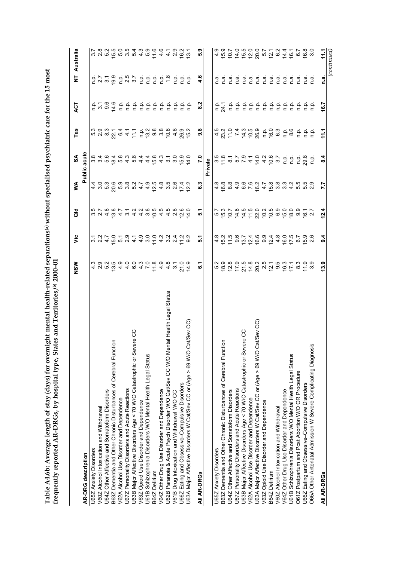Table A4.6b: Average length of stay (days) for overnight mental health-related separations@ without specialised psychiatric care for the 15 most<br>frequently reported AR-DRGs, by hospital type, States and Territories,® 2000-**Table A4.6b: Average length of stay (days) for overnight mental health-related separations(a) without specialised psychiatric care for the 15 most frequently reported AR-DRGs, by hospital type, States and Territories,(b) 2000–01**

|                                                                                    | NSW | $\ddot{\bar{z}}$                  | $\frac{6}{5}$ | ⋚      | ≲                                                                                          | Tas                                                                                                           | 13            | È                                        | Australia   |
|------------------------------------------------------------------------------------|-----|-----------------------------------|---------------|--------|--------------------------------------------------------------------------------------------|---------------------------------------------------------------------------------------------------------------|---------------|------------------------------------------|-------------|
| AR-DRG description                                                                 |     |                                   |               | Public | acute                                                                                      |                                                                                                               |               |                                          |             |
| U65Z Anxiety Disorders                                                             |     |                                   |               |        |                                                                                            |                                                                                                               |               |                                          |             |
| V60Z Alcohol Intoxication and Withdrawal                                           |     |                                   |               |        |                                                                                            |                                                                                                               |               |                                          |             |
| U64Z Other Affective and Somatoform Disorders                                      |     |                                   |               |        |                                                                                            |                                                                                                               |               |                                          |             |
| $\overline{5}$<br>B63Z Dementia and Other Chronic Disturbances of Cerebral Functi  |     |                                   |               |        |                                                                                            |                                                                                                               |               |                                          |             |
| V62A Alcohol Use Disorder and Dependence                                           |     |                                   |               |        |                                                                                            |                                                                                                               |               |                                          |             |
| U67Z Personality Disorders and Acute Reactions                                     |     |                                   |               |        |                                                                                            |                                                                                                               |               |                                          |             |
| U63B Major Affective Disorders Age < 70 W/O Catastrophic or Severe CC              |     |                                   |               |        |                                                                                            |                                                                                                               |               |                                          |             |
| V63Z Opioid Use Disorder and Dependence                                            |     |                                   |               |        |                                                                                            |                                                                                                               |               |                                          |             |
| U61B Schizophrenia Disorders W/O Mental Health Legal Status                        |     |                                   |               |        |                                                                                            |                                                                                                               |               |                                          |             |
| B64Z Delirium                                                                      |     | cordinada di tawa ta              |               |        | a a a a a a a 4 a a a a a a a <del>a</del><br>a 4 a 4 a 4 a 4 4 a 4 4 a 4 6 <del>6 7</del> |                                                                                                               |               |                                          |             |
| V64Z Other Drug Use Disorder and Dependence                                        |     |                                   |               |        |                                                                                            |                                                                                                               |               |                                          |             |
| U62B Paranoia & Acute Psych Disorder W/O Cat/Sev CC W/O Mental Health Legal Status |     |                                   |               |        |                                                                                            |                                                                                                               |               |                                          |             |
| V61B Drug Intoxication and Withdrawal W/O CC                                       |     |                                   |               |        |                                                                                            |                                                                                                               | $\frac{a}{c}$ |                                          |             |
| U66Z Eating and Obsessive-Compulsive Disorders                                     |     |                                   |               |        |                                                                                            |                                                                                                               |               |                                          |             |
| at/Sev CC)<br>U63A Major Affective Disorders W Cat/Sev CC or (Age > 69 W/O C       |     |                                   |               |        |                                                                                            |                                                                                                               | e e<br>c c    |                                          |             |
| All AR-DRGs                                                                        | ဖ   | ທ່                                | <u> ທ</u>     | ဖ      | $\overline{7.0}$                                                                           | œ<br>၈                                                                                                        | Ņ<br>ထ        | 4.6                                      | တ္<br>LO.   |
|                                                                                    |     |                                   |               |        | Private                                                                                    |                                                                                                               |               |                                          |             |
| U65Z Anxiety Disorders                                                             |     |                                   |               |        |                                                                                            |                                                                                                               |               | n.a                                      |             |
| δ<br>B63Z Dementia and Other Chronic Disturbances of Cerebral Functi               |     | $4 \n\overline{R}$ $\overline{L}$ |               |        | $\frac{1}{2}$                                                                              |                                                                                                               |               | $\frac{a}{c}$ $\frac{a}{c}$              | တ တ         |
| U64Z Other Affective and Somatoform Disorders                                      |     |                                   |               |        |                                                                                            |                                                                                                               | $\frac{a}{a}$ |                                          | 10.7        |
| U67Z Personality Disorders and Acute Reactions                                     |     |                                   |               |        |                                                                                            |                                                                                                               |               | n.a                                      |             |
| U63B Major Affective Disorders Age < 70 W/O Catastrophic or Severe CC              |     |                                   |               |        |                                                                                            | 4 2 4 4 5 6 5 6 6 5 8 7 8 7 8 7 8 7 8 7 8 9 7 8 9 7 8 9 7 8 9 7 8 9 7 8 9 7 8 9 7 8 9 7 8 9 7 8 9 7 8 9 7 8 9 |               | ה ה ה ה ה ה ה ה ה ה<br>ב ב ב ב ב ב ב ב ב |             |
| V62A Alcohol Use Disorder and Dependence                                           |     |                                   |               |        |                                                                                            |                                                                                                               |               |                                          |             |
| at/Sev CC)<br>U63A Major Affective Disorders W Cat/Sev CC or (Age > 69 W/O C       |     |                                   |               |        |                                                                                            |                                                                                                               |               |                                          |             |
| V63Z Opioid Use Disorder and Dependence                                            |     |                                   |               |        |                                                                                            |                                                                                                               |               |                                          |             |
| B64Z Delirium                                                                      |     |                                   |               |        |                                                                                            |                                                                                                               |               |                                          |             |
| V60Z Alcohol Intoxication and Withdrawal                                           |     |                                   |               |        |                                                                                            |                                                                                                               |               |                                          |             |
| V64Z Other Drug Use Disorder and Dependence                                        |     |                                   |               |        |                                                                                            |                                                                                                               |               |                                          |             |
| U61B Schizophrenia Disorders W/O Mental Health Legal Status                        |     |                                   |               |        |                                                                                            |                                                                                                               |               |                                          |             |
| O61Z Postpartum and Post Abortion W/O OR Procedure                                 |     |                                   |               |        |                                                                                            | $rac{a}{c}$ $rac{a}{c}$ $rac{a}{c}$                                                                           |               |                                          |             |
| U66Z Eating and Obsessive-Compulsive Disorders                                     |     |                                   | $16.7$<br>2.7 |        |                                                                                            |                                                                                                               |               |                                          |             |
| O65A Other Antenatal Admission W Severe Complicating Diagnosis                     |     |                                   |               |        | n pi                                                                                       |                                                                                                               | ف<br>P        | n.a                                      |             |
| AII AR-DRGS                                                                        | 3.9 | 4<br>တ                            | 12.4          | 7.7    | $\frac{4}{3}$                                                                              | ここ                                                                                                            | 6.7           | <u>ดี</u>                                | 111         |
|                                                                                    |     |                                   |               |        |                                                                                            |                                                                                                               |               |                                          | (continued) |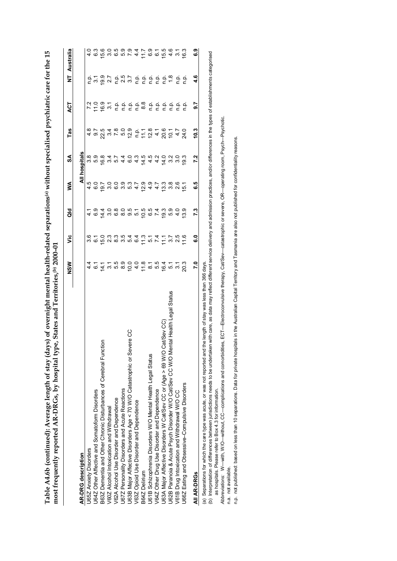|                                                                                                                                                                                                                                                                                                                                                                  | NSM                                                                         | ۶Ë                                                                                                                                                                                                                                                                                                                                                                                                                                                              | as<br>G                                                                        | ≸                                        | S                                    | Tas                                 | <b>ACT</b>                                                                                                                                                                                                                                                                                                          | Ż                                  | Australia                 |
|------------------------------------------------------------------------------------------------------------------------------------------------------------------------------------------------------------------------------------------------------------------------------------------------------------------------------------------------------------------|-----------------------------------------------------------------------------|-----------------------------------------------------------------------------------------------------------------------------------------------------------------------------------------------------------------------------------------------------------------------------------------------------------------------------------------------------------------------------------------------------------------------------------------------------------------|--------------------------------------------------------------------------------|------------------------------------------|--------------------------------------|-------------------------------------|---------------------------------------------------------------------------------------------------------------------------------------------------------------------------------------------------------------------------------------------------------------------------------------------------------------------|------------------------------------|---------------------------|
| AR-DRG description                                                                                                                                                                                                                                                                                                                                               |                                                                             |                                                                                                                                                                                                                                                                                                                                                                                                                                                                 |                                                                                |                                          | <b>All hospitals</b>                 |                                     |                                                                                                                                                                                                                                                                                                                     |                                    |                           |
| U65Z Anxiety Disorders                                                                                                                                                                                                                                                                                                                                           |                                                                             |                                                                                                                                                                                                                                                                                                                                                                                                                                                                 |                                                                                | ယ္                                       |                                      |                                     |                                                                                                                                                                                                                                                                                                                     |                                    |                           |
| U64Z Other Affective and Somatoform Disorders                                                                                                                                                                                                                                                                                                                    |                                                                             |                                                                                                                                                                                                                                                                                                                                                                                                                                                                 |                                                                                |                                          |                                      |                                     |                                                                                                                                                                                                                                                                                                                     |                                    |                           |
| B63Z Dementia and Other Chronic Disturbances of Cerebral Function                                                                                                                                                                                                                                                                                                | $\begin{array}{c} 4 \circ \overline{4} \\ 4 \circ \overline{4} \end{array}$ | $\begin{array}{l} \mathbf{\ddot{o}}\ \mathbf{\dot{c}}\ \mathbf{\dot{c}}\ \mathbf{\dot{c}}\ \mathbf{\dot{c}}\ \mathbf{\dot{c}}\ \mathbf{\dot{c}}\ \mathbf{\dot{c}}\ \mathbf{\dot{c}}\ \mathbf{\dot{c}}\ \mathbf{\dot{c}}\ \mathbf{\dot{c}}\ \mathbf{\dot{c}}\ \mathbf{\dot{c}}\ \mathbf{\dot{c}}\ \mathbf{\dot{c}}\ \mathbf{\dot{c}}\ \mathbf{\dot{c}}\ \mathbf{\dot{c}}\ \mathbf{\dot{c}}\ \mathbf{\dot{c}}\ \mathbf{\dot{c}}\ \mathbf{\dot{c}}\ \mathbf{\dot{$ | 4.4                                                                            |                                          | ထုတ္ထ<br>ထုတ္ထ                       | 4 9 21 9 1 9 21<br>4 9 21 9 1 9 0 9 |                                                                                                                                                                                                                                                                                                                     | 5.7 9.7 9.7 9.7<br>5.7 9.7 9.7 9.7 | 15.6                      |
| V60Z Alcohol Intoxication and Withdrawal                                                                                                                                                                                                                                                                                                                         |                                                                             |                                                                                                                                                                                                                                                                                                                                                                                                                                                                 |                                                                                |                                          |                                      |                                     |                                                                                                                                                                                                                                                                                                                     |                                    | 3.0                       |
| V62A Alcohol Use Disorder and Dependence                                                                                                                                                                                                                                                                                                                         | $\begin{array}{c} 0.00004 \\ 0.00004 \\ \end{array}$                        |                                                                                                                                                                                                                                                                                                                                                                                                                                                                 | $\begin{array}{c} 0 & 0 & 0 & 0 \\ 0 & 0 & 0 & 0 \\ 0 & 0 & 0 & 0 \end{array}$ | coonr<br>coonr                           | u n 4 0 4<br>4 1 4 0 4               |                                     |                                                                                                                                                                                                                                                                                                                     |                                    | 6<br>10 0 0 4<br>10 0 0 4 |
| U67Z Personality Disorders and Acute Reactions                                                                                                                                                                                                                                                                                                                   |                                                                             |                                                                                                                                                                                                                                                                                                                                                                                                                                                                 |                                                                                |                                          |                                      |                                     |                                                                                                                                                                                                                                                                                                                     |                                    |                           |
| U63B Major Affective Disorders Age < 70 W/O Catastrophic or Severe CC                                                                                                                                                                                                                                                                                            |                                                                             |                                                                                                                                                                                                                                                                                                                                                                                                                                                                 |                                                                                |                                          |                                      |                                     |                                                                                                                                                                                                                                                                                                                     |                                    |                           |
| V63Z Opioid Use Disorder and Dependence                                                                                                                                                                                                                                                                                                                          |                                                                             |                                                                                                                                                                                                                                                                                                                                                                                                                                                                 |                                                                                |                                          |                                      |                                     |                                                                                                                                                                                                                                                                                                                     |                                    |                           |
| B64Z Delirium                                                                                                                                                                                                                                                                                                                                                    |                                                                             |                                                                                                                                                                                                                                                                                                                                                                                                                                                                 | 10.5                                                                           |                                          |                                      |                                     |                                                                                                                                                                                                                                                                                                                     |                                    |                           |
| U61B Schizophrenia Disorders W/O Mental Health Legal Status                                                                                                                                                                                                                                                                                                      | 500000000                                                                   |                                                                                                                                                                                                                                                                                                                                                                                                                                                                 | 6.4<br>7.4                                                                     | $\overline{5}$ 4 4<br>$\overline{9}$ 9 7 | <b>A 4 4 4</b><br>T 4 4 4<br>T 6 7 0 |                                     |                                                                                                                                                                                                                                                                                                                     |                                    | $79.7$<br>$-9.07$         |
| V64Z Other Drug Use Disorder and Dependence                                                                                                                                                                                                                                                                                                                      |                                                                             |                                                                                                                                                                                                                                                                                                                                                                                                                                                                 |                                                                                |                                          |                                      |                                     |                                                                                                                                                                                                                                                                                                                     |                                    |                           |
| U63A Major Affective Disorders W Cat/Sev CC or (Age > 69 W/O Cat/Sev CC)                                                                                                                                                                                                                                                                                         |                                                                             |                                                                                                                                                                                                                                                                                                                                                                                                                                                                 | 19.3                                                                           |                                          |                                      |                                     |                                                                                                                                                                                                                                                                                                                     |                                    | 15.5                      |
| tal Health Legal Status<br>U62B Paranoia & Acute Psych Disorder W/O Cat/Sev CC W/O Men                                                                                                                                                                                                                                                                           |                                                                             |                                                                                                                                                                                                                                                                                                                                                                                                                                                                 | 5.9                                                                            |                                          |                                      |                                     |                                                                                                                                                                                                                                                                                                                     |                                    | 4.6                       |
| V61B Drug Intoxication and Withdrawal W/O CC                                                                                                                                                                                                                                                                                                                     |                                                                             |                                                                                                                                                                                                                                                                                                                                                                                                                                                                 |                                                                                | က ထ ထ<br>က က လ<br>က က                    | 3.0                                  |                                     |                                                                                                                                                                                                                                                                                                                     |                                    | $\overline{3}$ .          |
| U66Z Eating and Obsessive-Compulsive Disorders                                                                                                                                                                                                                                                                                                                   | 20.3                                                                        | 11.6                                                                                                                                                                                                                                                                                                                                                                                                                                                            | $\frac{3.9}{2}$                                                                | $\frac{1}{2}$                            | 9.3                                  |                                     | $\frac{1}{2}$ $\frac{1}{2}$ $\frac{1}{2}$ $\frac{1}{2}$ $\frac{1}{2}$ $\frac{1}{2}$ $\frac{1}{2}$ $\frac{1}{2}$ $\frac{1}{2}$ $\frac{1}{2}$ $\frac{1}{2}$ $\frac{1}{2}$ $\frac{1}{2}$ $\frac{1}{2}$ $\frac{1}{2}$ $\frac{1}{2}$ $\frac{1}{2}$ $\frac{1}{2}$ $\frac{1}{2}$ $\frac{1}{2}$ $\frac{1}{2}$ $\frac{1}{2}$ |                                    | <b>16.3</b>               |
| All AR-DRGs                                                                                                                                                                                                                                                                                                                                                      | $\overline{2}$ .0                                                           | <b>G.O</b>                                                                                                                                                                                                                                                                                                                                                                                                                                                      | 7.3                                                                            | ه.<br>ق                                  | 7.2                                  | 10.3                                | 5.7                                                                                                                                                                                                                                                                                                                 | 4.6                                | င္ပိ                      |
| with care, as data may reflect different service delivery and admission practices, and/or differences in the types of establishments categorised<br>e length of stay was less than 366 days.<br>(a) Separations for which the care type was acute, or was not reported and the<br>(b) Interpretation of differences between jurisdictions needs to be undertaker |                                                                             |                                                                                                                                                                                                                                                                                                                                                                                                                                                                 |                                                                                |                                          |                                      |                                     |                                                                                                                                                                                                                                                                                                                     |                                    |                           |

Table A4.6b (continued): Average length of stay (days) of overnight mental health-related separations<sup>(a)</sup> without specialised psychiatric care for the 15 **Table A4.6b (continued): Average length of stay (days) of overnight mental health-related separations(a) without specialised psychiatric care for the 15 most frequently reported AR-DRGs, by hospital type, States and Territories,(b) 2000–01** (b) Interpretation of differences between jurisdictions needs to be undertaken with care, as data may reflect different service delivery and admission practices, and/or differences in the types of establishments categorise န္ဘ as hospitals. Please refer to Box 4.3 for information.

(υ) interpretation of unterences between junsuictums needs to be undertaken win care; as data may rened unterit service denvery and admission practices, and/o untertices in the types<br>as hospitals. Please refer to Box 4.3 *Abbreviations:* W—with, W/O—without, CC—complications and comorbidities, ECT—Electroconvulsive therapy, Cat/Sev—catastrophic or severe, OR—operating room, Psych—Psychotic. n.a. not available. n.a. not available.

n.p. not published: based on less than 10 separations. Data for private hospitals in the Australian Capital Territory and Tasmania are also not published for confidentiality reasons. n.p. not published: based on less than 10 separations. Data for private hospitals in the Australian Capital Territory and Tasmania are also not published for confidentiality reasons.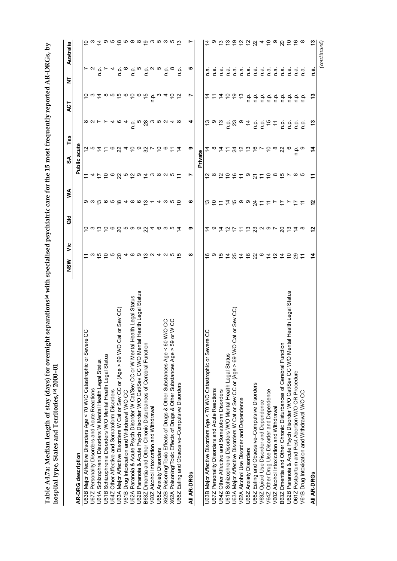| くりしょ                                                                                                                                                                                                                           |                  |
|--------------------------------------------------------------------------------------------------------------------------------------------------------------------------------------------------------------------------------|------------------|
|                                                                                                                                                                                                                                |                  |
|                                                                                                                                                                                                                                |                  |
|                                                                                                                                                                                                                                |                  |
|                                                                                                                                                                                                                                |                  |
|                                                                                                                                                                                                                                |                  |
| ֧֚֝֟֬<br>֧֪֚֝                                                                                                                                                                                                                  |                  |
|                                                                                                                                                                                                                                |                  |
|                                                                                                                                                                                                                                |                  |
|                                                                                                                                                                                                                                |                  |
| ֚֓                                                                                                                                                                                                                             |                  |
|                                                                                                                                                                                                                                |                  |
|                                                                                                                                                                                                                                |                  |
|                                                                                                                                                                                                                                |                  |
|                                                                                                                                                                                                                                |                  |
|                                                                                                                                                                                                                                |                  |
| i<br> <br> <br> <br>١                                                                                                                                                                                                          |                  |
|                                                                                                                                                                                                                                | בטשטב<br>ຸ<br>ເ  |
| $\frac{1}{2}$                                                                                                                                                                                                                  |                  |
| Alam langth of ctay (A<br>٦                                                                                                                                                                                                    | )<br> <br> <br>Ì |
|                                                                                                                                                                                                                                | į                |
| is the contract of the contract of the contract of the contract of the contract of the contract of the contract of the contract of the contract of the contract of the contract of the contract of the contract of the contrac | and and and area |
|                                                                                                                                                                                                                                |                  |
|                                                                                                                                                                                                                                | l                |
|                                                                                                                                                                                                                                | ;<br>)<br>)<br>ı |
| ------------                                                                                                                                                                                                                   |                  |

|                                                                                       | ۶Ë<br>NSW                        | as<br>G                       | ≸                                                                                                                            |                                   | Tas<br>న్    |                                                                                                                                                                                                                                                                                   | <b>ACT</b>                                                                                                         | ż                                                                  | Australia                                           |
|---------------------------------------------------------------------------------------|----------------------------------|-------------------------------|------------------------------------------------------------------------------------------------------------------------------|-----------------------------------|--------------|-----------------------------------------------------------------------------------------------------------------------------------------------------------------------------------------------------------------------------------------------------------------------------------|--------------------------------------------------------------------------------------------------------------------|--------------------------------------------------------------------|-----------------------------------------------------|
| <b>AR-DRG</b> description                                                             |                                  |                               |                                                                                                                              | Public                            | acute        |                                                                                                                                                                                                                                                                                   |                                                                                                                    |                                                                    |                                                     |
| S<br>U63B Major Affective Disorders Age < 70 W/O Catastrophic or Severe               |                                  |                               |                                                                                                                              |                                   |              |                                                                                                                                                                                                                                                                                   |                                                                                                                    |                                                                    |                                                     |
| U67Z Personality Disorders and Acute Reactions                                        |                                  |                               |                                                                                                                              |                                   |              | <b>887746</b>                                                                                                                                                                                                                                                                     |                                                                                                                    |                                                                    |                                                     |
| U61A Schizophrenia Disorders W Mental Health Legal Status                             |                                  |                               |                                                                                                                              |                                   |              |                                                                                                                                                                                                                                                                                   |                                                                                                                    |                                                                    |                                                     |
| U61B Schizophrenia Disorders W/O Mental Health Legal Status                           |                                  |                               |                                                                                                                              |                                   |              |                                                                                                                                                                                                                                                                                   |                                                                                                                    |                                                                    |                                                     |
| U64Z Other Affective and Somatoform Disorders                                         |                                  |                               |                                                                                                                              |                                   |              |                                                                                                                                                                                                                                                                                   |                                                                                                                    |                                                                    |                                                     |
| or Sev CC)<br>U63A Major Affective Disorders W Cat or Sev CC or (Age > 69 W/O Cat     |                                  |                               |                                                                                                                              |                                   |              |                                                                                                                                                                                                                                                                                   |                                                                                                                    |                                                                    |                                                     |
| V61B Drug Intoxication and Withdrawal W/O CC                                          |                                  |                               |                                                                                                                              |                                   |              | 4                                                                                                                                                                                                                                                                                 |                                                                                                                    |                                                                    |                                                     |
| U62A Paranoia & Acute Psych Disorder W Cat/Sev CC or W Mental Health Legal Status     |                                  |                               |                                                                                                                              |                                   |              |                                                                                                                                                                                                                                                                                   |                                                                                                                    |                                                                    |                                                     |
| Health Legal Status<br>U62B Paranoia & Acute Psych Disorder W/O Cat/Sev CC W/O Mental | r w fo b w g 4 ∞ w fo w 4 w w fo | c w to co g n o o g 4 c w n 4 | $\omega$ $\omega$ $\overline{\omega}$ $\omega$ $\overline{\omega}$ $\alpha$ $\omega$ $\overline{\omega}$ $\overline{\omega}$ | r 4 た c 6 8 m c 6 9 4 w 8 0 m c r |              | ៤ <sup>ល</sup> ឌ <sup>៷</sup> ព ៷<br>៤                                                                                                                                                                                                                                            | $5\omega$ $\tilde{a}$ $\omega$ $\omega$ $\tilde{b}$ $\omega$ $\tilde{c}$ $\omega$ $\tilde{c}$ $\omega$ $\tilde{c}$ | $L \times d$ $\sigma$ $\sigma$ $\sigma$ $\sigma$ $\sigma$ $\sigma$ | <u>င် ယ ໌ သာ က တ တ တ တ တ ဟ ဟ ဟ ဟ လ</u>              |
| B63Z Dmentia and Other Chronic Disturbances of Cerebral Function                      |                                  |                               |                                                                                                                              |                                   |              |                                                                                                                                                                                                                                                                                   |                                                                                                                    |                                                                    |                                                     |
| V60Z Alcohol Intoxication and Withdrawal                                              |                                  |                               |                                                                                                                              |                                   |              |                                                                                                                                                                                                                                                                                   |                                                                                                                    |                                                                    |                                                     |
| U65Z Anxiety Disorders                                                                |                                  |                               |                                                                                                                              |                                   |              |                                                                                                                                                                                                                                                                                   |                                                                                                                    |                                                                    |                                                     |
| ပ္ပ<br>X62B Poisoning/Toxic Effects of Drugs & Other Substances Age < 60 W/O          |                                  |                               | $4 w \ddot{w} \ddot{\Theta}$                                                                                                 |                                   |              |                                                                                                                                                                                                                                                                                   |                                                                                                                    |                                                                    |                                                     |
| CC<br>X62A Poisoning/Toxic Effects of Drugs & Other Substances Age > 59 or W          |                                  |                               |                                                                                                                              |                                   | Ξ            | $4~\infty$                                                                                                                                                                                                                                                                        |                                                                                                                    | $\frac{a}{c}$ $\infty$                                             |                                                     |
| U66Z Eating and Obsessive-Compulsive Disorders                                        |                                  |                               |                                                                                                                              |                                   |              |                                                                                                                                                                                                                                                                                   | 55                                                                                                                 | n.p.                                                               |                                                     |
| AII AR-DRGS                                                                           | ∞                                | თ                             | ဖ                                                                                                                            |                                   | თ            |                                                                                                                                                                                                                                                                                   | r,                                                                                                                 | ယ                                                                  | r                                                   |
|                                                                                       |                                  |                               |                                                                                                                              |                                   | Private      |                                                                                                                                                                                                                                                                                   |                                                                                                                    |                                                                    |                                                     |
| CO<br>U63B Major Affective Disorders Age < 70 W/O Catastrophic or Severe              |                                  |                               |                                                                                                                              |                                   |              |                                                                                                                                                                                                                                                                                   |                                                                                                                    | n a                                                                |                                                     |
| <b>J67Z Personality Disorders and Acute Reactions</b>                                 |                                  |                               |                                                                                                                              |                                   |              | င္ စ ဗ္                                                                                                                                                                                                                                                                           |                                                                                                                    | $\frac{a}{2}$                                                      |                                                     |
| U64Z Other Affective and Somatoform Disorders                                         |                                  |                               |                                                                                                                              |                                   |              |                                                                                                                                                                                                                                                                                   |                                                                                                                    | n.a                                                                |                                                     |
| U61B Schizophrenia Disorders W/O Mental Health Legal Status                           |                                  |                               |                                                                                                                              |                                   |              |                                                                                                                                                                                                                                                                                   |                                                                                                                    | $\overline{a}$                                                     |                                                     |
| or Sev CC)<br>U63A Major Affective Disorders W Cat or Sev CC or (Age > 69 W/O Cat     |                                  |                               |                                                                                                                              |                                   |              | $\frac{1}{2}$ $\frac{2}{3}$ $\frac{3}{9}$ $\frac{4}{7}$                                                                                                                                                                                                                           |                                                                                                                    | $\frac{a}{c}$                                                      |                                                     |
| V62A Alcohol Use Disorder and Dependence                                              |                                  |                               |                                                                                                                              |                                   |              |                                                                                                                                                                                                                                                                                   |                                                                                                                    | n.a                                                                |                                                     |
| U65Z Anxiety Disorders                                                                |                                  | 119121212232972328            |                                                                                                                              | 28 29 29 20 20 20 20 20 20 20     | 111229679886 |                                                                                                                                                                                                                                                                                   | <b><i>Atabaa</i></b> Gedee                                                                                         | n.a                                                                | 12 9 12 12 12 12 12 13 14 15 16 17 18 19 19 19 19 1 |
| U66Z Eating and Obsessive-Compulsive Disorders                                        |                                  |                               |                                                                                                                              |                                   |              |                                                                                                                                                                                                                                                                                   |                                                                                                                    | n a                                                                |                                                     |
| V63Z Opioid Use Disorder and Dependence                                               |                                  |                               |                                                                                                                              |                                   |              |                                                                                                                                                                                                                                                                                   |                                                                                                                    | n.a                                                                |                                                     |
| V64Z Other Drug Use Disorder and Dependence                                           |                                  |                               |                                                                                                                              |                                   |              |                                                                                                                                                                                                                                                                                   |                                                                                                                    | e.a                                                                |                                                     |
| V60Z Alcohol Intoxication and Withdrawal                                              |                                  |                               |                                                                                                                              |                                   |              | $\begin{array}{c} \mathbf{c} \\ \mathbf{c} \\ \mathbf{c} \end{array} \begin{array}{c} \mathbf{c} \\ \mathbf{c} \\ \mathbf{c} \end{array} \begin{array}{c} \mathbf{c} \\ \mathbf{c} \\ \mathbf{c} \end{array} \begin{array}{c} \mathbf{c} \\ \mathbf{c} \\ \mathbf{c} \end{array}$ |                                                                                                                    | n.a                                                                |                                                     |
| B63Z Dmentia and Other Chronic Disturbances of Cerebral Function                      |                                  |                               |                                                                                                                              |                                   |              |                                                                                                                                                                                                                                                                                   |                                                                                                                    | n a                                                                |                                                     |
| Health Legal Status<br>U62B Paranoia & Acute Psych Disorder W/O Cat/Sev CC W/O Mental |                                  |                               |                                                                                                                              |                                   |              | ن في<br>م                                                                                                                                                                                                                                                                         | $\frac{a}{c}$ $\frac{a}{c}$                                                                                        | n a                                                                |                                                     |
| O61Z Postpartum and Post Abortion W/O OR Procedure                                    |                                  |                               | $\div$                                                                                                                       |                                   | ن<br>ج       |                                                                                                                                                                                                                                                                                   |                                                                                                                    | n.a                                                                |                                                     |
| V61B Drug Intoxication and Withdrawal W/O CC                                          |                                  |                               |                                                                                                                              |                                   |              | ن في<br>ما                                                                                                                                                                                                                                                                        | e e<br>c c                                                                                                         | n a                                                                |                                                     |
| All AR-DRGs                                                                           | 4                                | $\frac{2}{3}$                 | $\frac{5}{1}$                                                                                                                | F                                 |              | ဒု                                                                                                                                                                                                                                                                                | مبر<br>ج                                                                                                           | <u>ក្នុ</u>                                                        | 13                                                  |
|                                                                                       |                                  |                               |                                                                                                                              |                                   |              |                                                                                                                                                                                                                                                                                   |                                                                                                                    |                                                                    | (continued)                                         |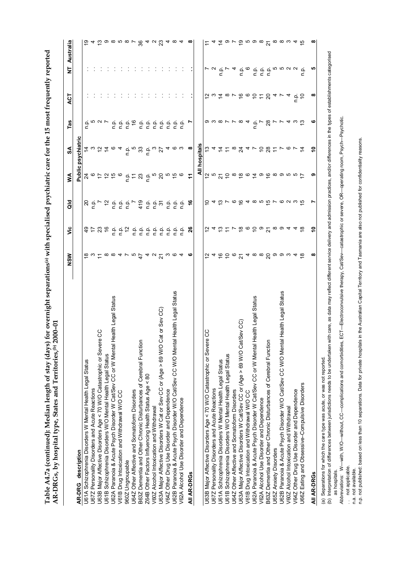| ı                                                               |                                     |
|-----------------------------------------------------------------|-------------------------------------|
| ĺ                                                               |                                     |
|                                                                 |                                     |
|                                                                 |                                     |
|                                                                 |                                     |
|                                                                 |                                     |
|                                                                 |                                     |
| בית היה הפרים לחבר בת היה המתחרר<br>court care and the article  |                                     |
|                                                                 |                                     |
|                                                                 |                                     |
|                                                                 |                                     |
|                                                                 |                                     |
|                                                                 |                                     |
|                                                                 |                                     |
|                                                                 |                                     |
|                                                                 |                                     |
| $\frac{1}{2}$                                                   |                                     |
| Froncial writh emporalised new                                  |                                     |
|                                                                 |                                     |
|                                                                 |                                     |
| $C - 1$                                                         |                                     |
|                                                                 |                                     |
|                                                                 |                                     |
| vsı to<br>$\frac{1}{2}$                                         |                                     |
|                                                                 |                                     |
|                                                                 |                                     |
|                                                                 | $\sim$ $\sim$ $\sim$ $\sim$         |
| $A$ and $A$ and $A$ and $A$ and $A$ and $A$<br>.<br>.<br>.<br>. | <br> <br> <br>                      |
|                                                                 |                                     |
|                                                                 |                                     |
| ;<br>;<br>;                                                     |                                     |
|                                                                 |                                     |
|                                                                 | AD DDCs hy hosnital type States are |
|                                                                 |                                     |
| $\frac{1}{2}$                                                   |                                     |
| こうせいし                                                           | יי ביטייבי בי                       |
| די<br>ד                                                         |                                     |
|                                                                 |                                     |

|                                                                                         | $\frac{8}{2}$                                            | ۶Ë                                                 | <b>Japa</b>                                                  | ≸                               | SA                                                                                                                                                                                     | Tas                                                                                                                                                                                                                                                                                                                                                                              | ACT                         | Ż                                                                                                                          | Australia |
|-----------------------------------------------------------------------------------------|----------------------------------------------------------|----------------------------------------------------|--------------------------------------------------------------|---------------------------------|----------------------------------------------------------------------------------------------------------------------------------------------------------------------------------------|----------------------------------------------------------------------------------------------------------------------------------------------------------------------------------------------------------------------------------------------------------------------------------------------------------------------------------------------------------------------------------|-----------------------------|----------------------------------------------------------------------------------------------------------------------------|-----------|
| AR-DRG description                                                                      |                                                          |                                                    |                                                              | Public                          | psychiatric                                                                                                                                                                            |                                                                                                                                                                                                                                                                                                                                                                                  |                             |                                                                                                                            |           |
| U61A Schizophrenia Disorders W Mental Health Legal Status                               |                                                          |                                                    |                                                              |                                 |                                                                                                                                                                                        |                                                                                                                                                                                                                                                                                                                                                                                  |                             |                                                                                                                            |           |
| U67Z Personality Disorders and Acute Reactions                                          |                                                          |                                                    |                                                              |                                 |                                                                                                                                                                                        |                                                                                                                                                                                                                                                                                                                                                                                  |                             |                                                                                                                            |           |
| U63B Major Affective Disorders Age < 70 W/O Catastrophic or Severe CC                   |                                                          |                                                    |                                                              |                                 |                                                                                                                                                                                        |                                                                                                                                                                                                                                                                                                                                                                                  |                             |                                                                                                                            |           |
| U61B Schizophrenia Disorders W/O Mental Health Legal Status                             |                                                          |                                                    |                                                              |                                 |                                                                                                                                                                                        |                                                                                                                                                                                                                                                                                                                                                                                  |                             |                                                                                                                            |           |
| U62A Paranoia & Acute Psych Disorder W Cat/Sev CC or W Mental Health Legal Status       | <b>@ ω 는 ∞ ∞ 4 レ r º <i>t</i> 4 u <sup>L</sup> w @ 4</b> |                                                    |                                                              | A @ b b b e d b d b g b b w b o | $\tilde{\mathtt{a}}$ $\omega$ $\tilde{\mathtt{a}}$ $\tilde{\mathtt{a}}$ $\alpha$ $\tilde{\mathtt{a}}$ $\tilde{\mathtt{b}}$ $\tilde{\mathtt{c}}$ $\omega$ $\tilde{\mathtt{b}}$ $\alpha$ | $\frac{1}{2}$ $\frac{1}{2}$ $\frac{1}{2}$ $\frac{1}{2}$ $\frac{1}{2}$ $\frac{1}{2}$ $\frac{1}{2}$ $\frac{1}{2}$ $\frac{1}{2}$ $\frac{1}{2}$ $\frac{1}{2}$ $\frac{1}{2}$ $\frac{1}{2}$ $\frac{1}{2}$ $\frac{1}{2}$ $\frac{1}{2}$ $\frac{1}{2}$ $\frac{1}{2}$ $\frac{1}{2}$ $\frac{1}{2}$ $\frac{1}{2}$ $\frac{1}{2}$                                                              |                             |                                                                                                                            |           |
| V61B Drug Intoxication and Withdrawal W/O CC                                            |                                                          |                                                    |                                                              |                                 |                                                                                                                                                                                        |                                                                                                                                                                                                                                                                                                                                                                                  |                             |                                                                                                                            |           |
| 960Z Ungroupable                                                                        |                                                          |                                                    |                                                              |                                 |                                                                                                                                                                                        |                                                                                                                                                                                                                                                                                                                                                                                  |                             |                                                                                                                            |           |
| U64Z Other Affective and Somatoform Disorders                                           |                                                          |                                                    |                                                              |                                 |                                                                                                                                                                                        |                                                                                                                                                                                                                                                                                                                                                                                  |                             |                                                                                                                            |           |
| B63Z Dementia and Other Chronic Disturbances of Cerebral Function                       |                                                          |                                                    |                                                              |                                 |                                                                                                                                                                                        |                                                                                                                                                                                                                                                                                                                                                                                  |                             |                                                                                                                            |           |
| Z64B Other Factors Influencing Health Status Age < 80                                   |                                                          |                                                    | 다 다 있<br>다 다 인                                               |                                 |                                                                                                                                                                                        |                                                                                                                                                                                                                                                                                                                                                                                  |                             |                                                                                                                            |           |
| V60Z Alcohol Intoxication and Withdrawal                                                |                                                          |                                                    |                                                              |                                 |                                                                                                                                                                                        |                                                                                                                                                                                                                                                                                                                                                                                  |                             |                                                                                                                            |           |
| or Sev CC<br>U63A Major Affective Disorders W Cat or Sev CC or (Age > 69 W/O Cat        |                                                          |                                                    |                                                              |                                 |                                                                                                                                                                                        |                                                                                                                                                                                                                                                                                                                                                                                  |                             |                                                                                                                            |           |
| V64Z Other Drug Use Disorder and Dependence                                             |                                                          |                                                    |                                                              |                                 |                                                                                                                                                                                        |                                                                                                                                                                                                                                                                                                                                                                                  |                             |                                                                                                                            |           |
| U62B Paranoia & Acute Psych Disorder W/O Cat/Sev CC W/O Mental Health Legal Status      |                                                          | ف<br>E                                             |                                                              |                                 | 4 © က                                                                                                                                                                                  |                                                                                                                                                                                                                                                                                                                                                                                  |                             |                                                                                                                            |           |
| V62A Alcohol Use Disorder and Dependence                                                |                                                          | ن<br>ء                                             | $\begin{array}{ccc}\n 2 & 2 & 2 \\  3 & 2 & 2\n \end{array}$ |                                 |                                                                                                                                                                                        |                                                                                                                                                                                                                                                                                                                                                                                  |                             |                                                                                                                            |           |
| All AR-DRGs                                                                             | ဖ                                                        | 26                                                 | ۽                                                            | ÷                               | $\infty$                                                                                                                                                                               |                                                                                                                                                                                                                                                                                                                                                                                  |                             |                                                                                                                            | $\infty$  |
|                                                                                         |                                                          |                                                    |                                                              |                                 | All hospitals                                                                                                                                                                          |                                                                                                                                                                                                                                                                                                                                                                                  |                             |                                                                                                                            |           |
| U63B Major Affective Disorders Age < 70 W/O Catastrophic or Severe CC                   |                                                          |                                                    |                                                              |                                 |                                                                                                                                                                                        |                                                                                                                                                                                                                                                                                                                                                                                  |                             |                                                                                                                            |           |
| U67Z Personality Disorders and Acute Reactions                                          |                                                          |                                                    |                                                              |                                 |                                                                                                                                                                                        |                                                                                                                                                                                                                                                                                                                                                                                  |                             |                                                                                                                            |           |
| U61A Schizophrenia Disorders W Mental Health Legal Status                               |                                                          |                                                    |                                                              |                                 |                                                                                                                                                                                        |                                                                                                                                                                                                                                                                                                                                                                                  |                             |                                                                                                                            |           |
| U61B Schizophrenia Disorders W/O Mental Health Legal Status                             | <u> G d G G C 4 ∞ ∞ G o o w 4 w</u>                      | <u> G 4 G 5 L 6 6 G 0 <sup>2</sup> 8 0 9 4 4 6</u> | <u> 5 4 5 L @ 6 4 ∞ n 5 L @ 0 w w 5</u>                      | <u>ひょどの8000000000</u>           | 12441282767                                                                                                                                                                            | のの87784                                                                                                                                                                                                                                                                                                                                                                          | 2 m 2 m L 6 m 5 t 5 2       | $L$ $\alpha$ $\vec{v}$ $L$ $\alpha$ $\vec{v}$ $\vec{v}$ $\vec{v}$ $\vec{v}$ $\vec{v}$ $\vec{v}$ $\alpha$ $\alpha$ $\alpha$ |           |
| U64Z Other Affective and Somatoform Disorders                                           |                                                          |                                                    |                                                              |                                 |                                                                                                                                                                                        |                                                                                                                                                                                                                                                                                                                                                                                  |                             |                                                                                                                            |           |
| U63A Major Affective Disorders W Cat/Sev CC or (Age > 69 W/O Cat/Sev CC)                |                                                          |                                                    |                                                              |                                 |                                                                                                                                                                                        |                                                                                                                                                                                                                                                                                                                                                                                  |                             |                                                                                                                            |           |
| V61B Drug Intoxication and Withdrawal W/O CC                                            |                                                          |                                                    |                                                              |                                 |                                                                                                                                                                                        |                                                                                                                                                                                                                                                                                                                                                                                  |                             |                                                                                                                            |           |
| U62A Paranoia & Acute Psych Disorder W Cat/Sev CC or W Mental Health Legal Status       |                                                          |                                                    |                                                              |                                 |                                                                                                                                                                                        |                                                                                                                                                                                                                                                                                                                                                                                  |                             |                                                                                                                            |           |
| V62A Alcohol Use Disorder and Dependence                                                |                                                          |                                                    |                                                              |                                 |                                                                                                                                                                                        |                                                                                                                                                                                                                                                                                                                                                                                  |                             |                                                                                                                            |           |
| B63Z Dementia and Other Chronic Disturbances of Cerebral Function                       |                                                          |                                                    |                                                              |                                 |                                                                                                                                                                                        |                                                                                                                                                                                                                                                                                                                                                                                  |                             |                                                                                                                            |           |
| U65Z Anxiety Disorders                                                                  |                                                          |                                                    |                                                              |                                 |                                                                                                                                                                                        |                                                                                                                                                                                                                                                                                                                                                                                  |                             |                                                                                                                            |           |
| lealth Legal Status<br>U62B Paranoia & Acute Psych Disorder W/O Cat/Sev CC W/O Mental H |                                                          |                                                    |                                                              |                                 |                                                                                                                                                                                        |                                                                                                                                                                                                                                                                                                                                                                                  | $4 \triangleright 4$        |                                                                                                                            |           |
| V60Z Alcohol Intoxication and Withdrawal                                                |                                                          |                                                    |                                                              |                                 |                                                                                                                                                                                        | $\vec{a}$ $\overline{c}$ $\overline{a}$ $\overline{c}$ $\overline{c}$ $\overline{c}$ $\overline{c}$ $\overline{c}$ $\overline{c}$ $\overline{c}$ $\overline{c}$ $\overline{c}$ $\overline{c}$ $\overline{c}$ $\overline{c}$ $\overline{c}$ $\overline{c}$ $\overline{c}$ $\overline{c}$ $\overline{c}$ $\overline{c}$ $\overline{c}$ $\overline{c}$ $\overline{c}$ $\overline{c$ |                             |                                                                                                                            |           |
| V64Z Other Drug Use Disorder and Dependence                                             |                                                          |                                                    |                                                              |                                 |                                                                                                                                                                                        |                                                                                                                                                                                                                                                                                                                                                                                  | $\frac{1}{2}$ $\frac{1}{2}$ |                                                                                                                            |           |
| U66Z Eating and Obsessive-Compulsive Disorders                                          |                                                          |                                                    |                                                              |                                 |                                                                                                                                                                                        |                                                                                                                                                                                                                                                                                                                                                                                  |                             | ېخ                                                                                                                         |           |
| All AR-DRGs                                                                             | ထ                                                        |                                                    |                                                              | თ                               | 9                                                                                                                                                                                      | ဖ                                                                                                                                                                                                                                                                                                                                                                                | ထ                           | ιņ                                                                                                                         | ∞         |
| (a) Separations for which the care type was acute, or was not reported.                 |                                                          |                                                    |                                                              |                                 |                                                                                                                                                                                        |                                                                                                                                                                                                                                                                                                                                                                                  |                             |                                                                                                                            |           |

(b) Interpretation of differences between jurisdictions needs to be undertaken with care, as data may reflect different service delivery and admission practices, and/or differences in the types of establishments categorise (b) Interpretation of differences between jurisdictions needs to be undertaken with care, as data may reflect different service delivery and admission practices, and/or differences in the types of establishments categorise as hospitals.

Abbreviations: W-with, WIO-without, CC-complications and comorbidities, ECT-Electrocomulsive therapy, Cat/Sev-catastrophic or severe, OR-operating room, Psych-Psychotic. *Abbreviations:* W—with, W/O—without, CC—complications and comorbidities, ECT—Electroconvulsive therapy, Cat/Sev—catastrophic or severe, OR—operating room, Psych—Psychotic.

. . not applicable. n.a. not available.

. . not applicable.<br>n.a. not available.<br>n.p. not published: based on less than 10 separations. Data for private hospitals in the Australian Capital Territory and Tasmania are also not published for confidentiality reasons. n.p. not published: based on less than 10 separations. Data for private hospitals in the Australian Capital Territory and Tasmania are also not published for confidentiality reasons.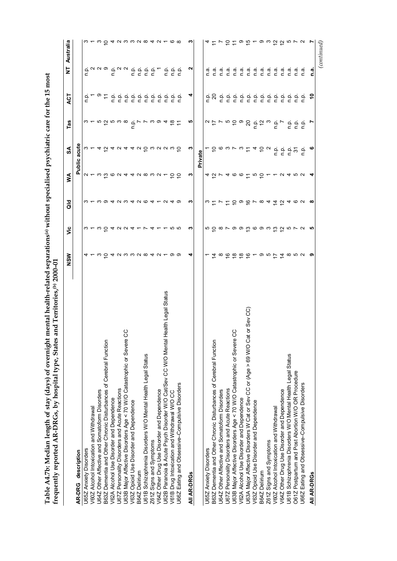| of overnight mental health-related separations <sup>(a)</sup> without specialised psychiatric care for the 15 most |                              |
|--------------------------------------------------------------------------------------------------------------------|------------------------------|
|                                                                                                                    | $70-002$<br>ry<br>COO        |
|                                                                                                                    | type, States and Territories |
| į                                                                                                                  | くりし                          |
| ؚ<br>پ                                                                                                             |                              |

|                                                                                    | NSW                                                                                                                        | ۊ                                 | ᅙ                 | ≸                                             | SA                                                        | Tas                                                     | ACT         | Ż                                                         | Australia      |
|------------------------------------------------------------------------------------|----------------------------------------------------------------------------------------------------------------------------|-----------------------------------|-------------------|-----------------------------------------------|-----------------------------------------------------------|---------------------------------------------------------|-------------|-----------------------------------------------------------|----------------|
| AR-DRG description                                                                 |                                                                                                                            |                                   |                   |                                               | Public acute                                              |                                                         |             |                                                           |                |
| U65Z Anxiety Disorders                                                             |                                                                                                                            |                                   |                   |                                               |                                                           |                                                         |             |                                                           |                |
| V60Z Alcohol Intoxication and Withdrawal                                           |                                                                                                                            |                                   |                   |                                               | ო ←                                                       |                                                         |             |                                                           |                |
| U64Z Other Affective and Somatoform Disorders                                      | 4 ← ∞ ○ 4 ∨ ∞ ∞ ∞ ∞ 4 ∨ ← ∞ ∞                                                                                              | <b>w ← w o 4 <i>w w 4 ← レ</i></b> |                   | 0 - 0 <u>0</u> 0 0 <del>4</del> 4 0 0 0 0 0 - | <i>A</i> G A G A G G G G G G G G G                        |                                                         | ة ـ ة<br>ق  | a <sup>NN</sup> <sup>o</sup> a <sup>NN</sup> angel        |                |
| B63Z Dementia and Other Chronic Disturbances of Cerebral Function                  |                                                                                                                            |                                   |                   |                                               |                                                           |                                                         | $\tilde{t}$ |                                                           |                |
| V62A Alcohol Use Disorder and Dependence                                           |                                                                                                                            |                                   |                   |                                               |                                                           |                                                         |             |                                                           |                |
| U67Z Personality Disorders and Acute Reactions                                     |                                                                                                                            |                                   |                   |                                               |                                                           |                                                         |             |                                                           |                |
| ပ္ပ<br>U63B Major Affective Disorders Age < 70 W/O Catastrophic or Severe          |                                                                                                                            |                                   |                   |                                               |                                                           |                                                         |             |                                                           |                |
| V63Z Opioid Use Disorder and Dependence                                            |                                                                                                                            |                                   |                   |                                               |                                                           |                                                         |             |                                                           |                |
| B64Z Delirium                                                                      |                                                                                                                            |                                   |                   |                                               |                                                           |                                                         |             |                                                           |                |
| U61B Schizophrenia Disorders W/O Mental Health Legal Status                        |                                                                                                                            |                                   |                   |                                               |                                                           |                                                         |             |                                                           |                |
| Z61Z Signs and Symptoms                                                            |                                                                                                                            | $4 -$                             |                   |                                               |                                                           |                                                         |             |                                                           |                |
| V64Z Other Drug Use Disorder and Dependence                                        |                                                                                                                            |                                   |                   |                                               |                                                           |                                                         |             |                                                           |                |
| U62B Paranoia & Acute Psych Disorder W/O Cat/Sev CC W/O Mental Health Legal Status |                                                                                                                            |                                   | $\sim$            |                                               |                                                           |                                                         |             | ن<br>ء                                                    |                |
| V61B Drug Intoxication and Withdrawal W/O CC                                       |                                                                                                                            | 10 IO                             |                   |                                               |                                                           | $\frac{8}{2}$                                           |             |                                                           |                |
| U66Z Eating and Obsessive-Compulsive Disorders                                     |                                                                                                                            |                                   | တ                 |                                               |                                                           |                                                         |             | $\begin{array}{ccc}\n0 & 0 \\ \hline\n0 & 0\n\end{array}$ |                |
| AII AR-DRGS                                                                        | ↴                                                                                                                          | ო                                 | ∾                 | ო                                             | ო                                                         | ιņ                                                      | ᡪ           | N                                                         | ო              |
|                                                                                    |                                                                                                                            |                                   |                   |                                               | Private                                                   |                                                         |             |                                                           |                |
| U65Z Anxiety Disorders                                                             |                                                                                                                            |                                   |                   |                                               |                                                           |                                                         | غ           | n a                                                       |                |
| B63Z Dementia and Other Chronic Disturbances of Cerebral Function                  |                                                                                                                            |                                   | $\omega \simeq 1$ |                                               |                                                           |                                                         |             | n a                                                       |                |
| U64Z Other Affective and Somatoform Disorders                                      |                                                                                                                            |                                   |                   |                                               |                                                           |                                                         | o.<br>D     | n a                                                       |                |
| U67Z Personality Disorders and Acute Reactions                                     |                                                                                                                            |                                   |                   |                                               |                                                           |                                                         |             | n.a.                                                      |                |
| U63B Major Affective Disorders Age < 70 W/O Catastrophic or Severe CC              |                                                                                                                            |                                   |                   |                                               |                                                           |                                                         |             | n.a.                                                      |                |
| V62A Alcohol Use Disorder and Dependence                                           |                                                                                                                            |                                   |                   |                                               |                                                           |                                                         |             | n.a                                                       |                |
| U63A Major Affective Disorders W Cat or Sev CC or (Age > 69 W/O Cat or Sev CC)     | $\tilde{\texttt{a}}$ $\in$ $\tilde{\texttt{b}}$ $\in$ $\tilde{\texttt{c}}$ $\in$ $\sim$ $\sim$ $\sim$ $\sim$ $\sim$ $\sim$ | 50879906930072                    | 5506              |                                               | ㅜ ㄹ ㅇ 爫 ㅅ 爫 ㅜ ㅜ ㄹ ㅇ                                       | $a \approx r \approx 5$ $\approx 8 \approx 5 \approx 0$ |             | n a                                                       | 10109100000000 |
| V63Z Opioid Use Disorder and Dependence                                            |                                                                                                                            |                                   |                   |                                               |                                                           |                                                         |             | n.a                                                       |                |
| B64Z Delirium                                                                      |                                                                                                                            |                                   | $\infty$ 4        |                                               |                                                           |                                                         |             | n.a                                                       |                |
| Z61Z Signs and Symptoms                                                            |                                                                                                                            |                                   |                   |                                               |                                                           |                                                         |             | n.a                                                       |                |
| V60Z Alcohol Intoxication and Withdrawal                                           |                                                                                                                            |                                   | $rac{4}{5}$       |                                               |                                                           |                                                         |             | n.a.                                                      |                |
| V64Z Other Drug Use Disorder and Dependence                                        |                                                                                                                            |                                   |                   |                                               | $\begin{array}{ccc}\n0 & 0 & 0 \\ 0 & 0 & 0\n\end{array}$ | $rac{1}{2}$                                             |             | m<br>O                                                    |                |
| U61B Schizophrenia Disorders W/O Mental Health Legal Status                        |                                                                                                                            |                                   | 4                 |                                               |                                                           | $\frac{a}{c}$                                           |             | n a                                                       |                |
| O61Z Postpartum and Post Abortion W/O OR Procedure                                 |                                                                                                                            |                                   | ဖလ                | 0 4 10 U                                      | $\tilde{\bm{c}}$                                          |                                                         |             | n a                                                       |                |
| U66Z Eating and Obsessive-Compulsive Disorders                                     |                                                                                                                            |                                   |                   |                                               | ن<br>م                                                    | ن في<br>حا                                              |             | n a                                                       |                |
| All AR-DRGs                                                                        | ၜ                                                                                                                          | ю,                                | $\infty$          | ◥                                             | ဖ                                                         |                                                         | S           | ة<br>C                                                    | r,             |
|                                                                                    |                                                                                                                            |                                   |                   |                                               |                                                           |                                                         |             |                                                           | (continued)    |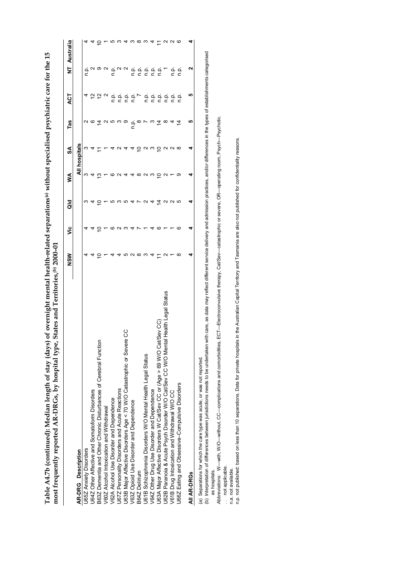|                                                                                            | NSW | ۊ | ă              | ≸           | న్                             | Tas                    | হ                              | Ż                           | Australia |
|--------------------------------------------------------------------------------------------|-----|---|----------------|-------------|--------------------------------|------------------------|--------------------------------|-----------------------------|-----------|
| <b>AR-DRG</b> Description                                                                  |     |   |                |             | All hospitals                  |                        |                                |                             |           |
| J65Z Anxiety Disorders                                                                     |     |   |                | ო           | ო                              |                        |                                |                             |           |
| J64Z Other Affective and Somatoform Disorders                                              |     | 4 |                |             |                                | N 0                    |                                |                             |           |
| B63Z Dementia and Other Chronic Disturbances of Cerebral Function                          |     | ₽ |                | ≌           |                                | $\overline{4}$         | $\tilde{5}$ $\tilde{6}$ $\sim$ | ن<br>د ۱۵ ه م               |           |
| V60Z Alcohol Intoxication and Withdrawal                                                   |     |   |                |             |                                |                        |                                |                             |           |
| /62A Alcohol Use Disorder and Dependence                                                   |     |   |                |             |                                | လ ဟ က တ                |                                |                             |           |
| J67Z Personality Disorders and Acute Reactions                                             |     | c |                |             | $\sim$                         |                        |                                |                             |           |
| ပ္ပ<br>J63B Major Affective Disorders Age < 70 W/O Catastrophic or Severe                  |     |   | ю              |             |                                |                        |                                | $\frac{a}{c}$ $\sim$ $\sim$ | 4         |
| V63Z Opioid Use Disorder and Dependence                                                    |     |   | $\overline{4}$ |             | 4                              |                        |                                |                             |           |
| B64Z Delirium                                                                              | ∞   |   | Ņ              | ∞           | ₽                              | $\frac{a}{c}$ $\infty$ |                                |                             | ო თო      |
| J61B Schizophrenia Disorders W/O Mental Health Legal Status                                | ო   |   | $\sim$         | $Q \circ Q$ |                                | J,                     |                                |                             |           |
| V64Z Other Drug Use Disorder and Dependence                                                |     |   |                |             | ດ ພ                            | က                      |                                |                             | 4         |
| J63A Major Affective Disorders W Cat/Sev CC or (Age > 69 W/O Cat/Sev CC)                   |     | ဖ | 호              |             |                                | Ξ                      |                                |                             |           |
| Legal Status<br>lealth I<br>J62B Paranoia & Acute Psych Disorder W/O Cat/Sev CC W/O Mental |     |   | ∾              |             |                                | ∞                      |                                |                             |           |
| V61B Drug Intoxication and Withdrawal W/O CC                                               |     |   | ີ ພ            |             | $2$ $\alpha$ $\alpha$ $\infty$ | 4                      |                                |                             | NN Q      |
| U66Z Eating and Obsessive-Compulsive Disorders                                             |     | ဖ |                |             |                                | Ξ                      |                                |                             |           |
| All AR-DRGs                                                                                |     | 4 | 4              |             | 4                              | မာ                     | ഥ                              | N                           |           |

Table A4.7b (continued): Median length of stay (days) of overnight mental health-related separations® without specialised psychiatric care for the 15<br>most frequently reported AR-DRGs, by hospital type, States and Territori **Table A4.7b (continued): Median length of stay (days) of overnight mental health-related separations(a) without specialised psychiatric care for the 15 most frequently reported AR-DRGs, by hospital type, States and Territories,(b) 2000–01**

(a) Separations for which the care type was acute, or was not reported.

(a) Separations for which the care type was sacute, or was not reported.<br>(b) Interpretation of differences between jurisdictions needs to be undertator with care, as data may reflect different service delivery and admissio (b) Interpretation of differences between jurisdictions needs to be undertaken with care, as data may reflect different service delivery and admission practices, and/or differences in the types of establishments categorise as hospitals. as hospitals.

Abbreviations: W-with, W/O-without, CC-complications and comorbidities, ECT-Electroconvulsive therapy, Cat/Sev-catastrophic or severe, OR-operating room, Psych-Psychotic. *Abbreviations:* W—with, W/O—without, CC—complications and comorbidities, ECT—Electroconvulsive therapy, Cat/Sev—catastrophic or severe, OR—operating room, Psych—Psychotic.

.. not applicable. . . not applicable.

n.a. not available.<br>n.p. not published: based on less than 10 separations. Data for private hospitals in the Australian Capital Territory and Tasmania are also not published for confidentiality reasons. n.p. not published: based on less than 10 separations. Data for private hospitals in the Australian Capital Territory and Tasmania are also not published for confidentiality reasons.n.a. not available.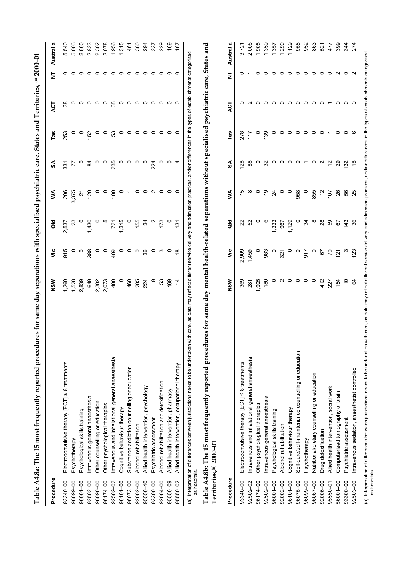|              | for same day separations with specialised psychiatric care, States and Territories, (a) 2000-01<br>$\Omega$<br>Table A4.8a: The 15 most frequently reported procedure               |                 |                 |                 |                 |                 |         |                     |                   |                |
|--------------|-------------------------------------------------------------------------------------------------------------------------------------------------------------------------------------|-----------------|-----------------|-----------------|-----------------|-----------------|---------|---------------------|-------------------|----------------|
| Procedure    |                                                                                                                                                                                     | NSW             | ۶Ë              | <b>aio</b>      | ⋚               | న               | Tas     | ACT                 | Ż                 | Australia      |
| 93340-00     | Electroconvulsive therapy [ECT] < 8 treatments                                                                                                                                      | 1,260           | 915             | 2,537           | 206             | 331             | 253     | 38                  | 0                 | 5,540          |
| 96099-00     | Psychotherapy                                                                                                                                                                       | 1,528           | $\circ$ $\circ$ | $\mathbf{z}^3$  | 3,375           | 77              | 0       | $\circ$             |                   | 5,003          |
| 96001-00     | Psychological skills training                                                                                                                                                       | 2,839           |                 |                 | 2               | $\circ$         | $\circ$ | $\circ$             | $\circ$           | 2,860          |
| 92502-00     | Intravenous general anaesthesia                                                                                                                                                     | 649             | 388             | 1,430           | 120             | $\mathfrak{A}$  | 152     |                     | $\circ$           | 2,823          |
| 96090-00     | Other counselling or education                                                                                                                                                      | 2,302           | $\circ$         |                 | O               | $\circ$         | $\circ$ | $\circ \circ \circ$ | $\circ$           | 2,302          |
| 96174-00     | Other psychological therapies                                                                                                                                                       | 2,073           | $\circ$         |                 | $\circ$         | $\circ$         | $\circ$ |                     | $\circ$           | 2,078          |
| 92502-02     | Intravenous and inhalational general anaesthesia                                                                                                                                    | 400             | 409             | 721             | 100             | 235             | 53      | 38                  | $\circ$           | 1,956          |
| 96101-00     | Cognitive behaviour therapy                                                                                                                                                         | $\circ$         | $\circ$         | 1,315           | $\circ$         | $\circ$         | $\circ$ | $\circ$             | ⊝                 | 1,315          |
| 96073-00     | Substance addiction counselling or education                                                                                                                                        | 460             | $\circ$         | $\circ$         |                 | $\circ$         | $\circ$ | $\circ$             | $\circ$           | 461            |
| 92002-00     | Alcohol rehabilitation                                                                                                                                                              | 205             | $\circ$         | 155             | $\circ$         | $\circ$         | $\circ$ |                     | $\circ$           | 360            |
| 95550-10     | Allied health intervention, psychology                                                                                                                                              | 224             | 36              | $\mathfrak{F}$  |                 | $\circ$         | $\circ$ | $\circ \circ \circ$ | $\circ$           | 294            |
| 93300-00     | Psychiatric assessment                                                                                                                                                              | တ               | $\circ$         |                 | $\circ$ $\circ$ | 224             | $\circ$ |                     | $\circ$           | 237            |
| 92004-00     | Alcohol rehabilitation and detoxification                                                                                                                                           | 53              | က               | 173             |                 | o               | $\circ$ | $\circ$             | $\circ$           | 229            |
| 95550-09     | Allied health intervention, pharmacy                                                                                                                                                | 169             | $\circ$         |                 | $\circ$ $\circ$ | $\circ$ 4       | $\circ$ | $\circ$ $\circ$     | $\circ$           | $\frac{69}{2}$ |
| 95550-02     | Allied health intervention, occupational therapy                                                                                                                                    | $\dot{4}$       |                 | $\frac{131}{2}$ |                 |                 |         |                     | $\circ$           | 167            |
| as hospitals | Table A4.8b: The 15 most frequently reported procedures for same day mental health-related separations without specialised psychiatric care, States and<br>Territories, (a) 2000-01 |                 |                 |                 |                 |                 |         |                     |                   |                |
| Procedure    |                                                                                                                                                                                     | NSW             | yic             | <b>aio</b>      | ⋚               | న్              | Tas     | <b>ACT</b>          | 눋                 | Australia      |
| 93340-00     | Electroconvulsive therapy [ECT] < 8 treatments                                                                                                                                      | 369             | 2,909           | ଅ               | 40              | 128             | 278     | 0                   |                   | 3,721          |
| 92502-02     | Intravenous and inhalational general anaesthesia                                                                                                                                    | 281             | 1,459           | S <sub>2</sub>  | ∞               | 86              | 117     |                     |                   | 2,006          |
| 96174-00     | Other psychological therapies                                                                                                                                                       | 1,905           | $\circ$         |                 | $\circ$         | $\circ$         | $\circ$ | 0                   |                   | 1,905          |
| 92502-00     | Intravenous general anaesthesia                                                                                                                                                     | 180             | 983             |                 | $\frac{6}{1}$   | 32              | 139     | $\circ$             | $\circ$           | 1,359          |
| 96001-00     | Psychological skills training                                                                                                                                                       | 0               | $\circ$         | 1,333           | $\overline{24}$ | $\circ$         | 0       | $\circ$             | $\circ$           | 1,357          |
| 92002-00     | Alcohol rehabilitation                                                                                                                                                              | $\sim$          | 321             | 967             | $\circ$         | $\circ$         | $\circ$ | $\circ$             | $\circ$           | 1,290          |
| 96101-00     | Cognitive behaviour therapy                                                                                                                                                         | $\circ$ $\circ$ | $\circ$ $\circ$ | 1,129           | $\circ$         | $\circ$ $\circ$ | $\circ$ | $\circ$ $\circ$     | $\circ$           | 1,129          |
| 96075-00     | Self-care/self-maintenance counselling or education                                                                                                                                 |                 |                 |                 | 958             |                 | 0       |                     | $\circ$           | 958            |
| 96099-00     | Psychotherapy                                                                                                                                                                       | $\circ$ $\circ$ | 917             | 34              | $\circ$         |                 | $\circ$ | $\circ$             |                   | 952            |
| 96067-00     | Nutritional/dietary counselling or education                                                                                                                                        |                 | $\circ$         | $\infty$        | 855             | $\circ$         | $\circ$ | $\circ$             | $\circ\circ\circ$ | 863            |
| 92006-00     | Drug detoxification                                                                                                                                                                 | 412             | 67              | 28              | $\tilde{c}$     | $\sim$          | $\circ$ | $\circ$             |                   | 521            |
| 95550-01     | Allied health intervention, social work                                                                                                                                             | 227             | $\overline{r}$  | 89              | 107             | $\frac{1}{2}$   |         | $\overline{ }$      | $\circ$           | 477            |
| 56001-00     | Computerised tomography of brain                                                                                                                                                    | 154             | $\frac{5}{2}$   | 5               | 26              | 29              | 0       | $\circ$             | $\sim$            | 399            |
| 93300-00     | Psychiatric assessment                                                                                                                                                              |                 |                 | 143             | 56              | 132             |         | 0                   | $\circ$           | 344            |
| 92503-00     | Intravenous sedation, anaesthetist controlled                                                                                                                                       | $\mathfrak{g}$  | <u>123</u>      | 36              |                 |                 |         |                     |                   | 274            |

(a) Interpretation of differences between jurisdictions needs to be undertaken with care, as data may reflect different service delivery and admission practices, and/or differences in the types of establishments categorise (a) Interpretation of differences between jurisdictions needs to be undertaken with care, as data may reflect different service delivery and admission practices, and/or differences in the types of establishments categorise as hospitals.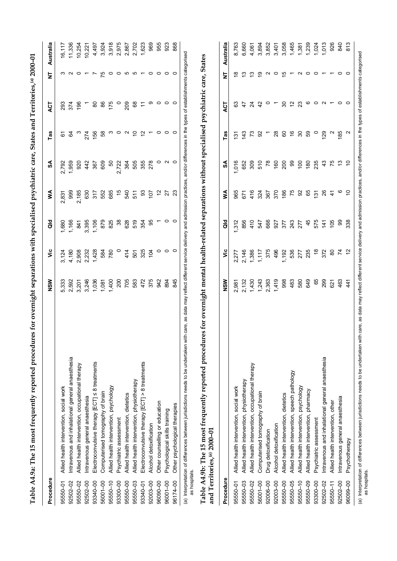| Procedure    |                                                  | NSW | УË                                                      | aid                              | ≸     | ઙే | Tas | ACT                                | Ż  | Australia |
|--------------|--------------------------------------------------|-----|---------------------------------------------------------|----------------------------------|-------|----|-----|------------------------------------|----|-----------|
| 95550-01     | Allied health intervention, social work          |     |                                                         |                                  | 2,831 |    |     |                                    |    | 16,117    |
| 92502-02     | Intravenous and inhalational general anaesthesia |     |                                                         |                                  |       |    |     |                                    |    | 11,336    |
| 95550-02     | Allied health intervention, occupational therapy |     | e de grand<br>Grand de grand<br>Te de grand de grand de | 88618868888818668686586688888668 |       |    |     | 8285 - 886 - 887<br>887 - 887 - 88 |    | 10,254    |
|              | 92502-00 Intravenous general anaesthesia         |     |                                                         |                                  |       |    |     |                                    |    | 10,221    |
| 93340-00     | Electroconvulsive therapy [ECT] ≤ 8 treatments   |     |                                                         |                                  |       |    |     |                                    |    |           |
| 56001-00     | Computerised tomography of brain                 |     |                                                         |                                  |       |    |     |                                    | 10 |           |
| $95550 - 10$ | Allied health intervention, psychology           |     |                                                         |                                  |       |    |     |                                    |    |           |
| 93300-00     | Psychiatric assessment                           |     |                                                         |                                  |       |    |     |                                    | 0  |           |
| 95550-00     | Allied health intervention, dietetics            |     |                                                         |                                  |       |    |     |                                    | Ю  |           |
| 95550-03     | Allied health intervention, physiotherapy        |     |                                                         |                                  |       |    |     |                                    | ယ  |           |
| 93340-01     | Electroconvulsive therapy [ECT] > 8 treatments   |     |                                                         |                                  |       |    |     |                                    |    |           |
| 92003-00     | Alcohol detoxification                           |     |                                                         |                                  |       |    |     | တ                                  |    |           |
| 96090-00     | Other counselling or education                   |     |                                                         |                                  |       |    |     |                                    |    |           |
| 96001-00     | Psychological skills training                    |     |                                                         |                                  |       |    |     | $\circ$ $\circ$                    |    |           |
| 96174-00     | Other psychological therapies                    |     | $\circ$                                                 |                                  |       |    |     |                                    |    | 868       |
|              |                                                  |     |                                                         |                                  |       |    |     |                                    |    |           |

**Table A4.9a: The 15 most frequently reported procedures for overnight separations with specialised psychiatric care, States and Territories,(a) 2000–01**

Table A4.9a: The 15 most frequently reported procedures for overnight separations with specialised psychiatric care, States and Territories,<sup>(a)</sup> 2000-01

(a) Interpretation of differences between jurisdictions needs to be undertaken with care, as data may reflect different service delivery and admission practices, and/or differences in the types of establishments categorise (a) Interpretation of differences between jurisdictions needs to be undertaken with care, as data may reflect different service delivery and admission practices, and/or differences in the types of establishments categorise as hospitals. as hospitals.

Table A4.9b: The 15 most frequently reported procedures for overnight mental health-related separations without specialised psychiatric care, States **Table A4.9b: The 15 most frequently reported procedures for overnight mental health-related separations without specialised psychiatric care, States** and Territories,<sup>(a)</sup> 2000-01 **and Territories,(a) 2000–01**

| Procedure    |                                                                                                                                                                                                                                                                                                                                                   | NSW            | ۶Ë             | <b>aio</b>            | ≸                 | SA               | Tas           | ACT            | ż | Australia |
|--------------|---------------------------------------------------------------------------------------------------------------------------------------------------------------------------------------------------------------------------------------------------------------------------------------------------------------------------------------------------|----------------|----------------|-----------------------|-------------------|------------------|---------------|----------------|---|-----------|
| 95550-01     | Allied health intervention, social work                                                                                                                                                                                                                                                                                                           | 2,981          |                | 312                   | 965               | 016              | $\frac{5}{2}$ | යි             | ≌ | 8,763     |
| 95550-03     | Allied health intervention, physiotherapy                                                                                                                                                                                                                                                                                                         |                | 2,277<br>2,146 |                       |                   | 652              | 143           | 47             | ≌ | 6,660     |
| 95550-02     | Allied health intervention, occupational therapy                                                                                                                                                                                                                                                                                                  | 2,132<br>1,430 |                | 856<br>4 1 5<br>8 4 7 | 571<br>416<br>387 | 309              | 73            | $\approx$      | ო | 4,061     |
| 56001-00     | Computerised tomography of brain                                                                                                                                                                                                                                                                                                                  | 1,243          | 1,386<br>1,117 |                       |                   | 510              | 95            | $\overline{4}$ | σ | 3,894     |
| 92006-00     | Drug detoxification                                                                                                                                                                                                                                                                                                                               | 2,363          | 375            |                       |                   | $\overline{78}$  |               | $\circ$        |   | 3,852     |
| 92003-00     | Alcohol detoxification                                                                                                                                                                                                                                                                                                                            | 1,419          | 496            |                       | 370               | $\frac{60}{2}$   | 28            |                |   | 3,401     |
| 95550-00     | Allied health intervention, dietetics                                                                                                                                                                                                                                                                                                             | 998            | 1,192          | <b>6677374554569</b>  | 186               | 200              | 8             | 30             |   | 3,058     |
| 95550-05     | Allied health intervention, speech pathology                                                                                                                                                                                                                                                                                                      | 483            |                |                       | <b>75</b> 85      | 8                | $\frac{6}{5}$ | $\tilde{a}$    |   | 1,465     |
| $95550 - 10$ | Allied health intervention, psychology                                                                                                                                                                                                                                                                                                            | 580            | 536<br>277     |                       |                   | $\overline{100}$ | 30            | 23             |   | 1,381     |
| 95550-09     | Allied health intervention, pharmacy                                                                                                                                                                                                                                                                                                              | 649            | 235            |                       |                   | 180              | 89            | ဖ              |   | 1,239     |
| 93300-00     | Psychiatric assessment                                                                                                                                                                                                                                                                                                                            | 65             | $\frac{8}{3}$  |                       | $\frac{5}{12}$    | 235              |               | 0              |   | 1,024     |
| 92502-02     | Intravenous and inhalational general anaesthesia                                                                                                                                                                                                                                                                                                  | 299            | 372            |                       | 84                | 43               | 129           | Ν              |   | 1,013     |
| $95550 - 11$ | Allied health intervention, other                                                                                                                                                                                                                                                                                                                 | 621            | 80             | 105                   |                   | 75               |               |                |   | 926       |
|              | 92502-00 Intravenous general anaesthesia                                                                                                                                                                                                                                                                                                          | 463            | 74             | 8                     | $\circ$           | 3                | 185           |                |   | 940       |
|              | 96099-00 Psychotherapy                                                                                                                                                                                                                                                                                                                            | $\frac{4}{4}$  | 2              | 338                   |                   |                  | Ν             | 0              |   | 813       |
|              | reserved that the computation is continued in the section of the section of the contract of the contract of the contract of the contract of the contract of the contract of the contract of the contract of the contract of th<br>in a letter of the of the concerned hair is contained as a concerned of the formation of the letter of the form |                |                |                       |                   |                  |               |                |   |           |

(a) Interpretation of differences between jurisdictions needs to be undertaken with care, as data may reflect different service delivery and admission practices, and/or differences in the types of establishments categorise (a) Interpretation of differences between jurisdictions needs to be undertaken with care, as data may reflect different service delivery and admission practices, and/or differences in the types of establishments categorise

as hospitals.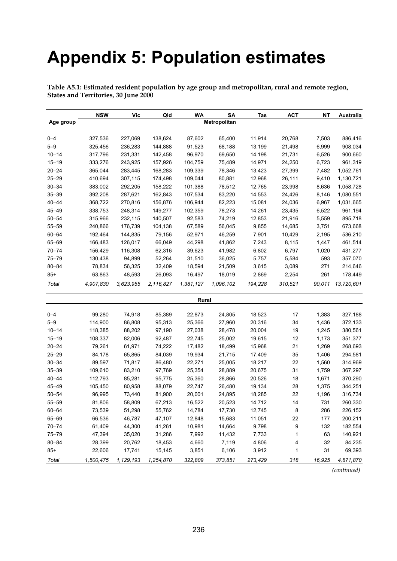# **Appendix 5: Population estimates**

| Table A5.1: Estimated resident population by age group and metropolitan, rural and remote region, |  |
|---------------------------------------------------------------------------------------------------|--|
| States and Territories, 30 June 2000                                                              |  |

|           | <b>NSW</b> | Vic       | Qld       | WA        | SΑ           | Tas     | <b>ACT</b> | NΤ     | Australia  |
|-----------|------------|-----------|-----------|-----------|--------------|---------|------------|--------|------------|
| Age group |            |           |           |           | Metropolitan |         |            |        |            |
|           |            |           |           |           |              |         |            |        |            |
| $0 - 4$   | 327,536    | 227,069   | 138,624   | 87,602    | 65,400       | 11,914  | 20,768     | 7,503  | 886,416    |
| $5 - 9$   | 325,456    | 236,283   | 144,888   | 91,523    | 68,188       | 13,199  | 21,498     | 6,999  | 908,034    |
| $10 - 14$ | 317,796    | 231,331   | 142,458   | 96,970    | 69,650       | 14,198  | 21,731     | 6,526  | 900,660    |
| $15 - 19$ | 333,276    | 243,925   | 157,926   | 104,759   | 75,489       | 14,971  | 24,250     | 6,723  | 961,319    |
| $20 - 24$ | 365,044    | 283,445   | 168,283   | 109,339   | 78,346       | 13,423  | 27,399     | 7,482  | 1,052,761  |
| $25 - 29$ | 410,694    | 307,115   | 174,498   | 109,044   | 80,881       | 12,968  | 26,111     | 9,410  | 1,130,721  |
| $30 - 34$ | 383,002    | 292,205   | 158,222   | 101,388   | 78,512       | 12,765  | 23,998     | 8,636  | 1,058,728  |
| $35 - 39$ | 392,208    | 287,621   | 162,843   | 107,534   | 83,220       | 14,553  | 24,426     | 8,146  | 1,080,551  |
| $40 - 44$ | 368,722    | 270,816   | 156,876   | 106,944   | 82,223       | 15,081  | 24,036     | 6,967  | 1,031,665  |
| 45-49     | 338,753    | 248,314   | 149,277   | 102,359   | 78,273       | 14,261  | 23,435     | 6,522  | 961,194    |
| $50 - 54$ | 315,966    | 232,115   | 140,507   | 92,583    | 74,219       | 12,853  | 21,916     | 5,559  | 895,718    |
| $55 - 59$ | 240,866    | 176,739   | 104,138   | 67,589    | 56,045       | 9,855   | 14,685     | 3,751  | 673,668    |
| 60-64     | 192,464    | 144,835   | 79,156    | 52,971    | 46,259       | 7,901   | 10,429     | 2,195  | 536,210    |
| 65-69     | 166,483    | 126,017   | 66,049    | 44,298    | 41,862       | 7,243   | 8,115      | 1,447  | 461,514    |
| $70 - 74$ | 156,429    | 116,308   | 62,316    | 39,623    | 41,982       | 6,802   | 6,797      | 1,020  | 431,277    |
| 75-79     | 130,438    | 94,899    | 52,264    | 31,510    | 36,025       | 5,757   | 5,584      | 593    | 357,070    |
| $80 - 84$ | 78,834     | 56,325    | 32,409    | 18,594    | 21,509       | 3,615   | 3,089      | 271    | 214,646    |
| $85+$     | 63,863     | 48,593    | 26,093    | 16,497    | 18,019       | 2,869   | 2,254      | 261    | 178,449    |
| Total     | 4,907,830  | 3,623,955 | 2,116,827 | 1,381,127 | 1,096,102    | 194,228 | 310,521    | 90,011 | 13,720,601 |
|           |            |           |           | Rural     |              |         |            |        |            |
|           |            |           |           |           |              |         |            |        |            |
| $0 - 4$   | 99,280     | 74,918    | 85,389    | 22,873    | 24,805       | 18,523  | 17         | 1,383  | 327,188    |
| $5 - 9$   | 114,900    | 86,808    | 95,313    | 25,366    | 27,960       | 20,316  | 34         | 1,436  | 372,133    |
| $10 - 14$ | 118,385    | 88,202    | 97,190    | 27,038    | 28,478       | 20,004  | 19         | 1,245  | 380,561    |
| $15 - 19$ | 108,337    | 82,006    | 92,487    | 22,745    | 25,002       | 19,615  | 12         | 1,173  | 351,377    |
| $20 - 24$ | 79,261     | 61,971    | 74,222    | 17,482    | 18,499       | 15,968  | 21         | 1,269  | 268,693    |
| $25 - 29$ | 84,178     | 65,865    | 84,039    | 19,934    | 21,715       | 17,409  | 35         | 1,406  | 294,581    |
| $30 - 34$ | 89,597     | 71,817    | 86,480    | 22,271    | 25,005       | 18,217  | 22         | 1,560  | 314,969    |
| $35 - 39$ | 109,610    | 83,210    | 97,769    | 25,354    | 28,889       | 20,675  | 31         | 1,759  | 367,297    |
| 40-44     | 112,793    | 85,281    | 95,775    | 25,360    | 28,866       | 20,526  | 18         | 1,671  | 370,290    |
| 45-49     | 105,450    | 80,958    | 88,079    | 22,747    | 26,480       | 19,134  | 28         | 1,375  | 344,251    |
| $50 - 54$ | 96,995     | 73,440    | 81,900    | 20,001    | 24,895       | 18,285  | 22         | 1,196  | 316,734    |
| $55 - 59$ | 81,806     | 58,809    | 67,213    | 16,522    | 20,523       | 14,712  | 14         | 731    | 260,330    |
| 60-64     | 73,539     | 51,298    | 55,762    | 14,784    | 17,730       | 12,745  | 8          | 286    | 226,152    |
| 65-69     | 66,536     | 46,787    | 47,107    | 12,848    | 15,683       | 11,051  | 22         | 177    | 200,211    |
| $70 - 74$ | 61,409     | 44,300    | 41,261    | 10,981    | 14,664       | 9,798   | 9          | 132    | 182,554    |
| 75-79     | 47,394     | 35,020    | 31,286    | 7,992     | 11,432       | 7,733   | 1          | 63     | 140,921    |
| $80 - 84$ | 28,399     | 20,762    | 18,453    | 4,660     | 7,119        | 4,806   | 4          | 32     | 84,235     |
| $85+$     | 22,606     | 17,741    | 15,145    | 3,851     | 6,106        | 3,912   | 1          | 31     | 69,393     |
| Total     | 1,500,475  | 1,129,193 | 1,254,870 | 322,809   | 373,851      | 273,429 | 318        | 16,925 | 4,871,870  |

*(continued)*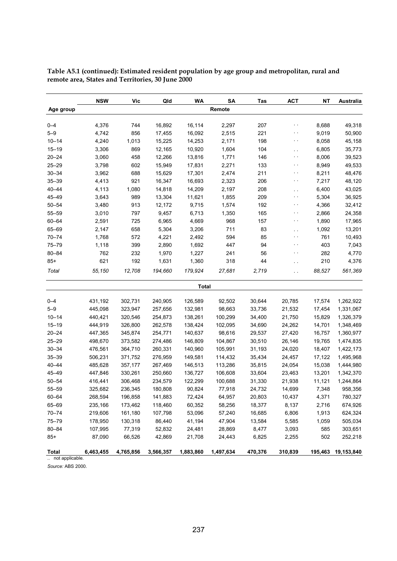|                         | <b>NSW</b> | Vic       | Qld       | WA           | SA        | <b>Tas</b> | <b>ACT</b>    | NΤ      | <b>Australia</b> |
|-------------------------|------------|-----------|-----------|--------------|-----------|------------|---------------|---------|------------------|
| Age group               |            |           |           |              | Remote    |            |               |         |                  |
| $0 - 4$                 | 4,376      | 744       | 16,892    | 16,114       | 2,297     | 207        | $\sim$ $\sim$ | 8,688   | 49,318           |
| $5 - 9$                 | 4,742      | 856       | 17,455    | 16,092       | 2,515     | 221        | $\sim$ $\sim$ | 9,019   | 50,900           |
| $10 - 14$               | 4,240      | 1,013     | 15,225    | 14,253       | 2,171     | 198        | $\sim$ $\sim$ | 8,058   | 45,158           |
| $15 - 19$               | 3,306      | 869       | 12,165    | 10,920       | 1,604     | 104        | $\sim$ $\sim$ | 6,805   | 35,773           |
| $20 - 24$               | 3,060      | 458       | 12,266    | 13,816       | 1,771     | 146        | $\sim$ $\sim$ | 8,006   | 39,523           |
| $25 - 29$               | 3,798      | 602       | 15,949    | 17,831       | 2,271     | 133        | $\sim$ $\sim$ | 8,949   | 49,533           |
| $30 - 34$               | 3,962      | 688       | 15,629    | 17,301       | 2,474     | 211        | $\sim$ $\sim$ | 8,211   | 48,476           |
| $35 - 39$               | 4,413      | 921       | 16,347    | 16,693       | 2,323     | 206        | $\sim$ $\sim$ | 7,217   | 48,120           |
| $40 - 44$               | 4,113      | 1,080     | 14,818    | 14,209       | 2,197     | 208        | $\sim$        | 6,400   | 43,025           |
| 45-49                   | 3,643      | 989       | 13,304    | 11,621       | 1,855     | 209        | $\sim$ $\sim$ | 5,304   | 36,925           |
| $50 - 54$               | 3,480      | 913       | 12,172    | 9,715        | 1,574     | 192        | $\sim$ $\sim$ | 4,366   | 32,412           |
| $55 - 59$               | 3,010      | 797       | 9,457     | 6,713        | 1,350     | 165        | $\sim$ $\sim$ | 2,866   | 24,358           |
| 60-64                   | 2,591      | 725       | 6,965     | 4,669        | 968       | 157        | $\sim$ $\sim$ | 1,890   | 17,965           |
| 65-69                   | 2,147      | 658       | 5,304     | 3,206        | 711       | 83         | $\sim$        | 1,092   | 13,201           |
| $70 - 74$               | 1,768      | 572       | 4,221     | 2,492        | 594       | 85         | $\sim$ $\sim$ | 761     | 10,493           |
| $75 - 79$               | 1,118      | 399       | 2,890     | 1,692        | 447       | 94         | $\sim$ $\sim$ | 403     | 7,043            |
| $80 - 84$               | 762        | 232       | 1,970     | 1,227        | 241       | 56         | $\sim$ $\sim$ | 282     | 4,770            |
| $85+$                   | 621        | 192       | 1,631     | 1,360        | 318       | 44         | $\sim$        | 210     | 4,376            |
| Total                   | 55,150     | 12,708    | 194,660   | 179,924      | 27,681    | 2,719      | . .           | 88,527  | 561,369          |
|                         |            |           |           | <b>Total</b> |           |            |               |         |                  |
| $0 - 4$                 | 431,192    | 302,731   | 240,905   | 126,589      | 92,502    | 30,644     | 20,785        | 17,574  | 1,262,922        |
| $5 - 9$                 | 445,098    | 323,947   | 257,656   | 132,981      | 98,663    | 33,736     | 21,532        | 17,454  | 1,331,067        |
| $10 - 14$               | 440,421    | 320,546   | 254,873   | 138,261      | 100,299   | 34,400     | 21,750        | 15,829  | 1,326,379        |
| $15 - 19$               | 444,919    | 326,800   | 262,578   | 138,424      | 102,095   | 34,690     | 24,262        | 14,701  | 1,348,469        |
| $20 - 24$               | 447,365    | 345,874   | 254,771   | 140,637      | 98,616    | 29,537     | 27,420        | 16,757  | 1,360,977        |
| $25 - 29$               | 498,670    | 373,582   | 274,486   | 146,809      | 104,867   | 30,510     | 26,146        | 19,765  | 1,474,835        |
| $30 - 34$               | 476,561    | 364,710   | 260,331   | 140,960      | 105,991   | 31,193     | 24,020        | 18,407  | 1,422,173        |
| $35 - 39$               | 506,231    | 371,752   | 276,959   | 149,581      | 114,432   | 35,434     | 24,457        | 17,122  | 1,495,968        |
| $40 - 44$               | 485,628    | 357,177   | 267,469   | 146,513      | 113,286   | 35,815     | 24,054        | 15,038  | 1,444,980        |
| 45-49                   | 447,846    | 330,261   | 250,660   | 136,727      | 106,608   | 33,604     | 23,463        | 13,201  | 1,342,370        |
| $50 - 54$               | 416,441    | 306,468   | 234,579   | 122,299      | 100,688   | 31,330     | 21,938        | 11,121  | 1,244,864        |
| $55 - 59$               | 325,682    | 236,345   | 180,808   | 90,824       | 77,918    | 24,732     | 14,699        | 7,348   | 958,356          |
| 60-64                   | 268,594    | 196,858   | 141,883   | 72,424       | 64,957    | 20,803     | 10,437        | 4,371   | 780,327          |
| 65-69                   | 235,166    | 173,462   | 118,460   | 60,352       | 58,256    | 18,377     | 8,137         | 2,716   | 674,926          |
| $70 - 74$               | 219,606    | 161,180   | 107,798   | 53,096       | 57,240    | 16,685     | 6,806         | 1,913   | 624,324          |
| 75-79                   | 178,950    | 130,318   | 86,440    | 41,194       | 47,904    | 13,584     | 5,585         | 1,059   | 505,034          |
| $80 - 84$               | 107,995    | 77,319    | 52,832    | 24,481       | 28,869    | 8,477      | 3,093         | 585     | 303,651          |
| $85+$                   | 87,090     | 66,526    | 42,869    | 21,708       | 24,443    | 6,825      | 2,255         | 502     | 252,218          |
| Total<br>not applicable | 6,463,455  | 4,765,856 | 3,566,357 | 1,883,860    | 1,497,634 | 470,376    | 310,839       | 195,463 | 19,153,840       |

**Table A5.1 (continued): Estimated resident population by age group and metropolitan, rural and remote area, States and Territories, 30 June 2000**

app

*Source:* ABS 2000.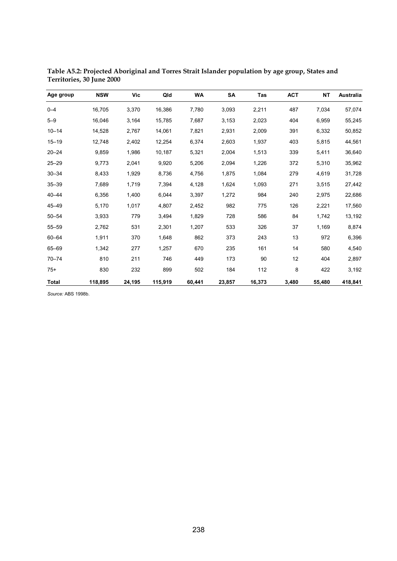| Age group    | <b>NSW</b> | Vic    | Qld     | WA     | SA     | <b>Tas</b> | <b>ACT</b> | NT     | Australia |
|--------------|------------|--------|---------|--------|--------|------------|------------|--------|-----------|
| $0 - 4$      | 16,705     | 3,370  | 16,386  | 7,780  | 3,093  | 2,211      | 487        | 7,034  | 57,074    |
| $5 - 9$      | 16,046     | 3,164  | 15,785  | 7,687  | 3,153  | 2,023      | 404        | 6,959  | 55,245    |
| $10 - 14$    | 14,528     | 2,767  | 14,061  | 7,821  | 2,931  | 2,009      | 391        | 6,332  | 50,852    |
| $15 - 19$    | 12,748     | 2,402  | 12,254  | 6,374  | 2,603  | 1,937      | 403        | 5,815  | 44,561    |
| $20 - 24$    | 9,859      | 1,986  | 10,187  | 5,321  | 2,004  | 1,513      | 339        | 5,411  | 36,640    |
| $25 - 29$    | 9,773      | 2,041  | 9,920   | 5,206  | 2,094  | 1,226      | 372        | 5,310  | 35,962    |
| $30 - 34$    | 8,433      | 1,929  | 8,736   | 4,756  | 1,875  | 1,084      | 279        | 4,619  | 31,728    |
| $35 - 39$    | 7,689      | 1,719  | 7,394   | 4,128  | 1,624  | 1,093      | 271        | 3,515  | 27,442    |
| $40 - 44$    | 6,356      | 1,400  | 6,044   | 3,397  | 1,272  | 984        | 240        | 2,975  | 22,686    |
| 45-49        | 5,170      | 1,017  | 4,807   | 2,452  | 982    | 775        | 126        | 2,221  | 17,560    |
| $50 - 54$    | 3,933      | 779    | 3,494   | 1,829  | 728    | 586        | 84         | 1,742  | 13,192    |
| $55 - 59$    | 2,762      | 531    | 2,301   | 1,207  | 533    | 326        | 37         | 1,169  | 8,874     |
| $60 - 64$    | 1,911      | 370    | 1,648   | 862    | 373    | 243        | 13         | 972    | 6,396     |
| 65-69        | 1,342      | 277    | 1,257   | 670    | 235    | 161        | 14         | 580    | 4,540     |
| $70 - 74$    | 810        | 211    | 746     | 449    | 173    | 90         | 12         | 404    | 2,897     |
| $75+$        | 830        | 232    | 899     | 502    | 184    | 112        | 8          | 422    | 3,192     |
| <b>Total</b> | 118,895    | 24,195 | 115,919 | 60,441 | 23,857 | 16,373     | 3,480      | 55,480 | 418,841   |

**Table A5.2: Projected Aboriginal and Torres Strait Islander population by age group, States and Territories, 30 June 2000**

*Source:* ABS 1998b.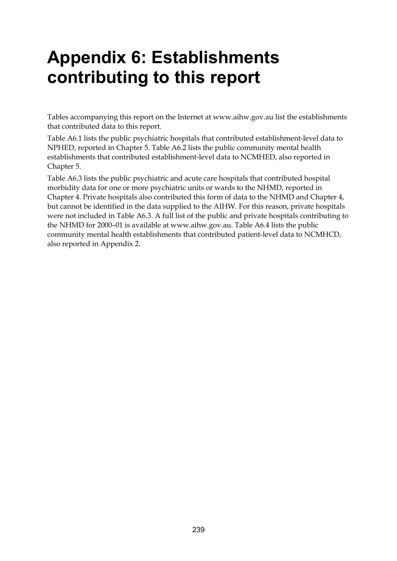# **Appendix 6: Establishments contributing to this report**

Tables accompanying this report on the Internet at www.aihw.gov.au list the establishments that contributed data to this report.

Table A6.1 lists the public psychiatric hospitals that contributed establishment-level data to NPHED, reported in Chapter 5. Table A6.2 lists the public community mental health establishments that contributed establishment-level data to NCMHED, also reported in Chapter 5.

Table A6.3 lists the public psychiatric and acute care hospitals that contributed hospital morbidity data for one or more psychiatric units or wards to the NHMD, reported in Chapter 4. Private hospitals also contributed this form of data to the NHMD and Chapter 4, but cannot be identified in the data supplied to the AIHW. For this reason, private hospitals were not included in Table A6.3. A full list of the public and private hospitals contributing to the NHMD for 2000–01 is available at www.aihw.gov.au. Table A6.4 lists the public community mental health establishments that contributed patient-level data to NCMHCD, also reported in Appendix 2.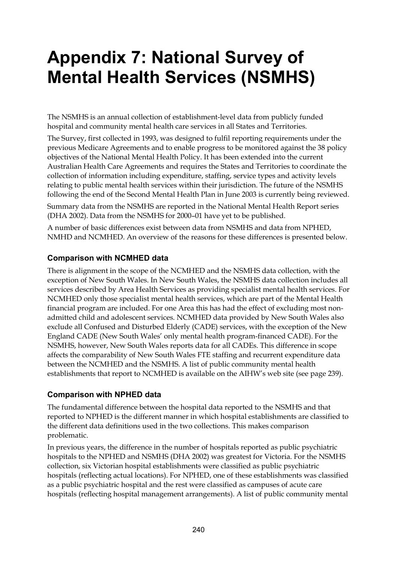# **Appendix 7: National Survey of Mental Health Services (NSMHS)**

The NSMHS is an annual collection of establishment-level data from publicly funded hospital and community mental health care services in all States and Territories.

The Survey, first collected in 1993, was designed to fulfil reporting requirements under the previous Medicare Agreements and to enable progress to be monitored against the 38 policy objectives of the National Mental Health Policy. It has been extended into the current Australian Health Care Agreements and requires the States and Territories to coordinate the collection of information including expenditure, staffing, service types and activity levels relating to public mental health services within their jurisdiction. The future of the NSMHS following the end of the Second Mental Health Plan in June 2003 is currently being reviewed.

Summary data from the NSMHS are reported in the National Mental Health Report series (DHA 2002). Data from the NSMHS for 2000–01 have yet to be published.

A number of basic differences exist between data from NSMHS and data from NPHED, NMHD and NCMHED. An overview of the reasons for these differences is presented below.

#### **Comparison with NCMHED data**

There is alignment in the scope of the NCMHED and the NSMHS data collection, with the exception of New South Wales. In New South Wales, the NSMHS data collection includes all services described by Area Health Services as providing specialist mental health services. For NCMHED only those specialist mental health services, which are part of the Mental Health financial program are included. For one Area this has had the effect of excluding most nonadmitted child and adolescent services. NCMHED data provided by New South Wales also exclude all Confused and Disturbed Elderly (CADE) services, with the exception of the New England CADE (New South Wales' only mental health program-financed CADE). For the NSMHS, however, New South Wales reports data for all CADEs. This difference in scope affects the comparability of New South Wales FTE staffing and recurrent expenditure data between the NCMHED and the NSMHS. A list of public community mental health establishments that report to NCMHED is available on the AIHW's web site (see page 239).

#### **Comparison with NPHED data**

The fundamental difference between the hospital data reported to the NSMHS and that reported to NPHED is the different manner in which hospital establishments are classified to the different data definitions used in the two collections. This makes comparison problematic.

In previous years, the difference in the number of hospitals reported as public psychiatric hospitals to the NPHED and NSMHS (DHA 2002) was greatest for Victoria. For the NSMHS collection, six Victorian hospital establishments were classified as public psychiatric hospitals (reflecting actual locations). For NPHED, one of these establishments was classified as a public psychiatric hospital and the rest were classified as campuses of acute care hospitals (reflecting hospital management arrangements). A list of public community mental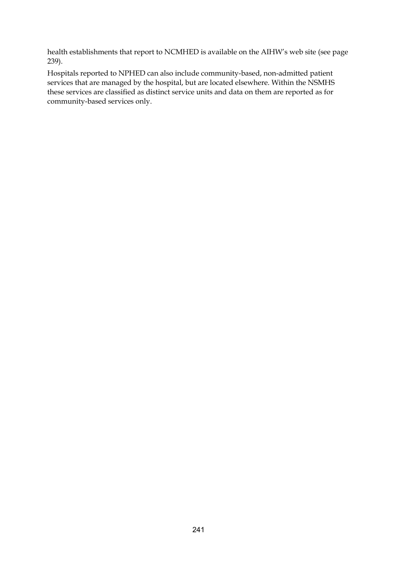health establishments that report to NCMHED is available on the AIHW's web site (see page 239).

Hospitals reported to NPHED can also include community-based, non-admitted patient services that are managed by the hospital, but are located elsewhere. Within the NSMHS these services are classified as distinct service units and data on them are reported as for community-based services only.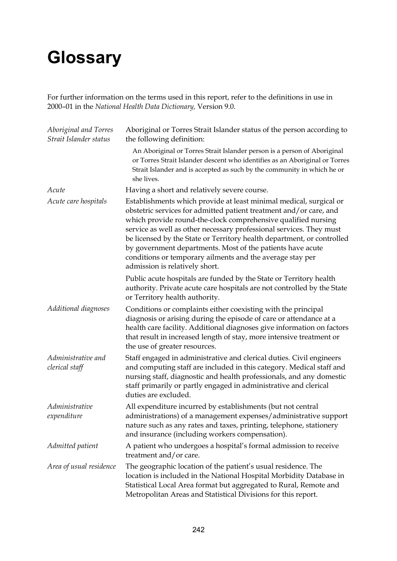# **Glossary**

For further information on the terms used in this report, refer to the definitions in use in 2000–01 in the *National Health Data Dictionary,* Version 9.0.

| Aboriginal and Torres<br>Strait Islander status | Aboriginal or Torres Strait Islander status of the person according to<br>the following definition:                                                                                                                                                                                                                                                                                                                                                                                                                     |
|-------------------------------------------------|-------------------------------------------------------------------------------------------------------------------------------------------------------------------------------------------------------------------------------------------------------------------------------------------------------------------------------------------------------------------------------------------------------------------------------------------------------------------------------------------------------------------------|
|                                                 | An Aboriginal or Torres Strait Islander person is a person of Aboriginal<br>or Torres Strait Islander descent who identifies as an Aboriginal or Torres<br>Strait Islander and is accepted as such by the community in which he or<br>she lives.                                                                                                                                                                                                                                                                        |
| Acute                                           | Having a short and relatively severe course.                                                                                                                                                                                                                                                                                                                                                                                                                                                                            |
| Acute care hospitals                            | Establishments which provide at least minimal medical, surgical or<br>obstetric services for admitted patient treatment and/or care, and<br>which provide round-the-clock comprehensive qualified nursing<br>service as well as other necessary professional services. They must<br>be licensed by the State or Territory health department, or controlled<br>by government departments. Most of the patients have acute<br>conditions or temporary ailments and the average stay per<br>admission is relatively short. |
|                                                 | Public acute hospitals are funded by the State or Territory health<br>authority. Private acute care hospitals are not controlled by the State<br>or Territory health authority.                                                                                                                                                                                                                                                                                                                                         |
| Additional diagnoses                            | Conditions or complaints either coexisting with the principal<br>diagnosis or arising during the episode of care or attendance at a<br>health care facility. Additional diagnoses give information on factors<br>that result in increased length of stay, more intensive treatment or<br>the use of greater resources.                                                                                                                                                                                                  |
| Administrative and<br>clerical staff            | Staff engaged in administrative and clerical duties. Civil engineers<br>and computing staff are included in this category. Medical staff and<br>nursing staff, diagnostic and health professionals, and any domestic<br>staff primarily or partly engaged in administrative and clerical<br>duties are excluded.                                                                                                                                                                                                        |
| Administrative<br>expenditure                   | All expenditure incurred by establishments (but not central<br>administrations) of a management expenses/administrative support<br>nature such as any rates and taxes, printing, telephone, stationery<br>and insurance (including workers compensation).                                                                                                                                                                                                                                                               |
| Admitted patient                                | A patient who undergoes a hospital's formal admission to receive<br>treatment and/or care.                                                                                                                                                                                                                                                                                                                                                                                                                              |
| Area of usual residence                         | The geographic location of the patient's usual residence. The<br>location is included in the National Hospital Morbidity Database in<br>Statistical Local Area format but aggregated to Rural, Remote and<br>Metropolitan Areas and Statistical Divisions for this report.                                                                                                                                                                                                                                              |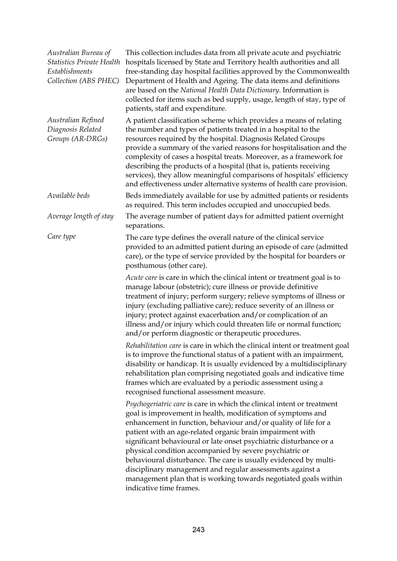| Australian Bureau of<br><b>Statistics Private Health</b><br>Establishments<br>Collection (ABS PHEC) | This collection includes data from all private acute and psychiatric<br>hospitals licensed by State and Territory health authorities and all<br>free-standing day hospital facilities approved by the Commonwealth<br>Department of Health and Ageing. The data items and definitions<br>are based on the National Health Data Dictionary. Information is<br>collected for items such as bed supply, usage, length of stay, type of<br>patients, staff and expenditure.                                                                                                                                                               |
|-----------------------------------------------------------------------------------------------------|---------------------------------------------------------------------------------------------------------------------------------------------------------------------------------------------------------------------------------------------------------------------------------------------------------------------------------------------------------------------------------------------------------------------------------------------------------------------------------------------------------------------------------------------------------------------------------------------------------------------------------------|
| Australian Refined<br>Diagnosis Related<br>Groups (AR-DRGs)                                         | A patient classification scheme which provides a means of relating<br>the number and types of patients treated in a hospital to the<br>resources required by the hospital. Diagnosis Related Groups<br>provide a summary of the varied reasons for hospitalisation and the<br>complexity of cases a hospital treats. Moreover, as a framework for<br>describing the products of a hospital (that is, patients receiving<br>services), they allow meaningful comparisons of hospitals' efficiency<br>and effectiveness under alternative systems of health care provision.                                                             |
| Available beds                                                                                      | Beds immediately available for use by admitted patients or residents<br>as required. This term includes occupied and unoccupied beds.                                                                                                                                                                                                                                                                                                                                                                                                                                                                                                 |
| Average length of stay                                                                              | The average number of patient days for admitted patient overnight<br>separations.                                                                                                                                                                                                                                                                                                                                                                                                                                                                                                                                                     |
| Care type                                                                                           | The care type defines the overall nature of the clinical service<br>provided to an admitted patient during an episode of care (admitted<br>care), or the type of service provided by the hospital for boarders or<br>posthumous (other care).                                                                                                                                                                                                                                                                                                                                                                                         |
|                                                                                                     | Acute care is care in which the clinical intent or treatment goal is to<br>manage labour (obstetric); cure illness or provide definitive<br>treatment of injury; perform surgery; relieve symptoms of illness or<br>injury (excluding palliative care); reduce severity of an illness or<br>injury; protect against exacerbation and/or complication of an<br>illness and/or injury which could threaten life or normal function;<br>and/or perform diagnostic or therapeutic procedures.                                                                                                                                             |
|                                                                                                     | Rehabilitation care is care in which the clinical intent or treatment goal<br>is to improve the functional status of a patient with an impairment,<br>disability or handicap. It is usually evidenced by a multidisciplinary<br>rehabilitation plan comprising negotiated goals and indicative time<br>frames which are evaluated by a periodic assessment using a<br>recognised functional assessment measure.                                                                                                                                                                                                                       |
|                                                                                                     | Psychogeriatric care is care in which the clinical intent or treatment<br>goal is improvement in health, modification of symptoms and<br>enhancement in function, behaviour and/or quality of life for a<br>patient with an age-related organic brain impairment with<br>significant behavioural or late onset psychiatric disturbance or a<br>physical condition accompanied by severe psychiatric or<br>behavioural disturbance. The care is usually evidenced by multi-<br>disciplinary management and regular assessments against a<br>management plan that is working towards negotiated goals within<br>indicative time frames. |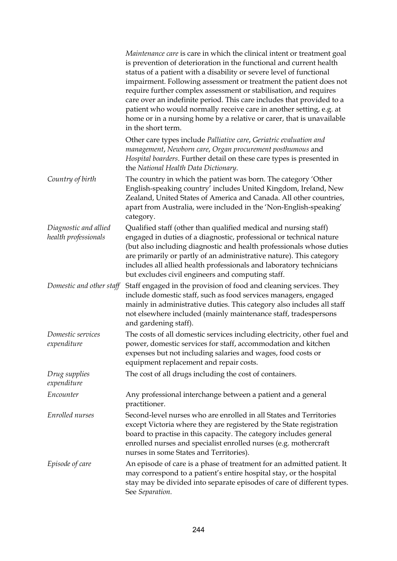|                                               | Maintenance care is care in which the clinical intent or treatment goal<br>is prevention of deterioration in the functional and current health<br>status of a patient with a disability or severe level of functional<br>impairment. Following assessment or treatment the patient does not<br>require further complex assessment or stabilisation, and requires<br>care over an indefinite period. This care includes that provided to a<br>patient who would normally receive care in another setting, e.g. at<br>home or in a nursing home by a relative or carer, that is unavailable<br>in the short term. |
|-----------------------------------------------|-----------------------------------------------------------------------------------------------------------------------------------------------------------------------------------------------------------------------------------------------------------------------------------------------------------------------------------------------------------------------------------------------------------------------------------------------------------------------------------------------------------------------------------------------------------------------------------------------------------------|
|                                               | Other care types include Palliative care, Geriatric evaluation and<br>management, Newborn care, Organ procurement posthumous and<br>Hospital boarders. Further detail on these care types is presented in<br>the National Health Data Dictionary.                                                                                                                                                                                                                                                                                                                                                               |
| Country of birth                              | The country in which the patient was born. The category 'Other<br>English-speaking country' includes United Kingdom, Ireland, New<br>Zealand, United States of America and Canada. All other countries,<br>apart from Australia, were included in the 'Non-English-speaking'<br>category.                                                                                                                                                                                                                                                                                                                       |
| Diagnostic and allied<br>health professionals | Qualified staff (other than qualified medical and nursing staff)<br>engaged in duties of a diagnostic, professional or technical nature<br>(but also including diagnostic and health professionals whose duties<br>are primarily or partly of an administrative nature). This category<br>includes all allied health professionals and laboratory technicians<br>but excludes civil engineers and computing staff.                                                                                                                                                                                              |
| Domestic and other staff                      | Staff engaged in the provision of food and cleaning services. They<br>include domestic staff, such as food services managers, engaged<br>mainly in administrative duties. This category also includes all staff<br>not elsewhere included (mainly maintenance staff, tradespersons<br>and gardening staff).                                                                                                                                                                                                                                                                                                     |
| Domestic services<br>expenditure              | The costs of all domestic services including electricity, other fuel and<br>power, domestic services for staff, accommodation and kitchen<br>expenses but not including salaries and wages, food costs or<br>equipment replacement and repair costs.                                                                                                                                                                                                                                                                                                                                                            |
| Drug supplies<br>expenditure                  | The cost of all drugs including the cost of containers.                                                                                                                                                                                                                                                                                                                                                                                                                                                                                                                                                         |
| Encounter                                     | Any professional interchange between a patient and a general<br>practitioner.                                                                                                                                                                                                                                                                                                                                                                                                                                                                                                                                   |
| Enrolled nurses                               | Second-level nurses who are enrolled in all States and Territories<br>except Victoria where they are registered by the State registration<br>board to practise in this capacity. The category includes general<br>enrolled nurses and specialist enrolled nurses (e.g. mothercraft<br>nurses in some States and Territories).                                                                                                                                                                                                                                                                                   |
| Episode of care                               | An episode of care is a phase of treatment for an admitted patient. It<br>may correspond to a patient's entire hospital stay, or the hospital<br>stay may be divided into separate episodes of care of different types.<br>See Separation.                                                                                                                                                                                                                                                                                                                                                                      |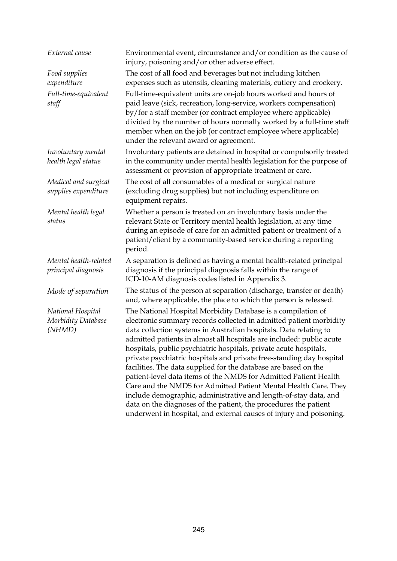| External cause                                    | Environmental event, circumstance and/or condition as the cause of<br>injury, poisoning and/or other adverse effect.                                                                                                                                                                                                                                                                                                                                                                                                                                                                                                                                                                                                                                                                                                                                  |
|---------------------------------------------------|-------------------------------------------------------------------------------------------------------------------------------------------------------------------------------------------------------------------------------------------------------------------------------------------------------------------------------------------------------------------------------------------------------------------------------------------------------------------------------------------------------------------------------------------------------------------------------------------------------------------------------------------------------------------------------------------------------------------------------------------------------------------------------------------------------------------------------------------------------|
| Food supplies<br>expenditure                      | The cost of all food and beverages but not including kitchen<br>expenses such as utensils, cleaning materials, cutlery and crockery.                                                                                                                                                                                                                                                                                                                                                                                                                                                                                                                                                                                                                                                                                                                  |
| Full-time-equivalent<br>staff                     | Full-time-equivalent units are on-job hours worked and hours of<br>paid leave (sick, recreation, long-service, workers compensation)<br>by/for a staff member (or contract employee where applicable)<br>divided by the number of hours normally worked by a full-time staff<br>member when on the job (or contract employee where applicable)<br>under the relevant award or agreement.                                                                                                                                                                                                                                                                                                                                                                                                                                                              |
| Involuntary mental<br>health legal status         | Involuntary patients are detained in hospital or compulsorily treated<br>in the community under mental health legislation for the purpose of<br>assessment or provision of appropriate treatment or care.                                                                                                                                                                                                                                                                                                                                                                                                                                                                                                                                                                                                                                             |
| Medical and surgical<br>supplies expenditure      | The cost of all consumables of a medical or surgical nature<br>(excluding drug supplies) but not including expenditure on<br>equipment repairs.                                                                                                                                                                                                                                                                                                                                                                                                                                                                                                                                                                                                                                                                                                       |
| Mental health legal<br>status                     | Whether a person is treated on an involuntary basis under the<br>relevant State or Territory mental health legislation, at any time<br>during an episode of care for an admitted patient or treatment of a<br>patient/client by a community-based service during a reporting<br>period.                                                                                                                                                                                                                                                                                                                                                                                                                                                                                                                                                               |
| Mental health-related<br>principal diagnosis      | A separation is defined as having a mental health-related principal<br>diagnosis if the principal diagnosis falls within the range of<br>ICD-10-AM diagnosis codes listed in Appendix 3.                                                                                                                                                                                                                                                                                                                                                                                                                                                                                                                                                                                                                                                              |
| Mode of separation                                | The status of the person at separation (discharge, transfer or death)<br>and, where applicable, the place to which the person is released.                                                                                                                                                                                                                                                                                                                                                                                                                                                                                                                                                                                                                                                                                                            |
| National Hospital<br>Morbidity Database<br>(NHMD) | The National Hospital Morbidity Database is a compilation of<br>electronic summary records collected in admitted patient morbidity<br>data collection systems in Australian hospitals. Data relating to<br>admitted patients in almost all hospitals are included: public acute<br>hospitals, public psychiatric hospitals, private acute hospitals,<br>private psychiatric hospitals and private free-standing day hospital<br>facilities. The data supplied for the database are based on the<br>patient-level data items of the NMDS for Admitted Patient Health<br>Care and the NMDS for Admitted Patient Mental Health Care. They<br>include demographic, administrative and length-of-stay data, and<br>data on the diagnoses of the patient, the procedures the patient<br>underwent in hospital, and external causes of injury and poisoning. |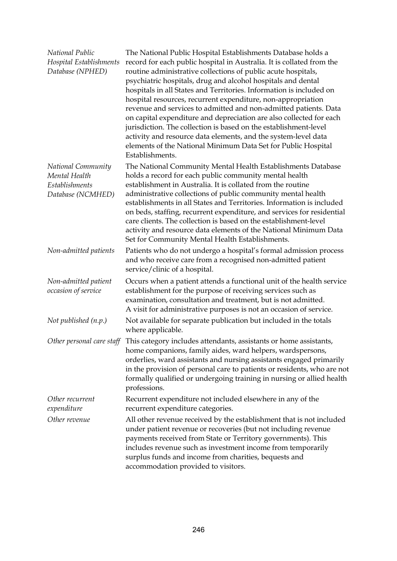| National Public<br>Hospital Establishments<br>Database (NPHED)                    | The National Public Hospital Establishments Database holds a<br>record for each public hospital in Australia. It is collated from the<br>routine administrative collections of public acute hospitals,<br>psychiatric hospitals, drug and alcohol hospitals and dental<br>hospitals in all States and Territories. Information is included on<br>hospital resources, recurrent expenditure, non-appropriation<br>revenue and services to admitted and non-admitted patients. Data<br>on capital expenditure and depreciation are also collected for each<br>jurisdiction. The collection is based on the establishment-level<br>activity and resource data elements, and the system-level data<br>elements of the National Minimum Data Set for Public Hospital<br>Establishments. |
|-----------------------------------------------------------------------------------|------------------------------------------------------------------------------------------------------------------------------------------------------------------------------------------------------------------------------------------------------------------------------------------------------------------------------------------------------------------------------------------------------------------------------------------------------------------------------------------------------------------------------------------------------------------------------------------------------------------------------------------------------------------------------------------------------------------------------------------------------------------------------------|
| National Community<br>Mental Health<br><b>Establishments</b><br>Database (NCMHED) | The National Community Mental Health Establishments Database<br>holds a record for each public community mental health<br>establishment in Australia. It is collated from the routine<br>administrative collections of public community mental health<br>establishments in all States and Territories. Information is included<br>on beds, staffing, recurrent expenditure, and services for residential<br>care clients. The collection is based on the establishment-level<br>activity and resource data elements of the National Minimum Data<br>Set for Community Mental Health Establishments.                                                                                                                                                                                |
| Non-admitted patients                                                             | Patients who do not undergo a hospital's formal admission process<br>and who receive care from a recognised non-admitted patient<br>service/clinic of a hospital.                                                                                                                                                                                                                                                                                                                                                                                                                                                                                                                                                                                                                  |
| Non-admitted patient<br>occasion of service                                       | Occurs when a patient attends a functional unit of the health service<br>establishment for the purpose of receiving services such as<br>examination, consultation and treatment, but is not admitted.<br>A visit for administrative purposes is not an occasion of service.                                                                                                                                                                                                                                                                                                                                                                                                                                                                                                        |
| Not published (n.p.)                                                              | Not available for separate publication but included in the totals<br>where applicable.                                                                                                                                                                                                                                                                                                                                                                                                                                                                                                                                                                                                                                                                                             |
| Other personal care staff                                                         | This category includes attendants, assistants or home assistants,<br>home companions, family aides, ward helpers, wardspersons,<br>orderlies, ward assistants and nursing assistants engaged primarily<br>in the provision of personal care to patients or residents, who are not<br>formally qualified or undergoing training in nursing or allied health<br>professions.                                                                                                                                                                                                                                                                                                                                                                                                         |
| Other recurrent<br>expenditure                                                    | Recurrent expenditure not included elsewhere in any of the<br>recurrent expenditure categories.                                                                                                                                                                                                                                                                                                                                                                                                                                                                                                                                                                                                                                                                                    |
| Other revenue                                                                     | All other revenue received by the establishment that is not included<br>under patient revenue or recoveries (but not including revenue<br>payments received from State or Territory governments). This<br>includes revenue such as investment income from temporarily<br>surplus funds and income from charities, bequests and<br>accommodation provided to visitors.                                                                                                                                                                                                                                                                                                                                                                                                              |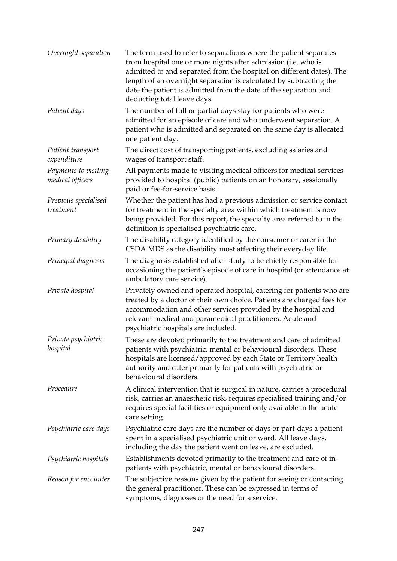| Overnight separation                     | The term used to refer to separations where the patient separates<br>from hospital one or more nights after admission (i.e. who is<br>admitted to and separated from the hospital on different dates). The<br>length of an overnight separation is calculated by subtracting the<br>date the patient is admitted from the date of the separation and<br>deducting total leave days. |
|------------------------------------------|-------------------------------------------------------------------------------------------------------------------------------------------------------------------------------------------------------------------------------------------------------------------------------------------------------------------------------------------------------------------------------------|
| Patient days                             | The number of full or partial days stay for patients who were<br>admitted for an episode of care and who underwent separation. A<br>patient who is admitted and separated on the same day is allocated<br>one patient day.                                                                                                                                                          |
| Patient transport<br>expenditure         | The direct cost of transporting patients, excluding salaries and<br>wages of transport staff.                                                                                                                                                                                                                                                                                       |
| Payments to visiting<br>medical officers | All payments made to visiting medical officers for medical services<br>provided to hospital (public) patients on an honorary, sessionally<br>paid or fee-for-service basis.                                                                                                                                                                                                         |
| Previous specialised<br>treatment        | Whether the patient has had a previous admission or service contact<br>for treatment in the specialty area within which treatment is now<br>being provided. For this report, the specialty area referred to in the<br>definition is specialised psychiatric care.                                                                                                                   |
| Primary disability                       | The disability category identified by the consumer or carer in the<br>CSDA MDS as the disability most affecting their everyday life.                                                                                                                                                                                                                                                |
| Principal diagnosis                      | The diagnosis established after study to be chiefly responsible for<br>occasioning the patient's episode of care in hospital (or attendance at<br>ambulatory care service).                                                                                                                                                                                                         |
| Private hospital                         | Privately owned and operated hospital, catering for patients who are<br>treated by a doctor of their own choice. Patients are charged fees for<br>accommodation and other services provided by the hospital and<br>relevant medical and paramedical practitioners. Acute and<br>psychiatric hospitals are included.                                                                 |
| Private psychiatric<br>hospital          | These are devoted primarily to the treatment and care of admitted<br>patients with psychiatric, mental or behavioural disorders. These<br>hospitals are licensed/approved by each State or Territory health<br>authority and cater primarily for patients with psychiatric or<br>behavioural disorders.                                                                             |
| Procedure                                | A clinical intervention that is surgical in nature, carries a procedural<br>risk, carries an anaesthetic risk, requires specialised training and/or<br>requires special facilities or equipment only available in the acute<br>care setting.                                                                                                                                        |
| Psychiatric care days                    | Psychiatric care days are the number of days or part-days a patient<br>spent in a specialised psychiatric unit or ward. All leave days,<br>including the day the patient went on leave, are excluded.                                                                                                                                                                               |
| Psychiatric hospitals                    | Establishments devoted primarily to the treatment and care of in-<br>patients with psychiatric, mental or behavioural disorders.                                                                                                                                                                                                                                                    |
| Reason for encounter                     | The subjective reasons given by the patient for seeing or contacting<br>the general practitioner. These can be expressed in terms of<br>symptoms, diagnoses or the need for a service.                                                                                                                                                                                              |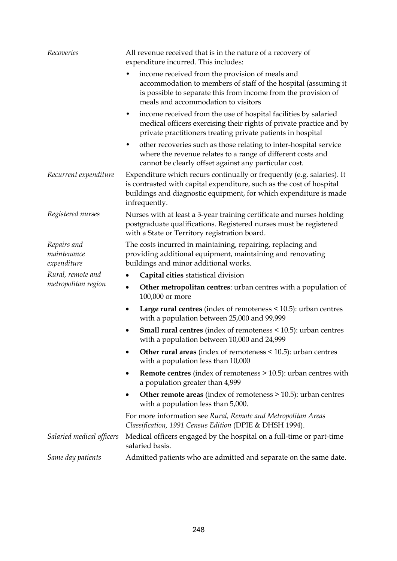| Recoveries                                | All revenue received that is in the nature of a recovery of<br>expenditure incurred. This includes:                                                                                                                                  |
|-------------------------------------------|--------------------------------------------------------------------------------------------------------------------------------------------------------------------------------------------------------------------------------------|
|                                           | income received from the provision of meals and<br>٠<br>accommodation to members of staff of the hospital (assuming it<br>is possible to separate this from income from the provision of<br>meals and accommodation to visitors      |
|                                           | income received from the use of hospital facilities by salaried<br>٠<br>medical officers exercising their rights of private practice and by<br>private practitioners treating private patients in hospital                           |
|                                           | other recoveries such as those relating to inter-hospital service<br>٠<br>where the revenue relates to a range of different costs and<br>cannot be clearly offset against any particular cost.                                       |
| Recurrent expenditure                     | Expenditure which recurs continually or frequently (e.g. salaries). It<br>is contrasted with capital expenditure, such as the cost of hospital<br>buildings and diagnostic equipment, for which expenditure is made<br>infrequently. |
| Registered nurses                         | Nurses with at least a 3-year training certificate and nurses holding<br>postgraduate qualifications. Registered nurses must be registered<br>with a State or Territory registration board.                                          |
| Repairs and<br>maintenance<br>expenditure | The costs incurred in maintaining, repairing, replacing and<br>providing additional equipment, maintaining and renovating<br>buildings and minor additional works.                                                                   |
| Rural, remote and                         | Capital cities statistical division                                                                                                                                                                                                  |
| metropolitan region                       | <b>Other metropolitan centres:</b> urban centres with a population of<br>$\bullet$<br>100,000 or more                                                                                                                                |
|                                           | Large rural centres (index of remoteness $\leq 10.5$ ): urban centres<br>٠<br>with a population between 25,000 and 99,999                                                                                                            |
|                                           | <b>Small rural centres</b> (index of remoteness $\leq$ 10.5): urban centres<br>٠<br>with a population between 10,000 and 24,999                                                                                                      |
|                                           | Other rural areas (index of remoteness < 10.5): urban centres<br>with a population less than 10,000                                                                                                                                  |
|                                           | <b>Remote centres</b> (index of remoteness > 10.5): urban centres with<br>$\bullet$<br>a population greater than 4,999                                                                                                               |
|                                           | Other remote areas (index of remoteness > 10.5): urban centres<br>$\bullet$<br>with a population less than 5,000.                                                                                                                    |
|                                           | For more information see Rural, Remote and Metropolitan Areas<br>Classification, 1991 Census Edition (DPIE & DHSH 1994).                                                                                                             |
| Salaried medical officers                 | Medical officers engaged by the hospital on a full-time or part-time<br>salaried basis.                                                                                                                                              |
| Same day patients                         | Admitted patients who are admitted and separate on the same date.                                                                                                                                                                    |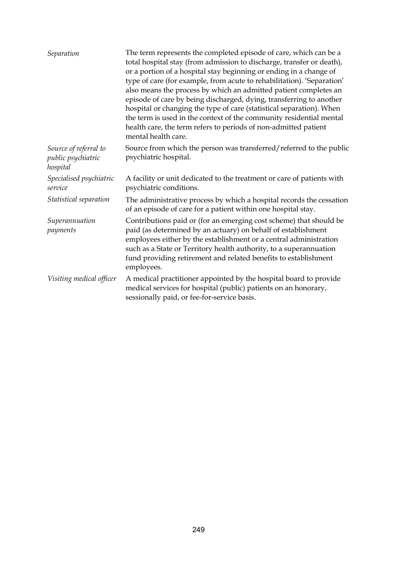| Separation                                              | The term represents the completed episode of care, which can be a<br>total hospital stay (from admission to discharge, transfer or death),<br>or a portion of a hospital stay beginning or ending in a change of<br>type of care (for example, from acute to rehabilitation). 'Separation'<br>also means the process by which an admitted patient completes an<br>episode of care by being discharged, dying, transferring to another<br>hospital or changing the type of care (statistical separation). When<br>the term is used in the context of the community residential mental<br>health care, the term refers to periods of non-admitted patient<br>mental health care. |
|---------------------------------------------------------|--------------------------------------------------------------------------------------------------------------------------------------------------------------------------------------------------------------------------------------------------------------------------------------------------------------------------------------------------------------------------------------------------------------------------------------------------------------------------------------------------------------------------------------------------------------------------------------------------------------------------------------------------------------------------------|
| Source of referral to<br>public psychiatric<br>hospital | Source from which the person was transferred/referred to the public<br>psychiatric hospital.                                                                                                                                                                                                                                                                                                                                                                                                                                                                                                                                                                                   |
| Specialised psychiatric<br>service                      | A facility or unit dedicated to the treatment or care of patients with<br>psychiatric conditions.                                                                                                                                                                                                                                                                                                                                                                                                                                                                                                                                                                              |
| Statistical separation                                  | The administrative process by which a hospital records the cessation<br>of an episode of care for a patient within one hospital stay.                                                                                                                                                                                                                                                                                                                                                                                                                                                                                                                                          |
| Superannuation<br>payments                              | Contributions paid or (for an emerging cost scheme) that should be<br>paid (as determined by an actuary) on behalf of establishment<br>employees either by the establishment or a central administration<br>such as a State or Territory health authority, to a superannuation<br>fund providing retirement and related benefits to establishment<br>employees.                                                                                                                                                                                                                                                                                                                |
| Visiting medical officer                                | A medical practitioner appointed by the hospital board to provide<br>medical services for hospital (public) patients on an honorary,<br>sessionally paid, or fee-for-service basis.                                                                                                                                                                                                                                                                                                                                                                                                                                                                                            |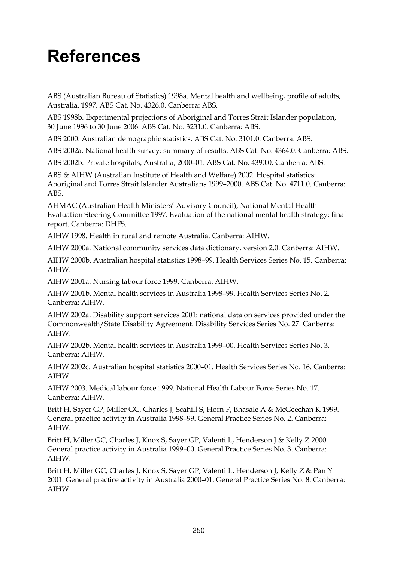# **References**

ABS (Australian Bureau of Statistics) 1998a. Mental health and wellbeing, profile of adults, Australia, 1997. ABS Cat. No. 4326.0. Canberra: ABS.

ABS 1998b. Experimental projections of Aboriginal and Torres Strait Islander population, 30 June 1996 to 30 June 2006. ABS Cat. No. 3231.0. Canberra: ABS.

ABS 2000. Australian demographic statistics. ABS Cat. No. 3101.0. Canberra: ABS.

ABS 2002a. National health survey: summary of results. ABS Cat. No. 4364.0. Canberra: ABS.

ABS 2002b. Private hospitals, Australia, 2000–01. ABS Cat. No. 4390.0. Canberra: ABS.

ABS & AIHW (Australian Institute of Health and Welfare) 2002. Hospital statistics: Aboriginal and Torres Strait Islander Australians 1999–2000. ABS Cat. No. 4711.0. Canberra: ABS.

AHMAC (Australian Health Ministers' Advisory Council), National Mental Health Evaluation Steering Committee 1997. Evaluation of the national mental health strategy: final report. Canberra: DHFS.

AIHW 1998. Health in rural and remote Australia. Canberra: AIHW.

AIHW 2000a. National community services data dictionary, version 2.0. Canberra: AIHW.

AIHW 2000b. Australian hospital statistics 1998–99. Health Services Series No. 15. Canberra: AIHW.

AIHW 2001a. Nursing labour force 1999. Canberra: AIHW.

AIHW 2001b. Mental health services in Australia 1998–99. Health Services Series No. 2. Canberra: AIHW.

AIHW 2002a. Disability support services 2001: national data on services provided under the Commonwealth/State Disability Agreement. Disability Services Series No. 27. Canberra: AIHW.

AIHW 2002b. Mental health services in Australia 1999–00. Health Services Series No. 3. Canberra: AIHW.

AIHW 2002c. Australian hospital statistics 2000–01. Health Services Series No. 16. Canberra: AIHW.

AIHW 2003. Medical labour force 1999. National Health Labour Force Series No. 17. Canberra: AIHW.

Britt H, Sayer GP, Miller GC, Charles J, Scahill S, Horn F, Bhasale A & McGeechan K 1999. General practice activity in Australia 1998–99. General Practice Series No. 2. Canberra: AIHW.

Britt H, Miller GC, Charles J, Knox S, Sayer GP, Valenti L, Henderson J & Kelly Z 2000. General practice activity in Australia 1999–00. General Practice Series No. 3. Canberra: AIHW.

Britt H, Miller GC, Charles J, Knox S, Sayer GP, Valenti L, Henderson J, Kelly Z & Pan Y 2001. General practice activity in Australia 2000–01. General Practice Series No. 8. Canberra: AIHW.